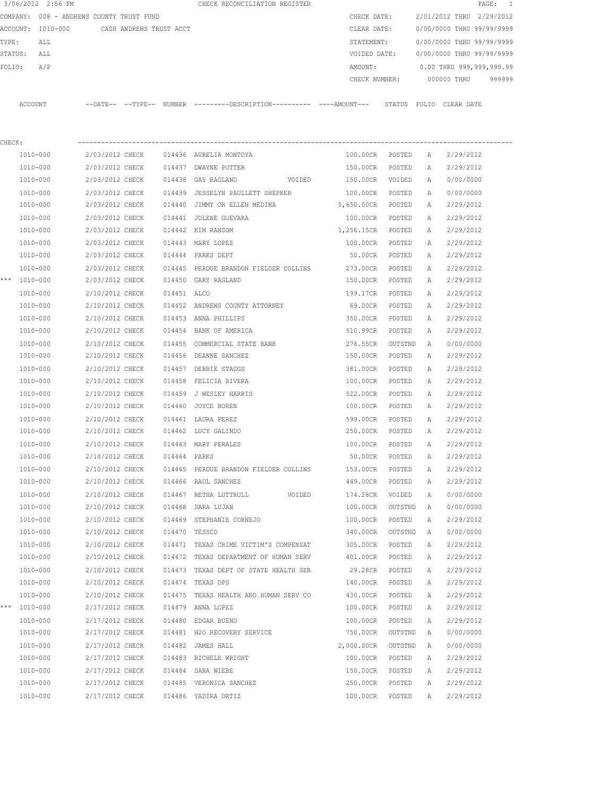|              | 3/06/2012 2:56 PM                        |                 |                         |               | CHECK RECONCILIATION REGISTER                                                              |               |         |   | PAGE: 1                   |        |
|--------------|------------------------------------------|-----------------|-------------------------|---------------|--------------------------------------------------------------------------------------------|---------------|---------|---|---------------------------|--------|
|              | COMPANY: 008 - ANDREWS COUNTY TRUST FUND |                 |                         |               |                                                                                            | CHECK DATE:   |         |   | 2/01/2012 THRU 2/29/2012  |        |
|              | ACCOUNT: 1010-000                        |                 | CASH ANDREWS TRUST ACCT |               |                                                                                            | CLEAR DATE:   |         |   | 0/00/0000 THRU 99/99/9999 |        |
| TYPE:        | ALL                                      |                 |                         |               |                                                                                            | STATEMENT:    |         |   | 0/00/0000 THRU 99/99/9999 |        |
| STATUS:      | ALL                                      |                 |                         |               |                                                                                            | VOIDED DATE:  |         |   | 0/00/0000 THRU 99/99/9999 |        |
| FOLIO:       | A/P                                      |                 |                         |               |                                                                                            | AMOUNT:       |         |   | 0.00 THRU 999,999,999.99  |        |
|              |                                          |                 |                         |               |                                                                                            | CHECK NUMBER: |         |   | 000000 THRU               | 999999 |
|              | ACCOUNT                                  |                 |                         |               | --DATE-- --TYPE-- NUMBER --------DESCRIPTION--------- ----AMOUNT--- STATUS FOLIO CLEARDATE |               |         |   |                           |        |
| CHECK:       |                                          |                 |                         |               |                                                                                            |               |         |   |                           |        |
|              | 1010-000                                 | 2/03/2012 CHECK |                         |               | 014436 AURELIA MONTOYA                                                                     | 100.00CR      | POSTED  | А | 2/29/2012                 |        |
|              | 1010-000                                 | 2/03/2012 CHECK |                         |               | 014437 DWAYNE POTTER                                                                       | 150.00CR      | POSTED  | Α | 2/29/2012                 |        |
|              | 1010-000                                 | 2/03/2012 CHECK |                         |               | 014438 GAY RAGLAND<br>VOIDED                                                               | 150.00CR      | VOIDED  | Α | 0/00/0000                 |        |
|              | 1010-000                                 | 2/03/2012 CHECK |                         |               | 014439 JESSELYN PAULLETT SHEPKER                                                           | 100.00CR      | POSTED  | A | 0/00/0000                 |        |
|              | 1010-000                                 | 2/03/2012 CHECK |                         |               | 014440 JIMMY OR ELLEN MEDINA                                                               | 5,650.00CR    | POSTED  | A | 2/29/2012                 |        |
|              | 1010-000                                 | 2/03/2012 CHECK |                         |               | 014441 JOLENE GUEVARA                                                                      | 100.00CR      | POSTED  | Α | 2/29/2012                 |        |
|              | 1010-000                                 | 2/03/2012 CHECK |                         |               | 014442 KIM RANSOM                                                                          | 1,256.15CR    | POSTED  | Α | 2/29/2012                 |        |
|              | 1010-000                                 | 2/03/2012 CHECK |                         |               | 014443 MARY LOPEZ                                                                          | 100.00CR      | POSTED  | A | 2/29/2012                 |        |
|              | 1010-000                                 | 2/03/2012 CHECK |                         |               | 014444 PARKS DEPT                                                                          | 50.00CR       | POSTED  | Α | 2/29/2012                 |        |
|              | 1010-000                                 | 2/03/2012 CHECK |                         |               | 014445 PERDUE BRANDON FIELDER COLLINS                                                      | 273.00CR      | POSTED  | Α | 2/29/2012                 |        |
| *** 1010-000 |                                          | 2/03/2012 CHECK |                         |               | 014450 GARY RAGLAND                                                                        | 150.00CR      | POSTED  | А | 2/29/2012                 |        |
|              | 1010-000                                 | 2/10/2012 CHECK |                         | 014451 ALCO   |                                                                                            | 199.17CR      | POSTED  | А | 2/29/2012                 |        |
|              | 1010-000                                 | 2/10/2012 CHECK |                         |               | 014452 ANDREWS COUNTY ATTORNEY                                                             | 69.00CR       | POSTED  | А | 2/29/2012                 |        |
|              | 1010-000                                 | 2/10/2012 CHECK |                         |               | 014453 ANNA PHILLIPS                                                                       | 350.00CR      | POSTED  | Α | 2/29/2012                 |        |
|              | 1010-000                                 | 2/10/2012 CHECK |                         |               | 014454 BANK OF AMERICA                                                                     | 510.99CR      | POSTED  | Α | 2/29/2012                 |        |
|              | 1010-000                                 | 2/10/2012 CHECK |                         |               | 014455 COMMERCIAL STATE BANK                                                               | 276.55CR      | OUTSTND | A | 0/00/0000                 |        |
|              | 1010-000                                 | 2/10/2012 CHECK |                         | 014456        | DEANNE SANCHEZ                                                                             | 150.00CR      | POSTED  | А | 2/29/2012                 |        |
|              | 1010-000                                 | 2/10/2012 CHECK |                         |               | 014457 DEBBIE STAGGS                                                                       | 381.00CR      | POSTED  | А | 2/29/2012                 |        |
|              | 1010-000                                 | 2/10/2012 CHECK |                         | 014458        | FELICIA RIVERA                                                                             | 100.00CR      | POSTED  | А | 2/29/2012                 |        |
|              | 1010-000                                 | 2/10/2012 CHECK |                         | 014459        | J WESLEY HARRIS                                                                            | 522.00CR      | POSTED  | A | 2/29/2012                 |        |
|              | 1010-000                                 | 2/10/2012 CHECK |                         | 014460        | JOYCE BOREN                                                                                | 100.00CR      | POSTED  | Α | 2/29/2012                 |        |
|              | 1010-000                                 | 2/10/2012 CHECK |                         |               | 014461 LAURA PEREZ                                                                         | 599.00CR      | POSTED  | A | 2/29/2012                 |        |
|              | 1010-000                                 | 2/10/2012 CHECK |                         |               | 014462 LUCY GALINDO                                                                        | 250.00CR      | POSTED  | A | 2/29/2012                 |        |
|              | 1010-000                                 | 2/10/2012 CHECK |                         |               | 014463 MARY PERALES                                                                        | 100.00CR      | POSTED  | Α | 2/29/2012                 |        |
|              | 1010-000                                 | 2/10/2012 CHECK |                         | 014464 PARKS  |                                                                                            | 50.00CR       | POSTED  | А | 2/29/2012                 |        |
|              | 1010-000                                 | 2/10/2012 CHECK |                         |               | 014465 PERDUE BRANDON FIELDER COLLINS                                                      | 153.00CR      | POSTED  | Α | 2/29/2012                 |        |
|              | 1010-000                                 | 2/10/2012 CHECK |                         |               | 014466 RAUL SANCHEZ                                                                        | 449.00CR      | POSTED  | Α | 2/29/2012                 |        |
|              | 1010-000                                 | 2/10/2012 CHECK |                         |               | 014467 RETHA LUTTRULL<br>VOIDED                                                            | 174.28CR      | VOIDED  | Α | 0/00/0000                 |        |
|              | 1010-000                                 | 2/10/2012 CHECK |                         |               | 014468 SARA LUJAN                                                                          | 100.00CR      | OUTSTND | A | 0/00/0000                 |        |
|              | 1010-000                                 | 2/10/2012 CHECK |                         |               | 014469 STEPHANIE CORNEJO                                                                   | 100.00CR      | POSTED  | Α | 2/29/2012                 |        |
|              | 1010-000                                 | 2/10/2012 CHECK |                         | 014470 TESSCO |                                                                                            | 340.00CR      | OUTSTND | Α | 0/00/0000                 |        |
|              | 1010-000                                 | 2/10/2012 CHECK |                         |               | 014471 TEXAS CRIME VICTIM'S COMPENSAT                                                      | 305.00CR      | POSTED  | Α | 2/29/2012                 |        |
|              | 1010-000                                 | 2/10/2012 CHECK |                         |               | 014472 TEXAS DEPARTMENT OF HUMAN SERV                                                      | 401.00CR      | POSTED  | Α | 2/29/2012                 |        |
|              | 1010-000                                 | 2/10/2012 CHECK |                         |               | 014473 TEXAS DEPT OF STATE HEALTH SER                                                      | 29.28CR       | POSTED  | Α | 2/29/2012                 |        |
|              | 1010-000                                 | 2/10/2012 CHECK |                         |               | 014474 TEXAS DPS                                                                           | 140.00CR      | POSTED  | Α | 2/29/2012                 |        |
|              | 1010-000                                 | 2/10/2012 CHECK |                         |               | 014475 TEXAS HEALTH AND HUMAN SERV CO                                                      | 430.00CR      | POSTED  | Α | 2/29/2012                 |        |
| *** 1010-000 |                                          | 2/17/2012 CHECK |                         |               | 014479 ANNA LOPEZ                                                                          | 100.00CR      | POSTED  | Α | 2/29/2012                 |        |
|              | 1010-000                                 | 2/17/2012 CHECK |                         |               | 014480 EDGAR BUENO                                                                         | 100.00CR      | POSTED  | Α | 2/29/2012                 |        |
|              | 1010-000                                 | 2/17/2012 CHECK |                         |               | 014481 H2O RECOVERY SERVICE                                                                | 750.00CR      | OUTSTND | Α | 0/00/0000                 |        |
|              | 1010-000                                 | 2/17/2012 CHECK |                         |               | 014482 JAMES HALL                                                                          | 2,000.00CR    | OUTSTND | A | 0/00/0000                 |        |
|              | 1010-000                                 | 2/17/2012 CHECK |                         |               | 014483 RICHELE WRIGHT                                                                      | 100.00CR      | POSTED  | Α | 2/29/2012                 |        |
|              | 1010-000                                 | 2/17/2012 CHECK |                         |               | 014484 SARA WIEBE                                                                          | 150.00CR      | POSTED  | Α | 2/29/2012                 |        |
|              | 1010-000                                 | 2/17/2012 CHECK |                         |               | 014485 VERONICA SANCHEZ                                                                    | 250.00CR      | POSTED  | Α | 2/29/2012                 |        |
|              | 1010-000                                 | 2/17/2012 CHECK |                         |               | 014486 YADIRA ORTIZ                                                                        | 100.00CR      | POSTED  | Α | 2/29/2012                 |        |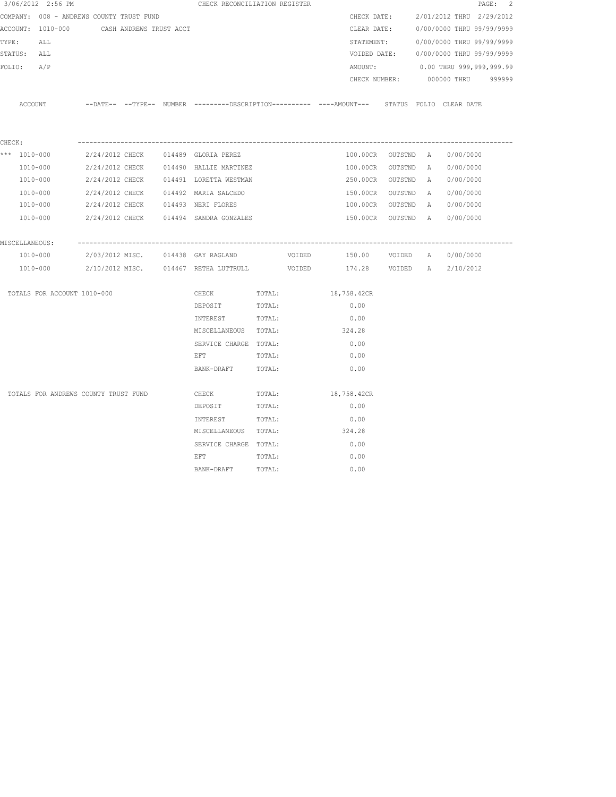| 3/06/2012 2:56 PM                                                                                             |  | CHECK RECONCILIATION REGISTER                                                                |        |             |             |                    |  |                                        | PAGE: 2 |
|---------------------------------------------------------------------------------------------------------------|--|----------------------------------------------------------------------------------------------|--------|-------------|-------------|--------------------|--|----------------------------------------|---------|
| COMPANY: 008 - ANDREWS COUNTY TRUST FUND                                                                      |  |                                                                                              |        |             |             | CHECK DATE:        |  | 2/01/2012 THRU 2/29/2012               |         |
| ACCOUNT: 1010-000 CASH ANDREWS TRUST ACCT                                                                     |  |                                                                                              |        |             |             | CLEAR DATE:        |  | 0/00/0000 THRU 99/99/9999              |         |
| TYPE:<br>ALL                                                                                                  |  |                                                                                              |        |             |             | STATEMENT:         |  | 0/00/0000 THRU 99/99/9999              |         |
| STATUS: ALL                                                                                                   |  |                                                                                              |        |             |             |                    |  | VOIDED DATE: 0/00/0000 THRU 99/99/9999 |         |
| FOLIO: A/P                                                                                                    |  |                                                                                              |        |             |             | AMOUNT:            |  | 0.00 THRU 999,999,999.99               |         |
|                                                                                                               |  |                                                                                              |        |             |             | CHECK NUMBER:      |  | 000000 THRU 999999                     |         |
| ACCOUNT                                                                                                       |  | --DATE-- --TYPE-- NUMBER ---------DESCRIPTION---------- ----AMOUNT--- STATUS FOLIO CLEARDATE |        |             |             |                    |  |                                        |         |
| CHECK:                                                                                                        |  |                                                                                              |        |             |             |                    |  |                                        |         |
| *** 1010-000                 2/24/2012 CHECK                 014489                              GLORIA PEREZ |  |                                                                                              |        |             |             | 100.00CR OUTSTND A |  | 0/00/0000                              |         |
| 1010-000                                                                                                      |  | 2/24/2012 CHECK 014490 HALLIE MARTINEZ                                                       |        |             |             |                    |  | 100.00CR OUTSTND A 0/00/0000           |         |
| 1010-000                                                                                                      |  | 2/24/2012 CHECK 014491 LORETTA WESTMAN                                                       |        |             |             | 250.00CR OUTSTND A |  | 0/00/0000                              |         |
| 1010-000                                                                                                      |  | 2/24/2012 CHECK 014492 MARIA SALCEDO                                                         |        |             |             |                    |  | 150.00CR OUTSTND A 0/00/0000           |         |
| 1010-000                                                                                                      |  | 2/24/2012 CHECK 014493 NERI FLORES                                                           |        |             |             | 100.00CR OUTSTND A |  | 0/00/0000                              |         |
| 1010-000 2/24/2012 CHECK 014494 SANDRA GONZALES                                                               |  |                                                                                              |        |             |             |                    |  | 150.00CR OUTSTND A 0/00/0000           |         |
| MISCELLANEOUS:                                                                                                |  |                                                                                              |        |             |             |                    |  |                                        |         |
| 1010-000                                                                                                      |  | 2/03/2012 MISC. 014438 GAY RAGLAND VOIDED                                                    |        |             |             |                    |  | 150.00 VOIDED A 0/00/0000              |         |
| 1010-000   2/10/2012 MISC.   014467 RETHA LUTTRULL   VOIDED   174.28   VOIDED   A   2/10/2012                 |  |                                                                                              |        |             |             |                    |  |                                        |         |
| TOTALS FOR ACCOUNT 1010-000                                                                                   |  | CHECK TOTAL:                                                                                 |        | 18,758.42CR |             |                    |  |                                        |         |
|                                                                                                               |  | DEPOSIT TOTAL:                                                                               |        |             |             | 0.00               |  |                                        |         |
|                                                                                                               |  | INTEREST TOTAL:                                                                              |        |             |             | 0.00               |  |                                        |         |
|                                                                                                               |  | MISCELLANEOUS TOTAL:                                                                         |        |             | 324.28      |                    |  |                                        |         |
|                                                                                                               |  | SERVICE CHARGE TOTAL:                                                                        |        |             |             | 0.00               |  |                                        |         |
|                                                                                                               |  | EFT FILLE                                                                                    | TOTAL: |             |             | 0.00               |  |                                        |         |
|                                                                                                               |  | BANK-DRAFT                                                                                   | TOTAL: |             |             | 0.00               |  |                                        |         |
| TOTALS FOR ANDREWS COUNTY TRUST FUND                                                                          |  | CHECK                                                                                        | TOTAL: |             | 18,758.42CR |                    |  |                                        |         |
|                                                                                                               |  | DEPOSIT                                                                                      | TOTAL: |             |             | 0.00               |  |                                        |         |
|                                                                                                               |  | INTEREST                                                                                     | TOTAL: |             |             | 0.00               |  |                                        |         |
|                                                                                                               |  | MISCELLANEOUS TOTAL:                                                                         |        |             |             | 324.28             |  |                                        |         |
|                                                                                                               |  | SERVICE CHARGE TOTAL:                                                                        |        |             |             | 0.00               |  |                                        |         |
|                                                                                                               |  | EFT                                                                                          | TOTAL: |             |             | 0.00               |  |                                        |         |
|                                                                                                               |  | BANK-DRAFT                                                                                   | TOTAL: |             |             | 0.00               |  |                                        |         |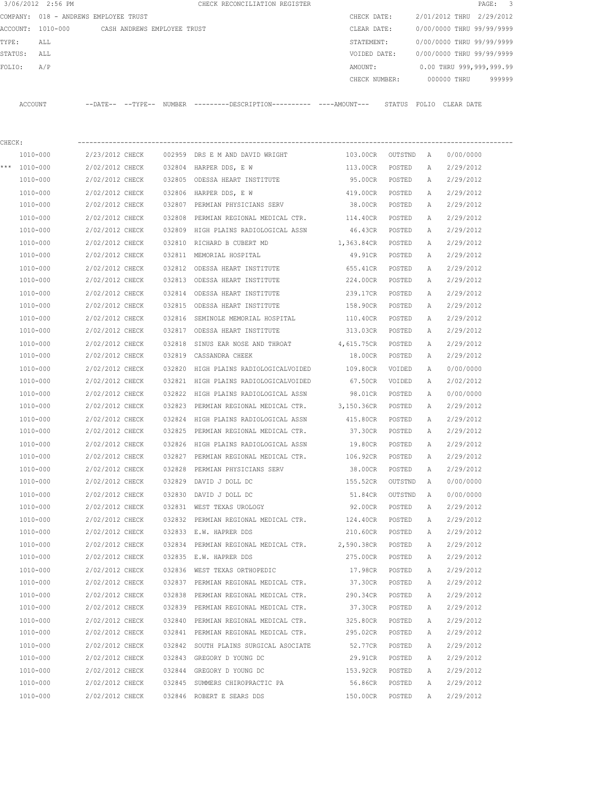|        | 3/06/2012 2:56 PM                     |                                    |        | CHECK RECONCILIATION REGISTER                                                                |                     |                  |              |                           | 3<br>PAGE: |
|--------|---------------------------------------|------------------------------------|--------|----------------------------------------------------------------------------------------------|---------------------|------------------|--------------|---------------------------|------------|
|        | COMPANY: 018 - ANDREWS EMPLOYEE TRUST |                                    |        |                                                                                              | CHECK DATE:         |                  |              | 2/01/2012 THRU 2/29/2012  |            |
|        | ACCOUNT: 1010-000                     | CASH ANDREWS EMPLOYEE TRUST        |        |                                                                                              | CLEAR DATE:         |                  |              | 0/00/0000 THRU 99/99/9999 |            |
| TYPE:  | ALL                                   |                                    |        |                                                                                              | STATEMENT:          |                  |              | 0/00/0000 THRU 99/99/9999 |            |
|        | STATUS:<br>ALL                        |                                    |        |                                                                                              | VOIDED DATE:        |                  |              | 0/00/0000 THRU 99/99/9999 |            |
|        | A/P<br>FOLIO:                         |                                    |        |                                                                                              | AMOUNT:             |                  |              | 0.00 THRU 999,999,999.99  |            |
|        |                                       |                                    |        |                                                                                              | CHECK NUMBER:       |                  |              | 000000 THRU               | 999999     |
|        | ACCOUNT                               |                                    |        | --DATE-- --TYPE-- NUMBER ---------DESCRIPTION---------- ----AMOUNT--- STATUS FOLIO CLEARDATE |                     |                  |              |                           |            |
| CHECK: |                                       |                                    |        |                                                                                              |                     |                  |              |                           |            |
|        | 1010-000                              | 2/23/2012 CHECK                    |        | 002959 DRS E M AND DAVID WRIGHT                                                              | 103.00CR            | OUTSTND          | A            | 0/00/0000                 |            |
|        | *** 1010-000                          | 2/02/2012 CHECK                    |        | 032804 HARPER DDS, E W                                                                       | 113.00CR            | POSTED           | A            | 2/29/2012                 |            |
|        | 1010-000                              | 2/02/2012 CHECK                    |        | 032805 ODESSA HEART INSTITUTE                                                                | 95.00CR             | POSTED           | A            | 2/29/2012                 |            |
|        | 1010-000                              | 2/02/2012 CHECK                    |        | 032806 HARPER DDS, E W                                                                       | 419.00CR            | POSTED           | A            | 2/29/2012                 |            |
|        | 1010-000                              | 2/02/2012 CHECK                    |        | 032807 PERMIAN PHYSICIANS SERV                                                               | 38.00CR             | POSTED           | A            | 2/29/2012                 |            |
|        | 1010-000                              | 2/02/2012 CHECK                    | 032808 | PERMIAN REGIONAL MEDICAL CTR.                                                                | 114.40CR            | POSTED           | Α            | 2/29/2012                 |            |
|        | 1010-000                              | 2/02/2012 CHECK                    |        | 032809 HIGH PLAINS RADIOLOGICAL ASSN                                                         | 46.43CR             | POSTED           | A            | 2/29/2012                 |            |
|        | 1010-000                              | 2/02/2012 CHECK                    | 032810 | RICHARD B CUBERT MD                                                                          | 1,363.84CR          | POSTED           | A            | 2/29/2012                 |            |
|        | 1010-000                              | 2/02/2012 CHECK                    |        | 032811 MEMORIAL HOSPITAL                                                                     | 49.91CR             | POSTED           | A            | 2/29/2012                 |            |
|        | 1010-000                              | 2/02/2012 CHECK                    | 032812 | ODESSA HEART INSTITUTE                                                                       | 655.41CR            | POSTED           | A            | 2/29/2012                 |            |
|        | 1010-000                              | 2/02/2012 CHECK                    |        | 032813 ODESSA HEART INSTITUTE                                                                | 224.00CR            | POSTED           | A            | 2/29/2012                 |            |
|        | 1010-000                              | 2/02/2012 CHECK                    |        | 032814 ODESSA HEART INSTITUTE                                                                | 239.17CR            | POSTED           | Α            | 2/29/2012                 |            |
|        | 1010-000                              | 2/02/2012 CHECK                    |        | 032815 ODESSA HEART INSTITUTE                                                                | 158.90CR            | POSTED           | A            | 2/29/2012                 |            |
|        | 1010-000                              | 2/02/2012 CHECK                    | 032816 | SEMINOLE MEMORIAL HOSPITAL                                                                   | 110.40CR            | POSTED           | Α            | 2/29/2012                 |            |
|        | 1010-000                              | 2/02/2012 CHECK                    |        | 032817 ODESSA HEART INSTITUTE                                                                | 313.03CR            | POSTED           | Α            | 2/29/2012                 |            |
|        | 1010-000                              | 2/02/2012 CHECK                    | 032818 | SINUS EAR NOSE AND THROAT                                                                    | 4,615.75CR          | POSTED           | Α            | 2/29/2012                 |            |
|        | 1010-000                              | 2/02/2012 CHECK                    | 032819 | CASSANDRA CHEEK                                                                              | 18.00CR             | POSTED           | A            | 2/29/2012                 |            |
|        | 1010-000                              | 2/02/2012 CHECK                    | 032820 | HIGH PLAINS RADIOLOGICALVOIDED                                                               | 109.80CR            | VOIDED           | Α            | 0/00/0000                 |            |
|        | 1010-000                              | 2/02/2012 CHECK                    |        | 032821 HIGH PLAINS RADIOLOGICALVOIDED                                                        | 67.50CR             | VOIDED           | Α            | 2/02/2012                 |            |
|        | 1010-000                              | 2/02/2012 CHECK                    |        | 032822 HIGH PLAINS RADIOLOGICAL ASSN                                                         | 98.01CR             | POSTED           | Α            | 0/00/0000                 |            |
|        | 1010-000                              | 2/02/2012 CHECK                    |        | 032823 PERMIAN REGIONAL MEDICAL CTR. 3,150.36CR                                              |                     | POSTED           | Α            | 2/29/2012                 |            |
|        | 1010-000                              | 2/02/2012 CHECK                    | 032824 | HIGH PLAINS RADIOLOGICAL ASSN                                                                | 415.80CR            | POSTED           | Α            | 2/29/2012                 |            |
|        | 1010-000                              | 2/02/2012 CHECK                    |        | 032825 PERMIAN REGIONAL MEDICAL CTR.                                                         | 37.30CR             | POSTED           | Α            | 2/29/2012                 |            |
|        | $1010 - 000$                          | 2/02/2012 CHECK                    |        | 032826 HIGH PLAINS RADIOLOGICAL ASSN                                                         | 19.80CR             | POSTED           | $\mathbb{A}$ | 2/29/2012                 |            |
|        | 1010-000                              | 2/02/2012 CHECK                    |        | 032827 PERMIAN REGIONAL MEDICAL CTR.                                                         | 106.92CR            | POSTED           | Α            | 2/29/2012                 |            |
|        | 1010-000                              | 2/02/2012 CHECK                    |        | 032828 PERMIAN PHYSICIANS SERV                                                               | 38.00CR             | POSTED           | Α            | 2/29/2012                 |            |
|        | 1010-000                              | 2/02/2012 CHECK                    |        | 032829 DAVID J DOLL DC                                                                       | 155.52CR            | OUTSTND          | Α            | 0/00/0000                 |            |
|        | 1010-000                              | 2/02/2012 CHECK                    |        | 032830 DAVID J DOLL DC                                                                       | 51.84CR             | OUTSTND          | Α            | 0/00/0000                 |            |
|        | 1010-000                              | 2/02/2012 CHECK                    |        | 032831 WEST TEXAS UROLOGY                                                                    | 92.00CR             | POSTED           | Α            | 2/29/2012                 |            |
|        | 1010-000                              | 2/02/2012 CHECK                    |        | 032832 PERMIAN REGIONAL MEDICAL CTR.                                                         | 124.40CR            | POSTED           | Α            | 2/29/2012                 |            |
|        | 1010-000                              | 2/02/2012 CHECK                    |        | 032833 E.W. HAPRER DDS                                                                       | 210.60CR            | POSTED           | Α            | 2/29/2012                 |            |
|        | 1010-000                              | 2/02/2012 CHECK                    |        | 032834 PERMIAN REGIONAL MEDICAL CTR.                                                         | 2,590.38CR          | POSTED           | Α            | 2/29/2012                 |            |
|        | 1010-000                              | 2/02/2012 CHECK                    |        | 032835 E.W. HAPRER DDS                                                                       | 275.00CR            | POSTED           | Α            | 2/29/2012                 |            |
|        | 1010-000                              | 2/02/2012 CHECK                    |        | 032836 WEST TEXAS ORTHOPEDIC                                                                 | 17.98CR             | POSTED           | Α            | 2/29/2012                 |            |
|        | 1010-000                              | 2/02/2012 CHECK                    |        | 032837 PERMIAN REGIONAL MEDICAL CTR.                                                         | 37.30CR             | POSTED           | Α            | 2/29/2012                 |            |
|        | 1010-000                              | 2/02/2012 CHECK                    |        | 032838 PERMIAN REGIONAL MEDICAL CTR.                                                         | 290.34CR            | POSTED           | Α            | 2/29/2012                 |            |
|        | 1010-000                              | 2/02/2012 CHECK                    |        | 032839 PERMIAN REGIONAL MEDICAL CTR.                                                         | 37.30CR             | POSTED           | Α            | 2/29/2012                 |            |
|        | 1010-000                              | 2/02/2012 CHECK                    |        | 032840 PERMIAN REGIONAL MEDICAL CTR.                                                         | 325.80CR            | POSTED           | Α            | 2/29/2012                 |            |
|        | 1010-000                              | 2/02/2012 CHECK                    |        | 032841 PERMIAN REGIONAL MEDICAL CTR.                                                         | 295.02CR            | POSTED           | Α            | 2/29/2012                 |            |
|        | 1010-000                              | 2/02/2012 CHECK                    |        | 032842 SOUTH PLAINS SURGICAL ASOCIATE                                                        | 52.77CR             | POSTED           | Α            | 2/29/2012                 |            |
|        | 1010-000                              | 2/02/2012 CHECK                    |        | 032843 GREGORY D YOUNG DC                                                                    | 29.91CR             | POSTED           | Α            | 2/29/2012                 |            |
|        | 1010-000<br>1010-000                  | 2/02/2012 CHECK<br>2/02/2012 CHECK |        | 032844 GREGORY D YOUNG DC<br>032845 SUMMERS CHIROPRACTIC PA                                  | 153.92CR<br>56.86CR | POSTED           | Α<br>Α       | 2/29/2012<br>2/29/2012    |            |
|        | 1010-000                              | 2/02/2012 CHECK                    |        | 032846 ROBERT E SEARS DDS                                                                    | 150.00CR            | POSTED<br>POSTED | Α            | 2/29/2012                 |            |
|        |                                       |                                    |        |                                                                                              |                     |                  |              |                           |            |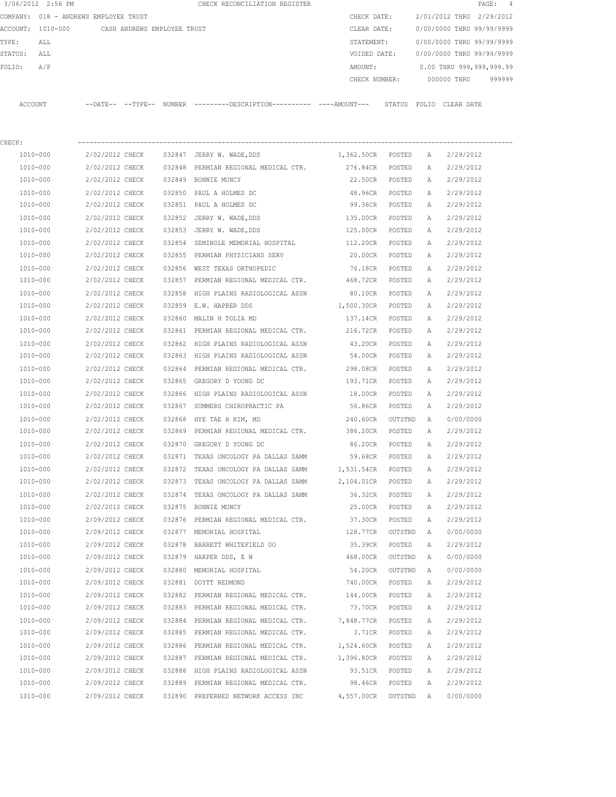|         | 3/06/2012 2:56 PM |                                       |        | CHECK RECONCILIATION REGISTER |               |              |                           |            | PAGE: 4                  |  |
|---------|-------------------|---------------------------------------|--------|-------------------------------|---------------|--------------|---------------------------|------------|--------------------------|--|
|         |                   | COMPANY: 018 - ANDREWS EMPLOYEE TRUST |        |                               | CHECK DATE:   |              | 2/01/2012 THRU 2/29/2012  |            |                          |  |
|         | ACCOUNT: 1010-000 | CASH ANDREWS EMPLOYEE TRUST           |        |                               | CLEAR DATE:   |              | 0/00/0000 THRU 99/99/9999 |            |                          |  |
| TYPE:   | ALL               |                                       |        |                               | STATEMENT:    |              | 0/00/0000 THRU 99/99/9999 |            |                          |  |
| STATUS: | ALL               |                                       |        |                               | VOIDED DATE:  |              | 0/00/0000 THRU 99/99/9999 |            |                          |  |
| FOLIO:  | A/P               |                                       |        |                               | AMOUNT:       |              |                           |            | 0.00 THRU 999,999,999.99 |  |
|         |                   |                                       |        |                               | CHECK NUMBER: |              | 000000 THRU               |            | 999999                   |  |
|         |                   |                                       |        |                               |               |              |                           |            |                          |  |
| ACCOUNT |                   | $---DATF------TYPF---$                | NUMBER |                               |               | STATUS FOLIO |                           | CLEAR DATE |                          |  |
|         |                   |                                       |        |                               |               |              |                           |            |                          |  |

| CHECK:   |                          |        |                                               |                   |         |   |           |
|----------|--------------------------|--------|-----------------------------------------------|-------------------|---------|---|-----------|
|          | 1010-000 2/02/2012 CHECK |        | 032847 JERRY W. WADE, DDS                     | 1,362.50CR POSTED |         | A | 2/29/2012 |
| 1010-000 | 2/02/2012 CHECK          |        | 032848 PERMIAN REGIONAL MEDICAL CTR.          | 276.84CR          | POSTED  | Α | 2/29/2012 |
| 1010-000 | 2/02/2012 CHECK          |        | 032849 BONNIE MUNCY                           | 22.50CR           | POSTED  | A | 2/29/2012 |
| 1010-000 | 2/02/2012 CHECK          |        | 032850 PAUL A HOLMES DC                       | 48.96CR           | POSTED  | Α | 2/29/2012 |
| 1010-000 | 2/02/2012 CHECK          |        | 032851 PAUL A HOLMES DC                       | 99.36CR           | POSTED  | Α | 2/29/2012 |
| 1010-000 | 2/02/2012 CHECK          |        | 032852 JERRY W. WADE, DDS                     | 135.00CR          | POSTED  | Α | 2/29/2012 |
| 1010-000 | 2/02/2012 CHECK          |        | 032853 JERRY W. WADE, DDS                     | 125.00CR          | POSTED  | A | 2/29/2012 |
| 1010-000 | 2/02/2012 CHECK          |        | 032854 SEMINOLE MEMORIAL HOSPITAL 112.20CR    |                   | POSTED  | Α | 2/29/2012 |
| 1010-000 | 2/02/2012 CHECK          |        | 032855 PERMIAN PHYSICIANS SERV                | 20.00CR           | POSTED  | Α | 2/29/2012 |
| 1010-000 | 2/02/2012 CHECK          |        | 032856 WEST TEXAS ORTHOPEDIC                  | 76.18CR           | POSTED  | Α | 2/29/2012 |
| 1010-000 | 2/02/2012 CHECK          |        | 032857 PERMIAN REGIONAL MEDICAL CTR. 468.72CR |                   | POSTED  | А | 2/29/2012 |
| 1010-000 | 2/02/2012 CHECK          | 032858 | HIGH PLAINS RADIOLOGICAL ASSN                 | 80.10CR           | POSTED  | Α | 2/29/2012 |
| 1010-000 | 2/02/2012 CHECK          | 032859 | E.W. HAPRER DDS                               | 1,500.30CR        | POSTED  | A | 2/29/2012 |
| 1010-000 | 2/02/2012 CHECK          | 032860 | MALIN H TOLIA MD                              | 137.14CR          | POSTED  | Α | 2/29/2012 |
| 1010-000 | 2/02/2012 CHECK          |        | 032861 PERMIAN REGIONAL MEDICAL CTR.          | 216.72CR          | POSTED  | Α | 2/29/2012 |
| 1010-000 | 2/02/2012 CHECK          |        | 032862 HIGH PLAINS RADIOLOGICAL ASSN          | 43.20CR           | POSTED  | Α | 2/29/2012 |
| 1010-000 | 2/02/2012 CHECK          |        | 032863 HIGH PLAINS RADIOLOGICAL ASSN          | 54.00CR           | POSTED  | Α | 2/29/2012 |
| 1010-000 | 2/02/2012 CHECK          |        | 032864 PERMIAN REGIONAL MEDICAL CTR. 298.08CR |                   | POSTED  | Α | 2/29/2012 |
| 1010-000 | 2/02/2012 CHECK          |        | 032865 GREGORY D YOUNG DC                     | 193.71CR          | POSTED  | A | 2/29/2012 |
| 1010-000 | 2/02/2012 CHECK          |        | 032866 HIGH PLAINS RADIOLOGICAL ASSN 18.00CR  |                   | POSTED  | Α | 2/29/2012 |
| 1010-000 | 2/02/2012 CHECK          |        | 032867 SUMMERS CHIROPRACTIC PA 56.86CR        |                   | POSTED  | А | 2/29/2012 |
| 1010-000 | 2/02/2012 CHECK          | 032868 | HYE TAE H KIM, MD                             | 240.60CR          | OUTSTND | A | 0/00/0000 |
| 1010-000 | 2/02/2012 CHECK          |        | 032869 PERMIAN REGIONAL MEDICAL CTR. 386.20CR |                   | POSTED  | А | 2/29/2012 |
| 1010-000 | 2/02/2012 CHECK          | 032870 | GREGORY D YOUNG DC                            | 86.20CR           | POSTED  | А | 2/29/2012 |
| 1010-000 | 2/02/2012 CHECK          | 032871 | TEXAS ONCOLOGY PA DALLAS SAMM                 | 59.68CR           | POSTED  | Α | 2/29/2012 |
| 1010-000 | 2/02/2012 CHECK          | 032872 | TEXAS ONCOLOGY PA DALLAS SAMM 1,531.54CR      |                   | POSTED  | Α | 2/29/2012 |
| 1010-000 | 2/02/2012 CHECK          | 032873 | TEXAS ONCOLOGY PA DALLAS SAMM 2,104.01CR      |                   | POSTED  | Α | 2/29/2012 |
| 1010-000 | 2/02/2012 CHECK          | 032874 | TEXAS ONCOLOGY PA DALLAS SAMM                 | 36.32CR           | POSTED  | Α | 2/29/2012 |
| 1010-000 | 2/02/2012 CHECK          |        | 032875 BONNIE MUNCY                           | 25.00CR           | POSTED  | Α | 2/29/2012 |
| 1010-000 | 2/09/2012 CHECK          |        | 032876 PERMIAN REGIONAL MEDICAL CTR.          | 37.30CR           | POSTED  | Α | 2/29/2012 |
| 1010-000 | 2/09/2012 CHECK          |        | 032877 MEMORIAL HOSPITAL                      | 128.77CR          | OUTSTND | A | 0/00/0000 |
| 1010-000 | 2/09/2012 CHECK          | 032878 | BARRETT WHITEFIELD DO                         | 35.39CR           | POSTED  | Α | 2/29/2012 |
| 1010-000 | 2/09/2012 CHECK          |        | 032879 HARPER DDS, E W                        | 468.00CR          | OUTSTND | A | 0/00/0000 |
| 1010-000 | 2/09/2012 CHECK          |        | 032880 MEMORIAL HOSPITAL                      | 54.20CR           | OUTSTND | A | 0/00/0000 |
| 1010-000 | 2/09/2012 CHECK          |        | 032881 DOYTT REDMOND                          | 740.00CR          | POSTED  | Α | 2/29/2012 |
| 1010-000 | 2/09/2012 CHECK          | 032882 | PERMIAN REGIONAL MEDICAL CTR.                 | 144.00CR          | POSTED  | А | 2/29/2012 |
| 1010-000 | 2/09/2012 CHECK          | 032883 | PERMIAN REGIONAL MEDICAL CTR.                 | 73.70CR           | POSTED  | А | 2/29/2012 |
| 1010-000 | 2/09/2012 CHECK          | 032884 | PERMIAN REGIONAL MEDICAL CTR.                 | 7,848.77CR        | POSTED  | А | 2/29/2012 |
| 1010-000 | 2/09/2012 CHECK          | 032885 | PERMIAN REGIONAL MEDICAL CTR.                 | 3.71CR            | POSTED  | А | 2/29/2012 |
| 1010-000 | 2/09/2012 CHECK          | 032886 | PERMIAN REGIONAL MEDICAL CTR.                 | 1,524.60CR        | POSTED  | А | 2/29/2012 |
| 1010-000 | 2/09/2012 CHECK          | 032887 | PERMIAN REGIONAL MEDICAL CTR.                 | 1,396.80CR        | POSTED  | А | 2/29/2012 |
| 1010-000 | 2/09/2012 CHECK          | 032888 | HIGH PLAINS RADIOLOGICAL ASSN                 | 93.51CR           | POSTED  | Α | 2/29/2012 |
| 1010-000 | 2/09/2012 CHECK          | 032889 | PERMIAN REGIONAL MEDICAL CTR.                 | 98.46CR           | POSTED  | Α | 2/29/2012 |
| 1010-000 | 2/09/2012 CHECK          |        | 032890 PREFERRED NETWORK ACCESS INC           | 4,557.00CR        | OUTSTND | Α | 0/00/0000 |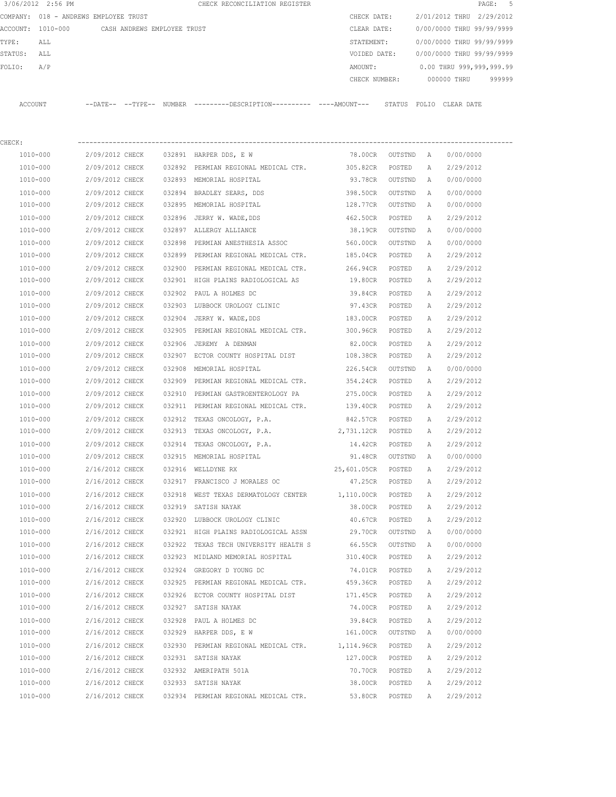|         | 3/06/2012 2:56 PM |                                       |        | CHECK RECONCILIATION REGISTER                 |               |        |                           |             | PAGE: 5                  |  |
|---------|-------------------|---------------------------------------|--------|-----------------------------------------------|---------------|--------|---------------------------|-------------|--------------------------|--|
|         |                   | COMPANY: 018 - ANDREWS EMPLOYEE TRUST |        |                                               | CHECK DATE:   |        | 2/01/2012 THRU 2/29/2012  |             |                          |  |
|         | ACCOUNT: 1010-000 | CASH ANDREWS EMPLOYEE TRUST           |        |                                               | CLEAR DATE:   |        | 0/00/0000 THRU 99/99/9999 |             |                          |  |
| TYPE:   | ALL               |                                       |        |                                               | STATEMENT:    |        | 0/00/0000 THRU 99/99/9999 |             |                          |  |
| STATUS: | ALL               |                                       |        |                                               | VOIDED DATE:  |        | 0/00/0000 THRU 99/99/9999 |             |                          |  |
| FOLIO:  | A/P               |                                       |        |                                               | AMOUNT:       |        |                           |             | 0.00 THRU 999,999,999.99 |  |
|         |                   |                                       |        |                                               | CHECK NUMBER: |        |                           | 000000 THRU | 999999                   |  |
|         |                   |                                       |        |                                               |               |        |                           |             |                          |  |
| ACCOUNT |                   | --DATE-- --TYPE--                     | NUMBER | ---------DESCRIPTION----------- ----AMOUNT--- |               | STATUS | FOLTO                     | CLEAR DATE  |                          |  |

| CHECK:       |                 |        |                                               |             |                     |              |           |
|--------------|-----------------|--------|-----------------------------------------------|-------------|---------------------|--------------|-----------|
| 1010-000     | 2/09/2012 CHECK |        | 032891 HARPER DDS, E W                        | 78.00CR     | OUTSTND A           |              | 0/00/0000 |
| 1010-000     | 2/09/2012 CHECK |        | 032892 PERMIAN REGIONAL MEDICAL CTR. 305.82CR |             | POSTED              | Α            | 2/29/2012 |
| 1010-000     | 2/09/2012 CHECK |        | 032893 MEMORIAL HOSPITAL                      | 93.78CR     | OUTSTND             | A            | 0/00/0000 |
| 1010-000     | 2/09/2012 CHECK |        | 032894 BRADLEY SEARS, DDS                     | 398.50CR    | OUTSTND             | A            | 0/00/0000 |
| 1010-000     | 2/09/2012 CHECK |        | 032895 MEMORIAL HOSPITAL                      | 128.77CR    | OUTSTND             | A            | 0/00/0000 |
| 1010-000     | 2/09/2012 CHECK |        | 032896 JERRY W. WADE, DDS                     | 462.50CR    | POSTED              | Α            | 2/29/2012 |
| 1010-000     | 2/09/2012 CHECK |        | 032897 ALLERGY ALLIANCE                       | 38.19CR     | OUTSTND             | $\mathbb{A}$ | 0/00/0000 |
| 1010-000     | 2/09/2012 CHECK |        | 032898 PERMIAN ANESTHESIA ASSOC               | 560.00CR    | OUTSTND             | A            | 0/00/0000 |
| 1010-000     | 2/09/2012 CHECK |        | 032899 PERMIAN REGIONAL MEDICAL CTR.          | 185.04CR    | POSTED              | Α            | 2/29/2012 |
| 1010-000     | 2/09/2012 CHECK |        | 032900 PERMIAN REGIONAL MEDICAL CTR.          | 266.94CR    | POSTED              | A            | 2/29/2012 |
| 1010-000     | 2/09/2012 CHECK |        | 032901 HIGH PLAINS RADIOLOGICAL AS            | 19.80CR     | POSTED              | А            | 2/29/2012 |
| 1010-000     | 2/09/2012 CHECK |        | 032902 PAUL A HOLMES DC                       | 39.84CR     | POSTED              | Α            | 2/29/2012 |
| 1010-000     | 2/09/2012 CHECK |        | 032903 LUBBOCK UROLOGY CLINIC 97.43CR         |             | POSTED              | Α            | 2/29/2012 |
| 1010-000     | 2/09/2012 CHECK |        | 032904 JERRY W. WADE, DDS                     | 183.00CR    | POSTED              | Α            | 2/29/2012 |
| 1010-000     | 2/09/2012 CHECK |        | 032905 PERMIAN REGIONAL MEDICAL CTR. 300.96CR |             | POSTED              | Α            | 2/29/2012 |
| 1010-000     | 2/09/2012 CHECK | 032906 | JEREMY A DENMAN                               | 82.00CR     | POSTED              | Α            | 2/29/2012 |
| 1010-000     | 2/09/2012 CHECK |        | 032907 ECTOR COUNTY HOSPITAL DIST 108.38CR    |             | POSTED              | Α            | 2/29/2012 |
| 1010-000     | 2/09/2012 CHECK |        | 032908 MEMORIAL HOSPITAL                      | 226.54CR    | OUTSTND             | $\mathbb{A}$ | 0/00/0000 |
| 1010-000     | 2/09/2012 CHECK |        | 032909 PERMIAN REGIONAL MEDICAL CTR.          | 354.24CR    | POSTED              | Α            | 2/29/2012 |
| 1010-000     | 2/09/2012 CHECK |        | 032910 PERMIAN GASTROENTEROLOGY PA            | 275.00CR    | POSTED              | Α            | 2/29/2012 |
| 1010-000     | 2/09/2012 CHECK |        | 032911 PERMIAN REGIONAL MEDICAL CTR.          | 139.40CR    | POSTED              | Α            | 2/29/2012 |
| 1010-000     | 2/09/2012 CHECK |        | 032912 TEXAS ONCOLOGY, P.A.                   | 842.57CR    | POSTED              | Α            | 2/29/2012 |
| 1010-000     | 2/09/2012 CHECK |        | 032913 TEXAS ONCOLOGY, P.A. 2,731.12CR        |             | POSTED              | Α            | 2/29/2012 |
| 1010-000     | 2/09/2012 CHECK | 032914 | TEXAS ONCOLOGY, P.A.                          | 14.42CR     | POSTED              | Α            | 2/29/2012 |
| 1010-000     | 2/09/2012 CHECK |        | 032915 MEMORIAL HOSPITAL                      | 91.48CR     | OUTSTND             | A            | 0/00/0000 |
| 1010-000     | 2/16/2012 CHECK |        | 032916 WELLDYNE RX                            | 25,601.05CR | POSTED              | Α            | 2/29/2012 |
| 1010-000     | 2/16/2012 CHECK |        | 032917 FRANCISCO J MORALES OC                 | 47.25CR     | POSTED              | Α            | 2/29/2012 |
| 1010-000     | 2/16/2012 CHECK | 032918 | WEST TEXAS DERMATOLOGY CENTER 1,110.00CR      |             | POSTED              | Α            | 2/29/2012 |
| 1010-000     | 2/16/2012 CHECK |        | 032919 SATISH NAYAK                           | 38.00CR     | POSTED              | Α            | 2/29/2012 |
| 1010-000     | 2/16/2012 CHECK |        | 032920 LUBBOCK UROLOGY CLINIC                 | 40.67CR     | POSTED              | Α            | 2/29/2012 |
| 1010-000     | 2/16/2012 CHECK |        | 032921 HIGH PLAINS RADIOLOGICAL ASSN          | 29.70CR     | OUTSTND             | $\mathbb{A}$ | 0/00/0000 |
| 1010-000     | 2/16/2012 CHECK | 032922 | TEXAS TECH UNIVERSITY HEALTH S                | 66.55CR     | OUTSTND             | A            | 0/00/0000 |
| 1010-000     | 2/16/2012 CHECK |        | 032923 MIDLAND MEMORIAL HOSPITAL              | 310.40CR    | POSTED              | Α            | 2/29/2012 |
| 1010-000     | 2/16/2012 CHECK |        | 032924 GREGORY D YOUNG DC                     | 74.01CR     | POSTED              | A            | 2/29/2012 |
| $1010 - 000$ | 2/16/2012 CHECK |        | 032925 PERMIAN REGIONAL MEDICAL CTR.          | 459.36CR    | POSTED              | $\mathbb{A}$ | 2/29/2012 |
| 1010-000     | 2/16/2012 CHECK |        | 032926 ECTOR COUNTY HOSPITAL DIST             | 171.45CR    | POSTED              | Α            | 2/29/2012 |
| 1010-000     | 2/16/2012 CHECK |        | 032927 SATISH NAYAK                           | 74.00CR     | POSTED              | Α            | 2/29/2012 |
| 1010-000     | 2/16/2012 CHECK |        | 032928 PAUL A HOLMES DC                       | 39.84CR     | POSTED              | Α            | 2/29/2012 |
| 1010-000     | 2/16/2012 CHECK |        | 032929 HARPER DDS, E W                        | 161.00CR    | OUTSTND             | Α            | 0/00/0000 |
| 1010-000     | 2/16/2012 CHECK |        | 032930 PERMIAN REGIONAL MEDICAL CTR.          | 1,114.96CR  | $\texttt{POSTED}{}$ | Α            | 2/29/2012 |
| $1010 - 000$ | 2/16/2012 CHECK |        | 032931 SATISH NAYAK                           | 127.00CR    | POSTED              | Α            | 2/29/2012 |
| 1010-000     | 2/16/2012 CHECK |        | 032932 AMERIPATH 501A                         | 70.70CR     | POSTED              | Α            | 2/29/2012 |
| 1010-000     | 2/16/2012 CHECK |        | 032933 SATISH NAYAK                           | 38.00CR     | POSTED              | Α            | 2/29/2012 |
| 1010-000     | 2/16/2012 CHECK |        | 032934 PERMIAN REGIONAL MEDICAL CTR.          | 53.80CR     | POSTED              | Α            | 2/29/2012 |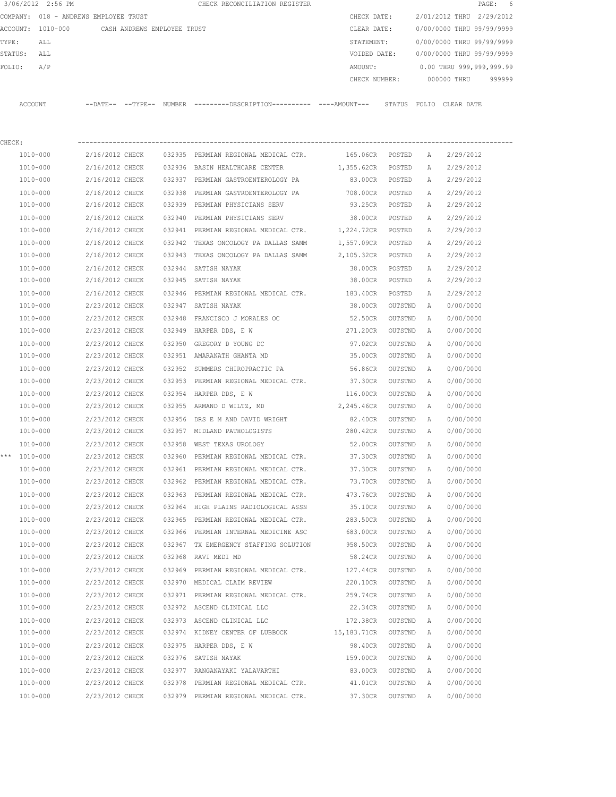|              | 3/06/2012 2:56 PM                             |                 |  | CHECK RECONCILIATION REGISTER                                                                         |                               |           |          | PAGE: 6                                |  |
|--------------|-----------------------------------------------|-----------------|--|-------------------------------------------------------------------------------------------------------|-------------------------------|-----------|----------|----------------------------------------|--|
|              | COMPANY: 018 - ANDREWS EMPLOYEE TRUST         |                 |  |                                                                                                       | CHECK DATE:                   |           |          | 2/01/2012 THRU 2/29/2012               |  |
|              | ACCOUNT: 1010-000 CASH ANDREWS EMPLOYEE TRUST |                 |  |                                                                                                       | CLEAR DATE:                   |           |          | 0/00/0000 THRU 99/99/9999              |  |
| TYPE:        | ALL                                           |                 |  |                                                                                                       |                               |           |          | STATEMENT: 0/00/0000 THRU 99/99/9999   |  |
| STATUS: ALL  |                                               |                 |  |                                                                                                       |                               |           |          | VOIDED DATE: 0/00/0000 THRU 99/99/9999 |  |
| FOLIO:       | A/P                                           |                 |  |                                                                                                       | AMOUNT:                       |           |          | $0.00$ THRU 999,999,999.99             |  |
|              |                                               |                 |  |                                                                                                       |                               |           |          | CHECK NUMBER: 000000 THRU 999999       |  |
|              |                                               |                 |  | ACCOUNT --DATE-- --TYPE-- NUMBER ---------DESCRIPTION---------- ----AMOUNT--- STATUS FOLIO CLEAR DATE |                               |           |          |                                        |  |
| CHECK:       |                                               |                 |  |                                                                                                       |                               |           |          |                                        |  |
|              | 1010-000                                      |                 |  | 2/16/2012 CHECK 032935 PERMIAN REGIONAL MEDICAL CTR.                                                  | 165.06CR POSTED A 2/29/2012   |           |          |                                        |  |
|              | 1010-000                                      |                 |  | 2/16/2012 CHECK 032936 BASIN HEALTHCARE CENTER                                                        | 1,355.62CR POSTED A 2/29/2012 |           |          |                                        |  |
|              | 1010-000                                      |                 |  | 2/16/2012 CHECK 032937 PERMIAN GASTROENTEROLOGY PA                                                    |                               |           |          | 83.00CR POSTED A 2/29/2012             |  |
|              | 1010-000                                      |                 |  | 2/16/2012 CHECK 032938 PERMIAN GASTROENTEROLOGY PA 708.00CR POSTED A 2/29/2012                        |                               |           |          |                                        |  |
|              | 1010-000                                      |                 |  | 2/16/2012 CHECK 032939 PERMIAN PHYSICIANS SERV                                                        | 93.25CR POSTED A              |           |          | 2/29/2012                              |  |
|              | 1010-000                                      |                 |  | 2/16/2012 CHECK 032940 PERMIAN PHYSICIANS SERV                                                        | 38.00CR POSTED                |           | A        | 2/29/2012                              |  |
|              | 1010-000                                      |                 |  | 2/16/2012 CHECK 032941 PERMIAN REGIONAL MEDICAL CTR. 1,224.72CR POSTED                                |                               |           | A        | 2/29/2012                              |  |
|              | 1010-000                                      |                 |  | 2/16/2012 CHECK 032942 TEXAS ONCOLOGY PA DALLAS SAMM 1,557.09CR POSTED                                |                               |           | A        | 2/29/2012                              |  |
|              | 1010-000                                      | 2/16/2012 CHECK |  | 032943 TEXAS ONCOLOGY PA DALLAS SAMM 2,105.32CR POSTED                                                |                               |           | A        | 2/29/2012                              |  |
|              | 1010-000                                      |                 |  | 2/16/2012 CHECK 032944 SATISH NAYAK                                                                   | 38.00CR POSTED                |           | A        | 2/29/2012                              |  |
|              | 1010-000                                      |                 |  | 2/16/2012 CHECK 032945 SATISH NAYAK                                                                   | 38.00CR POSTED A              |           |          | 2/29/2012                              |  |
|              | 1010-000                                      |                 |  | 2/16/2012 CHECK 032946 PERMIAN REGIONAL MEDICAL CTR. 183.40CR POSTED                                  |                               |           | A        | 2/29/2012                              |  |
|              | 1010-000                                      | 2/23/2012 CHECK |  | 032947 SATISH NAYAK                                                                                   | 38.00CR OUTSTND               |           | A        | 0/00/0000                              |  |
|              | 1010-000                                      | 2/23/2012 CHECK |  | 032948 FRANCISCO J MORALES OC                                                                         | 52.50CR OUTSTND               |           | <b>A</b> | 0/00/0000                              |  |
|              | 1010-000                                      | 2/23/2012 CHECK |  | 032949 HARPER DDS, E W                                                                                | 271.20CR OUTSTND              |           | <b>A</b> | 0/00/0000                              |  |
|              | 1010-000                                      | 2/23/2012 CHECK |  | 032950 GREGORY D YOUNG DC                                                                             | 97.02CR OUTSTND A             |           |          | 0/00/0000                              |  |
|              | 1010-000                                      |                 |  | 2/23/2012 CHECK 032951 AMARANATH GHANTA MD                                                            | 35.00CR OUTSTND A             |           |          | 0/00/0000                              |  |
|              | 1010-000                                      |                 |  | 2/23/2012 CHECK 032952 SUMMERS CHIROPRACTIC PA 56.86CR                                                |                               | OUTSTND A |          | 0/00/0000                              |  |
|              | 1010-000                                      |                 |  | 2/23/2012 CHECK 032953 PERMIAN REGIONAL MEDICAL CTR. 37.30CR                                          |                               | OUTSTND   | A        | 0/00/0000                              |  |
|              | 1010-000                                      | 2/23/2012 CHECK |  | 032954 HARPER DDS, E W                                                                                | 116.00CR                      | OUTSTND   | A        | 0/00/0000                              |  |
|              | 1010-000                                      |                 |  | 2/23/2012 CHECK 032955 ARMAND D WILTZ, MD                                                             | 2,245.46CR                    | OUTSTND   | A        | 0/00/0000                              |  |
|              | 1010-000                                      |                 |  | $2/23/2012$ CHECK 032956 DRS E M AND DAVID WRIGHT                                                     | 82.40CR OUTSTND               |           | A        | 0/00/0000                              |  |
|              | 1010-000                                      |                 |  | 2/23/2012 CHECK 032957 MIDLAND PATHOLOGISTS                                                           | 280.42CR OUTSTND A            |           |          | 0/00/0000                              |  |
|              | 1010-000                                      |                 |  | 2/23/2012 CHECK 032958 WEST TEXAS UROLOGY                                                             | 52.00CR                       | OUTSTND A |          | 0/00/0000                              |  |
| *** 1010-000 |                                               | 2/23/2012 CHECK |  | 032960 PERMIAN REGIONAL MEDICAL CTR.                                                                  | 37.30CR                       | OUTSTND   | Α        | 0/00/0000                              |  |
|              | 1010-000                                      | 2/23/2012 CHECK |  | 032961 PERMIAN REGIONAL MEDICAL CTR.                                                                  | 37.30CR                       | OUTSTND   | Α        | 0/00/0000                              |  |
|              | 1010-000                                      | 2/23/2012 CHECK |  | 032962 PERMIAN REGIONAL MEDICAL CTR.                                                                  | 73.70CR                       | OUTSTND   | Α        | 0/00/0000                              |  |
|              | 1010-000                                      | 2/23/2012 CHECK |  | 032963 PERMIAN REGIONAL MEDICAL CTR.                                                                  | 473.76CR                      | OUTSTND   | Α        | 0/00/0000                              |  |
|              | 1010-000                                      | 2/23/2012 CHECK |  | 032964 HIGH PLAINS RADIOLOGICAL ASSN                                                                  | 35.10CR                       | OUTSTND   | Α        | 0/00/0000                              |  |
|              | 1010-000                                      | 2/23/2012 CHECK |  | 032965 PERMIAN REGIONAL MEDICAL CTR.                                                                  | 283.50CR                      | OUTSTND   | Α        | 0/00/0000                              |  |
|              | $1010 - 000$                                  | 2/23/2012 CHECK |  | 032966 PERMIAN INTERNAL MEDICINE ASC                                                                  | 683.00CR                      | OUTSTND   | Α        | 0/00/0000                              |  |
|              | 1010-000                                      | 2/23/2012 CHECK |  | 032967 TX EMERGENCY STAFFING SOLUTION                                                                 | 958.50CR                      | OUTSTND   | Α        | 0/00/0000                              |  |
|              | 1010-000                                      | 2/23/2012 CHECK |  | 032968 RAVI MEDI MD                                                                                   | 58.24CR                       | OUTSTND   | Α        | 0/00/0000                              |  |
|              | 1010-000                                      | 2/23/2012 CHECK |  | 032969 PERMIAN REGIONAL MEDICAL CTR.                                                                  | 127.44CR                      | OUTSTND   | Α        | 0/00/0000                              |  |
|              | 1010-000                                      | 2/23/2012 CHECK |  | 032970 MEDICAL CLAIM REVIEW                                                                           | 220.10CR                      | OUTSTND   | Α        | 0/00/0000                              |  |
|              | 1010-000                                      | 2/23/2012 CHECK |  | 032971 PERMIAN REGIONAL MEDICAL CTR.                                                                  | 259.74CR                      | OUTSTND   | Α        | 0/00/0000                              |  |
|              | 1010-000                                      | 2/23/2012 CHECK |  | 032972 ASCEND CLINICAL LLC                                                                            | 22.34CR                       | OUTSTND   | Α        | 0/00/0000                              |  |
|              | 1010-000                                      | 2/23/2012 CHECK |  | 032973 ASCEND CLINICAL LLC                                                                            | 172.38CR                      | OUTSTND   | A        | 0/00/0000                              |  |
|              | 1010-000                                      | 2/23/2012 CHECK |  | 032974 KIDNEY CENTER OF LUBBOCK                                                                       | 15,183.71CR                   | OUTSTND   | Α        | 0/00/0000                              |  |
|              | 1010-000                                      | 2/23/2012 CHECK |  | 032975 HARPER DDS, E W                                                                                | 98.40CR                       | OUTSTND   | Α        | 0/00/0000                              |  |
|              | 1010-000                                      | 2/23/2012 CHECK |  | 032976 SATISH NAYAK                                                                                   | 159.00CR                      | OUTSTND   | Α        | 0/00/0000                              |  |
|              | 1010-000                                      | 2/23/2012 CHECK |  | 032977 RANGANAYAKI YALAVARTHI                                                                         | 83.00CR                       | OUTSTND   | Α        | 0/00/0000                              |  |
|              | 1010-000                                      | 2/23/2012 CHECK |  | 032978 PERMIAN REGIONAL MEDICAL CTR.                                                                  | 41.01CR                       | OUTSTND   | Α        | 0/00/0000                              |  |
|              | 1010-000                                      | 2/23/2012 CHECK |  | 032979 PERMIAN REGIONAL MEDICAL CTR.                                                                  | 37.30CR                       | OUTSTND   | Α        | 0/00/0000                              |  |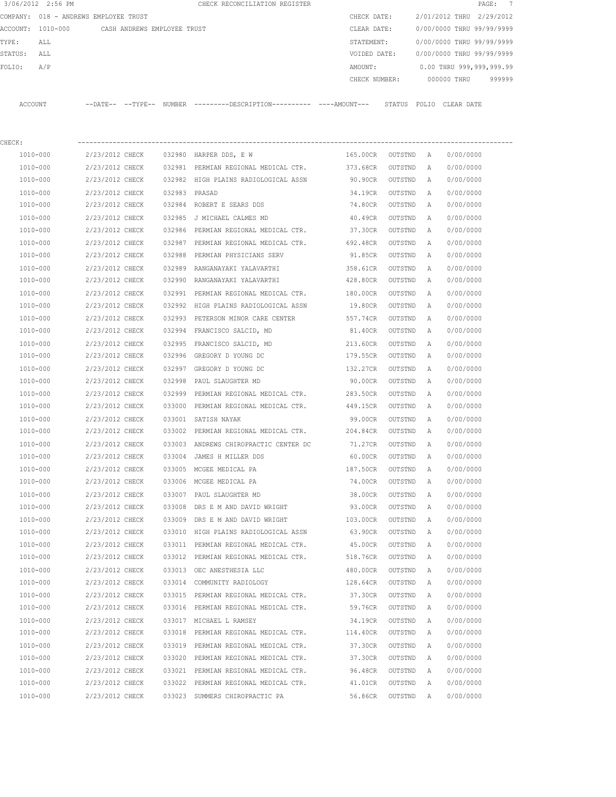| 3/06/2012 2:56 PM |     |                                       |        | CHECK RECONCILIATION REGISTER |  |               |                           |             | PAGE: 7                  |        |
|-------------------|-----|---------------------------------------|--------|-------------------------------|--|---------------|---------------------------|-------------|--------------------------|--------|
|                   |     | COMPANY: 018 - ANDREWS EMPLOYEE TRUST |        |                               |  | CHECK DATE:   | 2/01/2012 THRU 2/29/2012  |             |                          |        |
| ACCOUNT: 1010-000 |     | CASH ANDREWS EMPLOYEE TRUST           |        |                               |  | CLEAR DATE:   | 0/00/0000 THRU 99/99/9999 |             |                          |        |
| TYPE:             | ALL |                                       |        |                               |  | STATEMENT:    | 0/00/0000 THRU 99/99/9999 |             |                          |        |
| STATUS:           | ALL |                                       |        |                               |  | VOIDED DATE:  | 0/00/0000 THRU 99/99/9999 |             |                          |        |
| FOLTO:            | A/P |                                       |        |                               |  | AMOUNT:       |                           |             | 0.00 THRU 999,999,999.99 |        |
|                   |     |                                       |        |                               |  | CHECK NUMBER: |                           | 000000 THRU |                          | 999999 |
|                   |     |                                       |        |                               |  |               |                           |             |                          |        |
| ACCOUNT           |     | --DATE-- --TYPE--                     | NUMBER |                               |  | STATUS        | FOLIO                     | CLEAR DATE  |                          |        |

| CHECK:       |                 |        |                                               |          |           |              |           |
|--------------|-----------------|--------|-----------------------------------------------|----------|-----------|--------------|-----------|
| 1010-000     | 2/23/2012 CHECK |        | 032980 HARPER DDS, E W                        | 165.00CR | OUTSTND A |              | 0/00/0000 |
| 1010-000     | 2/23/2012 CHECK |        | 032981 PERMIAN REGIONAL MEDICAL CTR. 373.68CR |          | OUTSTND   | A            | 0/00/0000 |
| 1010-000     | 2/23/2012 CHECK |        | 032982 HIGH PLAINS RADIOLOGICAL ASSN          | 90.90CR  | OUTSTND   | Α            | 0/00/0000 |
| 1010-000     | 2/23/2012 CHECK |        | 032983 PRASAD                                 | 34.19CR  | OUTSTND   | Α            | 0/00/0000 |
| 1010-000     | 2/23/2012 CHECK |        | 032984 ROBERT E SEARS DDS                     | 74.80CR  | OUTSTND   | Α            | 0/00/0000 |
| 1010-000     | 2/23/2012 CHECK |        | 032985 J MICHAEL CALMES MD                    | 40.49CR  | OUTSTND   | Α            | 0/00/0000 |
| 1010-000     | 2/23/2012 CHECK |        | 032986 PERMIAN REGIONAL MEDICAL CTR.          | 37.30CR  | OUTSTND   | Α            | 0/00/0000 |
| 1010-000     | 2/23/2012 CHECK |        | 032987 PERMIAN REGIONAL MEDICAL CTR.          | 692.48CR | OUTSTND   | A            | 0/00/0000 |
| 1010-000     | 2/23/2012 CHECK | 032988 | PERMIAN PHYSICIANS SERV                       | 91.85CR  | OUTSTND   | Α            | 0/00/0000 |
| 1010-000     | 2/23/2012 CHECK | 032989 | RANGANAYAKI YALAVARTHI                        | 358.61CR | OUTSTND   | A            | 0/00/0000 |
| 1010-000     | 2/23/2012 CHECK | 032990 | RANGANAYAKI YALAVARTHI                        | 428.80CR | OUTSTND   | Α            | 0/00/0000 |
| 1010-000     | 2/23/2012 CHECK |        | 032991 PERMIAN REGIONAL MEDICAL CTR.          | 180.00CR | OUTSTND   | Α            | 0/00/0000 |
| 1010-000     | 2/23/2012 CHECK |        | 032992 HIGH PLAINS RADIOLOGICAL ASSN          | 19.80CR  | OUTSTND   | Α            | 0/00/0000 |
| 1010-000     | 2/23/2012 CHECK | 032993 | PETERSON MINOR CARE CENTER                    | 557.74CR | OUTSTND   | Α            | 0/00/0000 |
| 1010-000     | 2/23/2012 CHECK |        | 032994 FRANCISCO SALCID, MD                   | 81.40CR  | OUTSTND   | Α            | 0/00/0000 |
| 1010-000     | 2/23/2012 CHECK | 032995 | FRANCISCO SALCID, MD                          | 213.60CR | OUTSTND   | Α            | 0/00/0000 |
| 1010-000     | 2/23/2012 CHECK |        | 032996 GREGORY D YOUNG DC                     | 179.55CR | OUTSTND   | Α            | 0/00/0000 |
| 1010-000     | 2/23/2012 CHECK | 032997 | GREGORY D YOUNG DC                            | 132.27CR | OUTSTND   | Α            | 0/00/0000 |
| 1010-000     | 2/23/2012 CHECK | 032998 | PAUL SLAUGHTER MD                             | 90.00CR  | OUTSTND   | Α            | 0/00/0000 |
| 1010-000     | 2/23/2012 CHECK | 032999 | PERMIAN REGIONAL MEDICAL CTR.                 | 283.50CR | OUTSTND   | Α            | 0/00/0000 |
| 1010-000     | 2/23/2012 CHECK | 033000 | PERMIAN REGIONAL MEDICAL CTR.                 | 449.15CR | OUTSTND   | Α            | 0/00/0000 |
| 1010-000     | 2/23/2012 CHECK | 033001 | SATISH NAYAK                                  | 99.00CR  | OUTSTND   | Α            | 0/00/0000 |
| 1010-000     | 2/23/2012 CHECK |        | 033002 PERMIAN REGIONAL MEDICAL CTR. 204.84CR |          | OUTSTND   | Α            | 0/00/0000 |
| 1010-000     | 2/23/2012 CHECK |        | 033003 ANDREWS CHIROPRACTIC CENTER DC         | 71.27CR  | OUTSTND   | Α            | 0/00/0000 |
| 1010-000     | 2/23/2012 CHECK | 033004 | JAMES H MILLER DDS                            | 60.00CR  | OUTSTND   | Α            | 0/00/0000 |
| 1010-000     | 2/23/2012 CHECK |        | 033005 MCGEE MEDICAL PA                       | 187.50CR | OUTSTND   | Α            | 0/00/0000 |
| 1010-000     | 2/23/2012 CHECK |        | 033006 MCGEE MEDICAL PA                       | 74.00CR  | OUTSTND   | Α            | 0/00/0000 |
| 1010-000     | 2/23/2012 CHECK |        | 033007 PAUL SLAUGHTER MD                      | 38.00CR  | OUTSTND   | Α            | 0/00/0000 |
| 1010-000     | 2/23/2012 CHECK | 033008 | DRS E M AND DAVID WRIGHT                      | 93.00CR  | OUTSTND   | Α            | 0/00/0000 |
| 1010-000     | 2/23/2012 CHECK | 033009 | DRS E M AND DAVID WRIGHT                      | 103.00CR | OUTSTND   | Α            | 0/00/0000 |
| 1010-000     | 2/23/2012 CHECK |        | 033010 HIGH PLAINS RADIOLOGICAL ASSN          | 63.90CR  | OUTSTND   | Α            | 0/00/0000 |
| 1010-000     | 2/23/2012 CHECK |        | 033011 PERMIAN REGIONAL MEDICAL CTR.          | 45.00CR  | OUTSTND   | Α            | 0/00/0000 |
| 1010-000     | 2/23/2012 CHECK |        | 033012 PERMIAN REGIONAL MEDICAL CTR.          | 518.76CR | OUTSTND   | A            | 0/00/0000 |
| 1010-000     | 2/23/2012 CHECK | 033013 | OEC ANESTHESIA LLC                            | 480.00CR | OUTSTND   | A            | 0/00/0000 |
| 1010-000     | 2/23/2012 CHECK |        | 033014 COMMUNITY RADIOLOGY                    | 128.64CR | OUTSTND   | $\mathbb{A}$ | 0/00/0000 |
| 1010-000     | 2/23/2012 CHECK |        | 033015 PERMIAN REGIONAL MEDICAL CTR.          | 37.30CR  | OUTSTND   | Α            | 0/00/0000 |
| 1010-000     | 2/23/2012 CHECK |        | 033016 PERMIAN REGIONAL MEDICAL CTR.          | 59.76CR  | OUTSTND   | Α            | 0/00/0000 |
| $1010 - 000$ | 2/23/2012 CHECK |        | 033017 MICHAEL L RAMSEY                       | 34.19CR  | OUTSTND   | Α            | 0/00/0000 |
| 1010-000     | 2/23/2012 CHECK |        | 033018 PERMIAN REGIONAL MEDICAL CTR.          | 114.40CR | OUTSTND   | Α            | 0/00/0000 |
| 1010-000     | 2/23/2012 CHECK |        | 033019 PERMIAN REGIONAL MEDICAL CTR.          | 37.30CR  | OUTSTND   | Α            | 0/00/0000 |
| $1010 - 000$ | 2/23/2012 CHECK |        | 033020 PERMIAN REGIONAL MEDICAL CTR.          | 37.30CR  | OUTSTND   | Α            | 0/00/0000 |
| 1010-000     | 2/23/2012 CHECK |        | 033021 PERMIAN REGIONAL MEDICAL CTR.          | 96.48CR  | OUTSTND   | Α            | 0/00/0000 |
| 1010-000     | 2/23/2012 CHECK |        | 033022 PERMIAN REGIONAL MEDICAL CTR.          | 41.01CR  | OUTSTND   | Α            | 0/00/0000 |
| 1010-000     | 2/23/2012 CHECK |        | 033023 SUMMERS CHIROPRACTIC PA                | 56.86CR  | OUTSTND   | $\mathbb{A}$ | 0/00/0000 |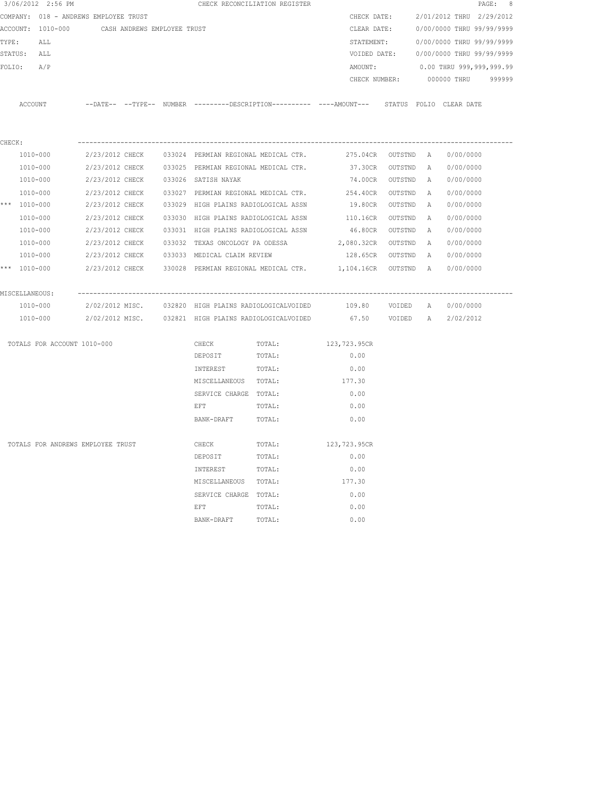|        | 3/06/2012 2:56 PM                     |                 |                             |                                                 | CHECK RECONCILIATION REGISTER                                                                |                      |           |          |                                        | PAGE: 8 |
|--------|---------------------------------------|-----------------|-----------------------------|-------------------------------------------------|----------------------------------------------------------------------------------------------|----------------------|-----------|----------|----------------------------------------|---------|
|        | COMPANY: 018 - ANDREWS EMPLOYEE TRUST |                 |                             |                                                 |                                                                                              | CHECK DATE:          |           |          | 2/01/2012 THRU 2/29/2012               |         |
|        | ACCOUNT: 1010-000                     |                 | CASH ANDREWS EMPLOYEE TRUST |                                                 |                                                                                              | CLEAR DATE:          |           |          | 0/00/0000 THRU 99/99/9999              |         |
| TYPE:  | ALL                                   |                 |                             |                                                 |                                                                                              | STATEMENT:           |           |          | 0/00/0000 THRU 99/99/9999              |         |
|        | STATUS: ALL                           |                 |                             |                                                 |                                                                                              |                      |           |          | VOIDED DATE: 0/00/0000 THRU 99/99/9999 |         |
|        | FOLIO: A/P                            |                 |                             |                                                 |                                                                                              | AMOUNT:              |           |          | 0.00 THRU 999,999,999.99               |         |
|        |                                       |                 |                             |                                                 |                                                                                              | CHECK NUMBER:        |           |          | 000000 THRU 999999                     |         |
|        | ACCOUNT                               |                 |                             |                                                 | --DATE-- --TYPE-- NUMBER ---------DESCRIPTION---------- ----AMOUNT--- STATUS FOLIO CLEARDATE |                      |           |          |                                        |         |
|        |                                       |                 |                             |                                                 |                                                                                              |                      |           |          |                                        |         |
|        |                                       |                 |                             |                                                 |                                                                                              |                      |           |          |                                        |         |
| CHECK: |                                       |                 |                             |                                                 |                                                                                              |                      |           |          |                                        |         |
|        | 1010-000                              |                 |                             |                                                 | 2/23/2012 CHECK 033024 PERMIAN REGIONAL MEDICAL CTR.                                         | 275.04CR OUTSTND A   |           |          | 0/00/0000                              |         |
|        | 1010-000                              |                 |                             |                                                 | 2/23/2012 CHECK 033025 PERMIAN REGIONAL MEDICAL CTR.                                         | 37.30CR OUTSTND A    |           |          | 0/00/0000                              |         |
|        | 1010-000                              |                 |                             | 2/23/2012 CHECK 033026 SATISH NAYAK             |                                                                                              | 74.00CR OUTSTND A    |           |          | 0/00/0000                              |         |
|        | 1010-000                              |                 |                             |                                                 | 2/23/2012 CHECK 033027 PERMIAN REGIONAL MEDICAL CTR. 254.40CR OUTSTND A                      |                      |           |          | 0/00/0000                              |         |
|        | *** 1010-000                          |                 |                             |                                                 | 2/23/2012 CHECK 033029 HIGH PLAINS RADIOLOGICAL ASSN                                         | 19.80CR              | OUTSTND A |          | 0/00/0000                              |         |
|        | 1010-000                              |                 |                             |                                                 | 2/23/2012 CHECK 033030 HIGH PLAINS RADIOLOGICAL ASSN                                         | 110.16CR OUTSTND A   |           |          | 0/00/0000                              |         |
|        | 1010-000                              | 2/23/2012 CHECK |                             | 033031 HIGH PLAINS RADIOLOGICAL ASSN            |                                                                                              | 46.80CR OUTSTND A    |           |          | 0/00/0000                              |         |
|        | 1010-000                              |                 |                             | 2/23/2012 CHECK 033032 TEXAS ONCOLOGY PA ODESSA |                                                                                              | 2,080.32CR OUTSTND A |           |          | 0/00/0000                              |         |
|        | 1010-000                              |                 |                             | 2/23/2012 CHECK 033033 MEDICAL CLAIM REVIEW     |                                                                                              | 128.65CR OUTSTND     |           | <b>A</b> | 0/00/0000                              |         |
|        | *** 1010-000                          |                 |                             |                                                 | 2/23/2012 CHECK 330028 PERMIAN REGIONAL MEDICAL CTR. 1,104.16CR OUTSTND A                    |                      |           |          | 0/00/0000                              |         |
|        | MISCELLANEOUS:                        |                 |                             |                                                 |                                                                                              |                      |           |          |                                        |         |
|        | 1010-000                              |                 |                             |                                                 | 2/02/2012 MISC. 032820 HIGH PLAINS RADIOLOGICALVOIDED 109.80 VOIDED A 0/00/0000              |                      |           |          |                                        |         |
|        | 1010-000                              |                 |                             |                                                 | 2/02/2012 MISC. 032821 HIGH PLAINS RADIOLOGICALVOIDED 67.50 VOIDED A 2/02/2012               |                      |           |          |                                        |         |
|        | TOTALS FOR ACCOUNT 1010-000           |                 |                             | CHECK                                           | TOTAL:                                                                                       | 123,723.95CR         |           |          |                                        |         |
|        |                                       |                 |                             | DEPOSIT                                         | TOTAL:                                                                                       | 0.00                 |           |          |                                        |         |
|        |                                       |                 |                             | INTEREST                                        | TOTAL:                                                                                       | 0.00                 |           |          |                                        |         |
|        |                                       |                 |                             | MISCELLANEOUS TOTAL:                            |                                                                                              | 177.30               |           |          |                                        |         |
|        |                                       |                 |                             | SERVICE CHARGE TOTAL:                           |                                                                                              | 0.00                 |           |          |                                        |         |
|        |                                       |                 |                             | E F T                                           | TOTAL:                                                                                       | 0.00                 |           |          |                                        |         |
|        |                                       |                 |                             | BANK-DRAFT                                      | TOTAL:                                                                                       | 0.00                 |           |          |                                        |         |
|        | TOTALS FOR ANDREWS EMPLOYEE TRUST     |                 |                             | CHECK                                           | TOTAL:                                                                                       | 123,723.95CR         |           |          |                                        |         |
|        |                                       |                 |                             | DEPOSIT                                         | TOTAL:                                                                                       | 0.00                 |           |          |                                        |         |
|        |                                       |                 |                             | INTEREST                                        | TOTAL:                                                                                       | 0.00                 |           |          |                                        |         |
|        |                                       |                 |                             | MISCELLANEOUS TOTAL:                            |                                                                                              | 177.30               |           |          |                                        |         |
|        |                                       |                 |                             | SERVICE CHARGE TOTAL:                           |                                                                                              | 0.00                 |           |          |                                        |         |
|        |                                       |                 |                             | EFT                                             | TOTAL:                                                                                       | 0.00                 |           |          |                                        |         |
|        |                                       |                 |                             | BANK-DRAFT                                      | TOTAL:                                                                                       | 0.00                 |           |          |                                        |         |
|        |                                       |                 |                             |                                                 |                                                                                              |                      |           |          |                                        |         |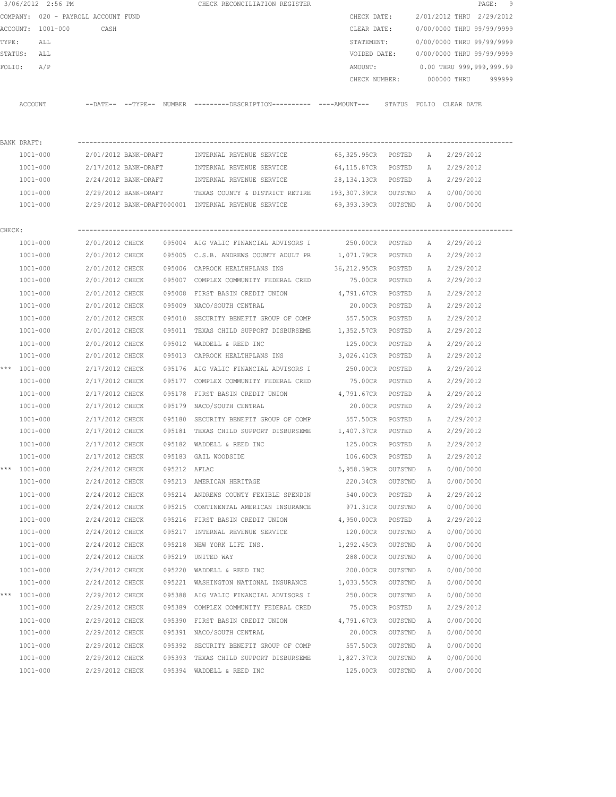|        | 3/06/2012 2:56 PM                   |                      |              | CHECK RECONCILIATION REGISTER                                                               |                      |         |   |                                  | PAGE: 9 |
|--------|-------------------------------------|----------------------|--------------|---------------------------------------------------------------------------------------------|----------------------|---------|---|----------------------------------|---------|
|        | COMPANY: 020 - PAYROLL ACCOUNT FUND |                      |              |                                                                                             | CHECK DATE:          |         |   | 2/01/2012 THRU 2/29/2012         |         |
|        | ACCOUNT: 1001-000 CASH              |                      |              |                                                                                             | CLEAR DATE:          |         |   | 0/00/0000 THRU 99/99/9999        |         |
| TYPE:  | ALL                                 |                      |              |                                                                                             | STATEMENT:           |         |   | 0/00/0000 THRU 99/99/9999        |         |
|        | STATUS: ALL                         |                      |              |                                                                                             | VOIDED DATE:         |         |   | 0/00/0000 THRU 99/99/9999        |         |
| FOLIO: | A/P                                 |                      |              |                                                                                             | AMOUNT:              |         |   | 0.00 THRU 999,999,999.99         |         |
|        |                                     |                      |              |                                                                                             |                      |         |   | CHECK NUMBER: 000000 THRU 999999 |         |
|        | ACCOUNT                             |                      |              | --DATE-- --TYPE-- NUMBER --------DESCRIPTION--------- ----AMOUNT--- STATUS FOLIO CLEAR-DATE |                      |         |   |                                  |         |
|        |                                     |                      |              |                                                                                             |                      |         |   |                                  |         |
|        | BANK DRAFT:<br>1001-000             | 2/01/2012 BANK-DRAFT |              | INTERNAL REVENUE SERVICE                                                                    | 65,325.95CR POSTED A |         |   | 2/29/2012                        |         |
|        | 1001-000                            | 2/17/2012 BANK-DRAFT |              | INTERNAL REVENUE SERVICE                                                                    | 64,115.87CR POSTED   |         |   | 2/29/2012                        |         |
|        | 1001-000                            | 2/24/2012 BANK-DRAFT |              | INTERNAL REVENUE SERVICE                                                                    | 28,134.13CR POSTED   |         | A | A 2/29/2012                      |         |
|        |                                     |                      |              |                                                                                             |                      |         |   |                                  |         |
|        | 1001-000                            |                      |              | 2/29/2012 BANK-DRAFT TEXAS COUNTY & DISTRICT RETIRE 193,307.39CR OUTSTND A 0/00/0000        |                      |         |   |                                  |         |
|        | 1001-000                            |                      |              | 2/29/2012 BANK-DRAFT000001 INTERNAL REVENUE SERVICE 69,393.39CR OUTSTND A 0/00/0000         |                      |         |   |                                  |         |
| CHECK: |                                     |                      |              |                                                                                             |                      |         |   |                                  |         |
|        | 1001-000                            |                      |              | 2/01/2012 CHECK 095004 AIG VALIC FINANCIAL ADVISORS I 30.00CR POSTED                        |                      |         | A | 2/29/2012                        |         |
|        | 1001-000                            |                      |              | 2/01/2012 CHECK 095005 C.S.B. ANDREWS COUNTY ADULT PR 1,071.79CR POSTED                     |                      |         | A | 2/29/2012                        |         |
|        | $1001 - 000$                        |                      |              | 2/01/2012 CHECK 095006 CAPROCK HEALTHPLANS INS 36,212.95CR POSTED                           |                      |         | A | 2/29/2012                        |         |
|        | 1001-000                            | 2/01/2012 CHECK      |              | 095007 COMPLEX COMMUNITY FEDERAL CRED 5.00CR POSTED                                         |                      |         | A | 2/29/2012                        |         |
|        | 1001-000                            | 2/01/2012 CHECK      |              | 095008 FIRST BASIN CREDIT UNION                                                             | 4,791.67CR POSTED    |         | A | 2/29/2012                        |         |
|        | 1001-000                            | 2/01/2012 CHECK      |              | 095009 NACO/SOUTH CENTRAL                                                                   | 20.00CR POSTED       |         | A | 2/29/2012                        |         |
|        | 1001-000                            | 2/01/2012 CHECK      |              | 095010 SECURITY BENEFIT GROUP OF COMP                                                       | 557.50CR             | POSTED  | A | 2/29/2012                        |         |
|        | 1001-000                            | 2/01/2012 CHECK      |              | 095011 TEXAS CHILD SUPPORT DISBURSEME 1,352.57CR POSTED                                     |                      |         | A | 2/29/2012                        |         |
|        | 1001-000                            | 2/01/2012 CHECK      |              | 095012 WADDELL & REED INC                                                                   | 125.00CR             | POSTED  | A | 2/29/2012                        |         |
|        | 1001-000                            | 2/01/2012 CHECK      |              | 095013 CAPROCK HEALTHPLANS INS 3,026.41CR                                                   |                      | POSTED  | A | 2/29/2012                        |         |
|        | *** $1001 - 000$                    | 2/17/2012 CHECK      |              | 095176 AIG VALIC FINANCIAL ADVISORS I 250.00CR                                              |                      | POSTED  | A | 2/29/2012                        |         |
|        | 1001-000                            | 2/17/2012 CHECK      |              | 095177 COMPLEX COMMUNITY FEDERAL CRED                                                       | 75.00CR              | POSTED  | A | 2/29/2012                        |         |
|        | 1001-000                            | 2/17/2012 CHECK      |              | 095178 FIRST BASIN CREDIT UNION 4,791.67CR                                                  |                      | POSTED  | A | 2/29/2012                        |         |
|        | 1001-000                            | 2/17/2012 CHECK      |              | 095179 NACO/SOUTH CENTRAL                                                                   | 20.00CR POSTED       |         | A | 2/29/2012                        |         |
|        | $1001 - 000$                        | 2/17/2012 CHECK      |              | 095180 SECURITY BENEFIT GROUP OF COMP 557.50CR POSTED                                       |                      |         | A | 2/29/2012                        |         |
|        | 1001-000                            | 2/17/2012 CHECK      |              | 095181 TEXAS CHILD SUPPORT DISBURSEME 1,407.37CR POSTED                                     |                      |         |   | A 2/29/2012                      |         |
|        | 1001-000                            | 2/17/2012 CHECK      |              | 095182 WADDELL & REED INC                                                                   | 125.00CR POSTED      |         | A | 2/29/2012                        |         |
|        | 1001-000                            | 2/17/2012 CHECK      |              | 095183 GAIL WOODSIDE                                                                        | 106.60CR             | POSTED  | Α | 2/29/2012                        |         |
| ***    | $1001 - 000$                        | 2/24/2012 CHECK      | 095212 AFLAC |                                                                                             | 5,958.39CR           | OUTSTND | Α | 0/00/0000                        |         |
|        | 1001-000                            | 2/24/2012 CHECK      |              | 095213 AMERICAN HERITAGE                                                                    | 220.34CR             | OUTSTND | Α | 0/00/0000                        |         |
|        | $1001 - 000$                        | 2/24/2012 CHECK      |              | 095214 ANDREWS COUNTY FEXIBLE SPENDIN                                                       | 540.00CR             | POSTED  | Α | 2/29/2012                        |         |
|        | 1001-000                            | 2/24/2012 CHECK      |              | 095215 CONTINENTAL AMERICAN INSURANCE                                                       | 971.31CR             | OUTSTND | Α | 0/00/0000                        |         |
|        | $1001 - 000$                        | 2/24/2012 CHECK      |              | 095216 FIRST BASIN CREDIT UNION                                                             | 4,950.00CR           | POSTED  | Α | 2/29/2012                        |         |
|        | $1001 - 000$                        | 2/24/2012 CHECK      | 095217       | INTERNAL REVENUE SERVICE                                                                    | 120.00CR             | OUTSTND | Α | 0/00/0000                        |         |
|        | $1001 - 000$                        | 2/24/2012 CHECK      | 095218       | NEW YORK LIFE INS.                                                                          | 1,292.45CR           | OUTSTND | Α | 0/00/0000                        |         |
|        | 1001-000                            | 2/24/2012 CHECK      | 095219       | UNITED WAY                                                                                  | 288.00CR             | OUTSTND | Α | 0/00/0000                        |         |
|        | $1001 - 000$                        | 2/24/2012 CHECK      | 095220       | WADDELL & REED INC                                                                          | 200.00CR             | OUTSTND | Α | 0/00/0000                        |         |
|        | $1001 - 000$                        | 2/24/2012 CHECK      |              | 095221 WASHINGTON NATIONAL INSURANCE 1,033.55CR                                             |                      | OUTSTND | Α | 0/00/0000                        |         |
| ***    | 1001-000                            | 2/29/2012 CHECK      | 095388       | AIG VALIC FINANCIAL ADVISORS I                                                              | 250.00CR             | OUTSTND | Α | 0/00/0000                        |         |
|        | $1001 - 000$                        | 2/29/2012 CHECK      |              | 095389 COMPLEX COMMUNITY FEDERAL CRED                                                       | 75.00CR              | POSTED  | Α | 2/29/2012                        |         |
|        | 1001-000                            | 2/29/2012 CHECK      | 095390       | FIRST BASIN CREDIT UNION                                                                    | 4,791.67CR           | OUTSTND | Α | 0/00/0000                        |         |
|        | 1001-000                            | 2/29/2012 CHECK      |              | 095391 NACO/SOUTH CENTRAL                                                                   | 20.00CR              | OUTSTND | Α | 0/00/0000                        |         |
|        | 1001-000                            | 2/29/2012 CHECK      | 095392       | SECURITY BENEFIT GROUP OF COMP                                                              | 557.50CR             | OUTSTND | Α | 0/00/0000                        |         |
|        | 1001-000                            | 2/29/2012 CHECK      |              | 095393 TEXAS CHILD SUPPORT DISBURSEME                                                       | 1,827.37CR           | OUTSTND | Α | 0/00/0000                        |         |
|        | $1001 - 000$                        | 2/29/2012 CHECK      |              | 095394 WADDELL & REED INC                                                                   | 125.00CR             | OUTSTND | Α | 0/00/0000                        |         |
|        |                                     |                      |              |                                                                                             |                      |         |   |                                  |         |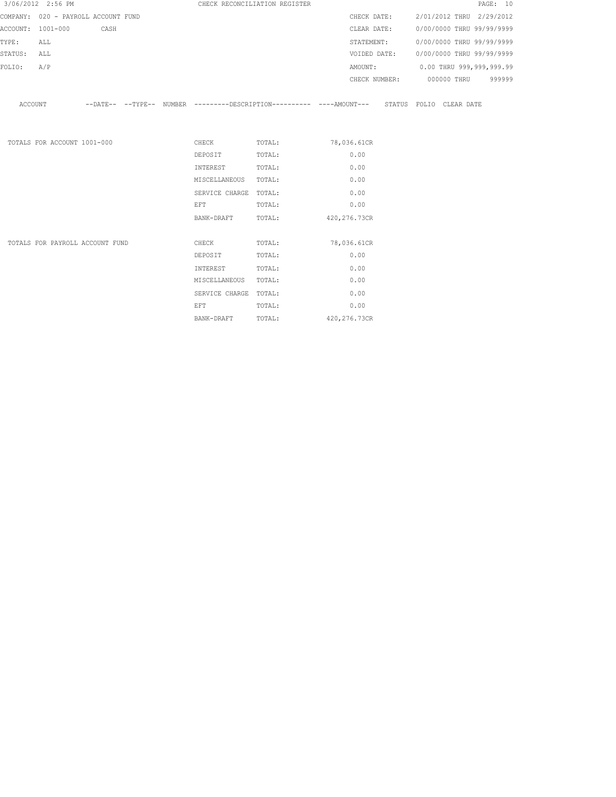|         | 3/06/2012 2:56 PM                   |  |                                                                                                                                                                                                                                | CHECK RECONCILIATION REGISTER |                                                                                               |  | PAGE: 10 |
|---------|-------------------------------------|--|--------------------------------------------------------------------------------------------------------------------------------------------------------------------------------------------------------------------------------|-------------------------------|-----------------------------------------------------------------------------------------------|--|----------|
|         | COMPANY: 020 - PAYROLL ACCOUNT FUND |  |                                                                                                                                                                                                                                |                               | CHECK DATE: 2/01/2012 THRU 2/29/2012                                                          |  |          |
|         | ACCOUNT: 1001-000 CASH              |  |                                                                                                                                                                                                                                |                               | CLEAR DATE: 0/00/0000 THRU 99/99/9999                                                         |  |          |
| TYPE:   | ALL                                 |  |                                                                                                                                                                                                                                |                               | STATEMENT: 0/00/0000 THRU 99/99/9999                                                          |  |          |
| STATUS: | ALL                                 |  |                                                                                                                                                                                                                                |                               | VOIDED DATE: 0/00/0000 THRU 99/99/9999                                                        |  |          |
| FOLIO:  | A/P                                 |  |                                                                                                                                                                                                                                |                               | AMOUNT: 0.00 THRU 999,999,999.99                                                              |  |          |
|         |                                     |  |                                                                                                                                                                                                                                |                               | CHECK NUMBER: 000000 THRU                                                                     |  | 999999   |
| ACCOUNT |                                     |  |                                                                                                                                                                                                                                |                               | --DATE-- --TYPE-- NUMBER ---------DESCRIPTION---------- ----AMOUNT--- STATUS FOLIO CLEAR DATE |  |          |
|         |                                     |  |                                                                                                                                                                                                                                |                               |                                                                                               |  |          |
|         | TOTALS FOR ACCOUNT 1001-000         |  |                                                                                                                                                                                                                                | CHECK TOTAL: 78,036.61CR      |                                                                                               |  |          |
|         |                                     |  | DEPOSIT                                                                                                                                                                                                                        | TOTAL:                        | 0.00                                                                                          |  |          |
|         |                                     |  | INTEREST                                                                                                                                                                                                                       | TOTAL:                        | 0.00                                                                                          |  |          |
|         |                                     |  | MISCELLANEOUS TOTAL:                                                                                                                                                                                                           |                               | 0.00                                                                                          |  |          |
|         |                                     |  | SERVICE CHARGE TOTAL:                                                                                                                                                                                                          |                               | 0.00                                                                                          |  |          |
|         |                                     |  | EFT FOR THE STATE OF THE STATE OF THE STATE OF THE STATE OF THE STATE OF THE STATE OF THE STATE OF THE STATE O                                                                                                                 | TOTAL:                        | 0.00                                                                                          |  |          |
|         |                                     |  | BANK-DRAFT                                                                                                                                                                                                                     | TOTAL: 420, 276.73CR          |                                                                                               |  |          |
|         |                                     |  |                                                                                                                                                                                                                                |                               |                                                                                               |  |          |
|         | TOTALS FOR PAYROLL ACCOUNT FUND     |  | <b>CHECK</b>                                                                                                                                                                                                                   | TOTAL:                        | 78,036.61CR                                                                                   |  |          |
|         |                                     |  | DEPOSIT                                                                                                                                                                                                                        | TOTAL:                        | 0.00                                                                                          |  |          |
|         |                                     |  | INTEREST                                                                                                                                                                                                                       | TOTAL:                        | 0.00                                                                                          |  |          |
|         |                                     |  | MISCELLANEOUS TOTAL:                                                                                                                                                                                                           |                               | 0.00                                                                                          |  |          |
|         |                                     |  | SERVICE CHARGE TOTAL:                                                                                                                                                                                                          |                               | 0.00                                                                                          |  |          |
|         |                                     |  | EFT FOR THE RESIDENCE OF THE RESIDENCE OF THE RESIDENCE OF THE RESIDENCE OF THE RESIDENCE OF THE RESIDENCE OF THE RESIDENCE OF THE RESIDENCE OF THE RESIDENCE OF THE RESIDENCE OF THE RESIDENCE OF THE RESIDENCE OF THE RESIDE | TOTAL:                        | 0.00                                                                                          |  |          |
|         |                                     |  | BANK-DRAFT                                                                                                                                                                                                                     | TOTAL:                        | 420, 276.73CR                                                                                 |  |          |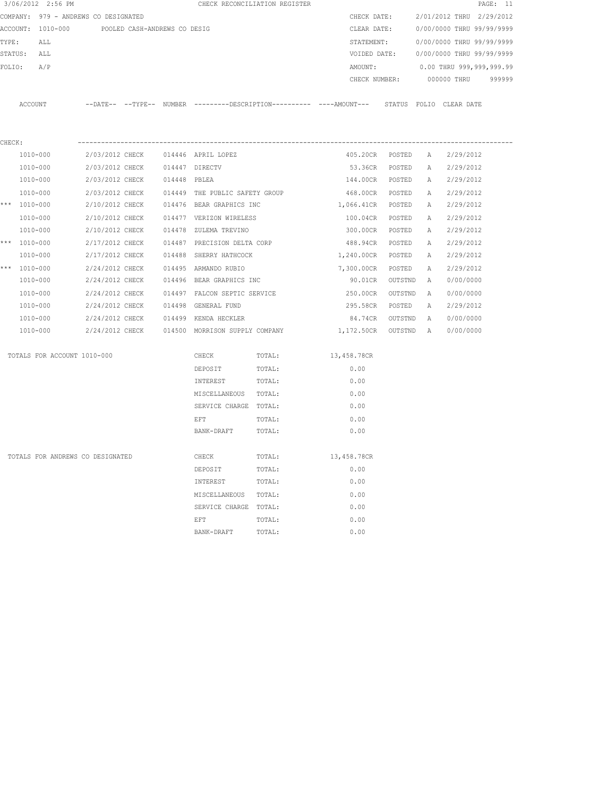|        | 3/06/2012 2:56 PM                              |                 |                 |              |                                    | CHECK RECONCILIATION REGISTER |                                                                                             |         |          |                           | PAGE: 11 |
|--------|------------------------------------------------|-----------------|-----------------|--------------|------------------------------------|-------------------------------|---------------------------------------------------------------------------------------------|---------|----------|---------------------------|----------|
|        | COMPANY: 979 - ANDREWS CO DESIGNATED           |                 |                 |              |                                    |                               | CHECK DATE:                                                                                 |         |          | 2/01/2012 THRU 2/29/2012  |          |
|        | ACCOUNT: 1010-000 POOLED CASH-ANDREWS CO DESIG |                 |                 |              |                                    |                               | CLEAR DATE:                                                                                 |         |          | 0/00/0000 THRU 99/99/9999 |          |
| TYPE:  | ALL                                            |                 |                 |              |                                    |                               | STATEMENT:                                                                                  |         |          | 0/00/0000 THRU 99/99/9999 |          |
|        | STATUS: ALL                                    |                 |                 |              |                                    |                               | VOIDED DATE:                                                                                |         |          | 0/00/0000 THRU 99/99/9999 |          |
| FOLIO: | A/P                                            |                 |                 |              |                                    |                               | AMOUNT:                                                                                     |         |          | 0.00 THRU 999,999,999.99  |          |
|        |                                                |                 |                 |              |                                    |                               | CHECK NUMBER:                                                                               |         |          | 000000 THRU               | 999999   |
|        |                                                |                 |                 |              |                                    |                               |                                                                                             |         |          |                           |          |
|        | ACCOUNT                                        |                 |                 |              |                                    |                               | --DATE-- --TYPE-- NUMBER --------DESCRIPTION---------- ----AMOUNT--- STATUS FOLIO CLEARDATE |         |          |                           |          |
|        |                                                |                 |                 |              |                                    |                               |                                                                                             |         |          |                           |          |
| CHECK: |                                                |                 |                 |              |                                    |                               |                                                                                             |         |          |                           |          |
|        | 1010-000                                       |                 |                 |              | 2/03/2012 CHECK 014446 APRIL LOPEZ |                               | 405.20CR                                                                                    | POSTED  | <b>A</b> | 2/29/2012                 |          |
|        | 1010-000                                       | 2/03/2012 CHECK |                 |              | 014447 DIRECTV                     |                               | 53.36CR                                                                                     | POSTED  | A        | 2/29/2012                 |          |
|        | 1010-000                                       | 2/03/2012 CHECK |                 | 014448 PBLEA |                                    |                               | 144.00CR                                                                                    | POSTED  | A        | 2/29/2012                 |          |
|        | 1010-000                                       | 2/03/2012 CHECK |                 |              | 014449 THE PUBLIC SAFETY GROUP     |                               | 468.00CR                                                                                    | POSTED  | A        | 2/29/2012                 |          |
|        | *** 1010-000                                   | 2/10/2012 CHECK |                 |              | 014476 BEAR GRAPHICS INC           |                               | 1,066.41CR                                                                                  | POSTED  | A        | 2/29/2012                 |          |
|        | 1010-000                                       | 2/10/2012 CHECK |                 |              | 014477 VERIZON WIRELESS            |                               | 100.04CR POSTED                                                                             |         | A        | 2/29/2012                 |          |
|        | 1010-000                                       | 2/10/2012 CHECK |                 |              | 014478 ZULEMA TREVINO              |                               | 300.00CR POSTED                                                                             |         | A        | 2/29/2012                 |          |
|        | *** $1010 - 000$                               | 2/17/2012 CHECK |                 |              | 014487 PRECISION DELTA CORP        |                               | 488.94CR POSTED                                                                             |         | A        | 2/29/2012                 |          |
|        | 1010-000                                       | 2/17/2012 CHECK |                 |              | 014488 SHERRY HATHCOCK             |                               | 1,240.00CR POSTED                                                                           |         | A        | 2/29/2012                 |          |
|        | *** 1010-000                                   | 2/24/2012 CHECK |                 |              | 014495 ARMANDO RUBIO               |                               | 7,300.00CR                                                                                  | POSTED  | A        | 2/29/2012                 |          |
|        | 1010-000                                       | 2/24/2012 CHECK |                 |              | 014496 BEAR GRAPHICS INC           |                               | 90.01CR                                                                                     | OUTSTND | A        | 0/00/0000                 |          |
|        | 1010-000                                       | 2/24/2012 CHECK |                 |              |                                    | 014497 FALCON SEPTIC SERVICE  | 250.00CR                                                                                    | OUTSTND | A        | 0/00/0000                 |          |
|        | 1010-000                                       | 2/24/2012 CHECK |                 |              | 014498 GENERAL FUND                |                               | 295.58CR                                                                                    | POSTED  | Α        | 2/29/2012                 |          |
|        | 1010-000                                       | 2/24/2012 CHECK |                 |              | 014499 KENDA HECKLER               |                               | 84.74CR                                                                                     | OUTSTND | A        | 0/00/0000                 |          |
|        | 1010-000                                       |                 | 2/24/2012 CHECK |              | 014500 MORRISON SUPPLY COMPANY     |                               | 1,172.50CR                                                                                  | OUTSTND | A        | 0/00/0000                 |          |
|        | TOTALS FOR ACCOUNT 1010-000                    |                 |                 |              | CHECK                              | TOTAL:                        | 13,458.78CR                                                                                 |         |          |                           |          |
|        |                                                |                 |                 |              | DEPOSIT                            | TOTAL:                        | 0.00                                                                                        |         |          |                           |          |
|        |                                                |                 |                 |              | INTEREST                           | TOTAL:                        | 0.00                                                                                        |         |          |                           |          |
|        |                                                |                 |                 |              | MISCELLANEOUS TOTAL:               |                               | 0.00                                                                                        |         |          |                           |          |
|        |                                                |                 |                 |              | SERVICE CHARGE TOTAL:              |                               | 0.00                                                                                        |         |          |                           |          |
|        |                                                |                 |                 |              | EFT                                | TOTAL:                        | 0.00                                                                                        |         |          |                           |          |
|        |                                                |                 |                 |              | BANK-DRAFT                         | TOTAL:                        | 0.00                                                                                        |         |          |                           |          |
|        | TOTALS FOR ANDREWS CO DESIGNATED               |                 |                 |              | CHECK                              | TOTAL:                        | 13,458.78CR                                                                                 |         |          |                           |          |
|        |                                                |                 |                 |              | DEPOSIT                            | TOTAL:                        | 0.00                                                                                        |         |          |                           |          |
|        |                                                |                 |                 |              | INTEREST                           | TOTAL:                        | 0.00                                                                                        |         |          |                           |          |
|        |                                                |                 |                 |              | MISCELLANEOUS                      | TOTAL:                        | 0.00                                                                                        |         |          |                           |          |
|        |                                                |                 |                 |              | SERVICE CHARGE                     | TOTAL:                        | 0.00                                                                                        |         |          |                           |          |
|        |                                                |                 |                 |              | EFT                                | TOTAL:                        | 0.00                                                                                        |         |          |                           |          |
|        |                                                |                 |                 |              | BANK-DRAFT                         | TOTAL:                        | 0.00                                                                                        |         |          |                           |          |
|        |                                                |                 |                 |              |                                    |                               |                                                                                             |         |          |                           |          |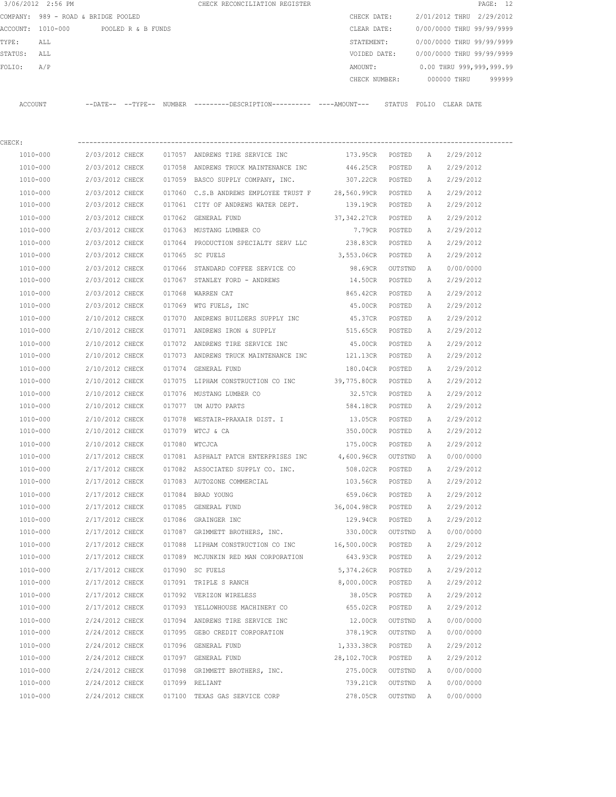|              | 3/06/2012 2:56 PM                   |                          |                    |        | CHECK RECONCILIATION REGISTER                       |                       |       |                           | PAGE: 12 |
|--------------|-------------------------------------|--------------------------|--------------------|--------|-----------------------------------------------------|-----------------------|-------|---------------------------|----------|
|              | COMPANY: 989 - ROAD & BRIDGE POOLED |                          |                    |        |                                                     | CHECK DATE:           |       | 2/01/2012 THRU 2/29/2012  |          |
| ACCOUNT:     | 1010-000                            |                          | POOLED R & B FUNDS |        |                                                     | CLEAR DATE:           |       | 0/00/0000 THRU 99/99/9999 |          |
| TYPE:        | ALL                                 |                          |                    |        |                                                     | STATEMENT:            |       | 0/00/0000 THRU 99/99/9999 |          |
| STATUS:      | ALL                                 |                          |                    |        |                                                     | VOIDED DATE:          |       | 0/00/0000 THRU 99/99/9999 |          |
| FOLIO:       | A/P                                 |                          |                    |        |                                                     | AMOUNT:               |       | 0.00 THRU 999,999,999.99  |          |
|              |                                     |                          |                    |        |                                                     | CHECK NUMBER:         |       | 000000 THRU               | 999999   |
| ACCOUNT      |                                     | --DATE-- --TYPE-- NUMBER |                    |        | ---------DESCRIPTION---------- ----AMOUNT--- STATUS |                       | FOLIO | CLEAR DATE                |          |
| CHECK:       |                                     |                          |                    |        |                                                     |                       |       |                           |          |
|              | 1010-000                            | 2/03/2012 CHECK          |                    | 017057 | ANDREWS TIRE SERVICE INC                            | 173.95CR<br>POSTED    | Α     | 2/29/2012                 |          |
| $1010 - 000$ |                                     | 2/03/2012 CHECK          |                    | 017058 | ANDREWS TRUCK MAINTENANCE INC                       | 446.25CR<br>POSTED    | A     | 2/29/2012                 |          |
| 1010-000     |                                     | 2/03/2012 CHECK          |                    | 017059 | BASCO SUPPLY COMPANY, INC.                          | 307.22CR<br>POSTED    | Α     | 2/29/2012                 |          |
| 1010-000     |                                     | 2/03/2012 CHECK          |                    |        | 017060 C.S.B ANDREWS EMPLOYEE TRUST F               | 28,560.99CR<br>POSTED | Α     | 2/29/2012                 |          |
| 1010-000     |                                     | 2/03/2012 CHECK          |                    | 017061 | CITY OF ANDREWS WATER DEPT.                         | 139.19CR<br>POSTED    | Α     | 2/29/2012                 |          |
|              |                                     |                          |                    |        |                                                     |                       |       |                           |          |

| TOTO-000     | Z/U3/ZUIZ CHECK                     |               | <b>OI/OOI CITY OF ANDREWS WATER DEFT.</b>                          | 139.19CK           | POSTED    |              | 21 29 1 20 1 2 |
|--------------|-------------------------------------|---------------|--------------------------------------------------------------------|--------------------|-----------|--------------|----------------|
| 1010-000     | 2/03/2012 CHECK                     |               | 017062 GENERAL FUND                                                | 37,342.27CR        | POSTED    | A            | 2/29/2012      |
| 1010-000     | 2/03/2012 CHECK                     |               | 017063 MUSTANG LUMBER CO                                           | 7.79CR             | POSTED    | $\mathbb{A}$ | 2/29/2012      |
| 1010-000     | 2/03/2012 CHECK                     |               | 017064 PRODUCTION SPECIALTY SERV LLC                               | 238.83CR           | POSTED    | Α            | 2/29/2012      |
| 1010-000     | 2/03/2012 CHECK                     |               | 017065 SC FUELS                                                    | 3,553.06CR         | POSTED    | Α            | 2/29/2012      |
| 1010-000     | 2/03/2012 CHECK                     |               | 017066 STANDARD COFFEE SERVICE CO                                  | 98.69CR            | OUTSTND   | Α            | 0/00/0000      |
| 1010-000     | 2/03/2012 CHECK                     |               | 017067 STANLEY FORD - ANDREWS                                      | 14.50CR            | POSTED    | A            | 2/29/2012      |
| 1010-000     | 2/03/2012 CHECK                     |               | 017068 WARREN CAT                                                  | 865.42CR           | POSTED    | Α            | 2/29/2012      |
| 1010-000     | 2/03/2012 CHECK                     |               | 017069 WTG FUELS, INC                                              | 45.00CR            | POSTED    | Α            | 2/29/2012      |
| 1010-000     | 2/10/2012 CHECK                     |               | 017070 ANDREWS BUILDERS SUPPLY INC                                 | 45.37CR            | POSTED    | Α            | 2/29/2012      |
| 1010-000     | 2/10/2012 CHECK                     |               | 017071 ANDREWS IRON & SUPPLY                                       | 515.65CR           | POSTED    | Α            | 2/29/2012      |
| 1010-000     | 2/10/2012 CHECK                     |               | 017072 ANDREWS TIRE SERVICE INC                                    | 45.00CR            | POSTED    | Α            | 2/29/2012      |
| 1010-000     | 2/10/2012 CHECK                     |               | 017073 ANDREWS TRUCK MAINTENANCE INC                               | 121.13CR           | POSTED    | Α            | 2/29/2012      |
| 1010-000     | 2/10/2012 CHECK                     |               | 017074 GENERAL FUND                                                | 180.04CR           | POSTED    | Α            | 2/29/2012      |
| 1010-000     | 2/10/2012 CHECK                     |               | 017075 LIPHAM CONSTRUCTION CO INC 39,775.80CR                      |                    | POSTED    | Α            | 2/29/2012      |
| 1010-000     | 2/10/2012 CHECK                     |               | 017076 MUSTANG LUMBER CO                                           | 32.57CR            | POSTED    | Α            | 2/29/2012      |
| $1010 - 000$ | 2/10/2012 CHECK                     |               | 017077 UM AUTO PARTS                                               | 584.18CR           | POSTED    | Α            | 2/29/2012      |
| 1010-000     | 2/10/2012 CHECK                     |               | 017078 WESTAIR-PRAXAIR DIST. I                                     | 13.05CR            | POSTED    | Α            | 2/29/2012      |
| 1010-000     | 2/10/2012 CHECK                     |               | 017079 WTCJ & CA                                                   | 350.00CR           | POSTED    | $\mathbb{A}$ | 2/29/2012      |
| 1010-000     | 2/10/2012 CHECK                     | 017080 WTCJCA |                                                                    | 175.00CR           | POSTED    | $\mathbb A$  | 2/29/2012      |
| 1010-000     | 2/17/2012 CHECK                     |               | 017081 ASPHALT PATCH ENTERPRISES INC                               | 4,600.96CR         | OUTSTND   | $\mathbb{A}$ | 0/00/0000      |
| 1010-000     | 2/17/2012 CHECK                     |               | 017082 ASSOCIATED SUPPLY CO. INC.                                  | 508.02CR           | POSTED    | Α            | 2/29/2012      |
| 1010-000     | 2/17/2012 CHECK                     |               | 017083 AUTOZONE COMMERCIAL                                         | 103.56CR           | POSTED    | $\mathbb{A}$ | 2/29/2012      |
| 1010-000     | 2/17/2012 CHECK                     |               | 017084 BRAD YOUNG                                                  | 659.06CR           | POSTED    | Α            | 2/29/2012      |
| 1010-000     | 2/17/2012 CHECK 017085 GENERAL FUND |               |                                                                    | 36,004.98CR        | POSTED    | A            | 2/29/2012      |
| 1010-000     | 2/17/2012 CHECK 017086 GRAINGER INC |               |                                                                    | 129.94CR POSTED    |           | Α            | 2/29/2012      |
| 1010-000     |                                     |               | 2/17/2012 CHECK 017087 GRIMMETT BROTHERS, INC.                     | 330.00CR OUTSTND   |           | <b>A</b>     | 0/00/0000      |
| 1010-000     |                                     |               | $2/17/2012$ CHECK 017088 LIPHAM CONSTRUCTION CO INC $16,500.00$ CR |                    | POSTED    | Α            | 2/29/2012      |
| 1010-000     | 2/17/2012 CHECK                     |               | 017089 MCJUNKIN RED MAN CORPORATION                                | 643.93CR POSTED    |           | A            | 2/29/2012      |
| 1010-000     | 2/17/2012 CHECK                     |               | 017090 SC FUELS                                                    | 5,374.26CR         | POSTED    | Α            | 2/29/2012      |
| 1010-000     | 2/17/2012 CHECK                     |               | 017091 TRIPLE S RANCH                                              | 8,000.00CR         | POSTED    | Α            | 2/29/2012      |
| 1010-000     | 2/17/2012 CHECK                     |               | 017092 VERIZON WIRELESS                                            | 38.05CR            | POSTED    | Α            | 2/29/2012      |
| 1010-000     | 2/17/2012 CHECK                     |               | 017093 YELLOWHOUSE MACHINERY CO                                    | 655.02CR           | POSTED    | Α            | 2/29/2012      |
| 1010-000     | 2/24/2012 CHECK                     |               | 017094 ANDREWS TIRE SERVICE INC                                    | 12.00CR            | OUTSTND   | Α            | 0/00/0000      |
| 1010-000     | 2/24/2012 CHECK                     |               | 017095 GEBO CREDIT CORPORATION                                     | 378.19CR           | OUTSTND   | Α            | 0/00/0000      |
| 1010-000     | 2/24/2012 CHECK                     |               | 017096 GENERAL FUND                                                | 1,333.38CR         | POSTED    | $\mathbb{A}$ | 2/29/2012      |
| 1010-000     | 2/24/2012 CHECK                     |               | 017097 GENERAL FUND                                                | 28,102.70CR        | POSTED    | $\mathbb A$  | 2/29/2012      |
| 1010-000     | 2/24/2012 CHECK                     |               | 017098 GRIMMETT BROTHERS, INC.                                     | 275.00CR           | OUTSTND A |              | 0/00/0000      |
| 1010-000     | 2/24/2012 CHECK                     |               | 017099 RELIANT                                                     | 739.21CR OUTSTND A |           |              | 0/00/0000      |
| 1010-000     | 2/24/2012 CHECK                     |               | 017100 TEXAS GAS SERVICE CORP                                      | 278.05CR           | OUTSTND   | A            | 0/00/0000      |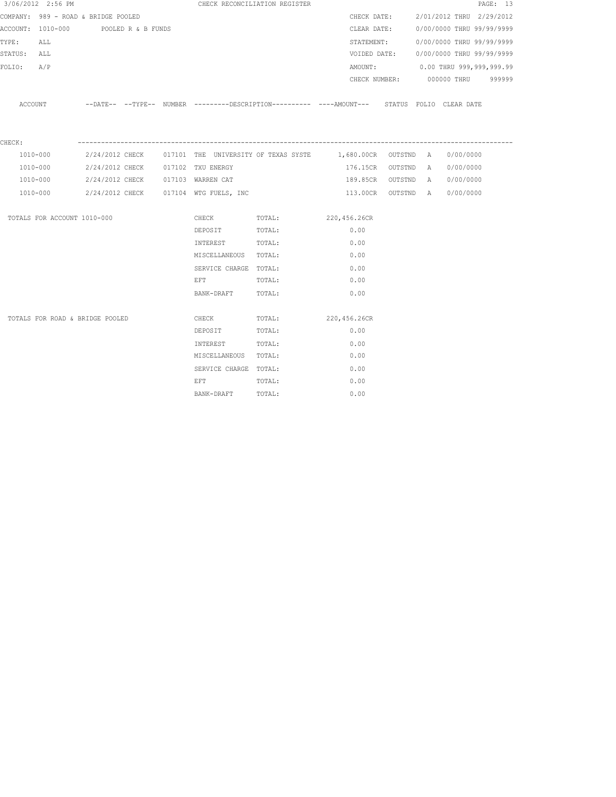|             | 3/06/2012 2:56 PM                    |  |                                                | CHECK RECONCILIATION REGISTER |                                                                                                       |  |                                        | PAGE: 13 |
|-------------|--------------------------------------|--|------------------------------------------------|-------------------------------|-------------------------------------------------------------------------------------------------------|--|----------------------------------------|----------|
|             | COMPANY: 989 - ROAD & BRIDGE POOLED  |  |                                                |                               | CHECK DATE:                                                                                           |  | 2/01/2012 THRU 2/29/2012               |          |
|             | ACCOUNT: 1010-000 POOLED R & B FUNDS |  |                                                |                               |                                                                                                       |  | CLEAR DATE: 0/00/0000 THRU 99/99/9999  |          |
| TYPE: ALL   |                                      |  |                                                |                               | STATEMENT:                                                                                            |  | 0/00/0000 THRU 99/99/9999              |          |
| STATUS: ALL |                                      |  |                                                |                               |                                                                                                       |  | VOIDED DATE: 0/00/0000 THRU 99/99/9999 |          |
| FOLIO: A/P  |                                      |  |                                                |                               |                                                                                                       |  | AMOUNT: 0.00 THRU 999,999,999.99       |          |
|             |                                      |  |                                                |                               |                                                                                                       |  | CHECK NUMBER: 000000 THRU 999999       |          |
|             |                                      |  |                                                |                               | ACCOUNT --DATE-- --TYPE-- NUMBER ---------DESCRIPTION---------- ----AMOUNT--- STATUS FOLIO CLEAR DATE |  |                                        |          |
| CHECK:      |                                      |  |                                                |                               |                                                                                                       |  |                                        |          |
|             | 1010-000                             |  |                                                |                               | 2/24/2012 CHECK 017101 THE UNIVERSITY OF TEXAS SYSTE 1,680.00CR OUTSTND A 0/00/0000                   |  |                                        |          |
| 1010-000    |                                      |  | 2/24/2012 CHECK 017102 TXU ENERGY              |                               | 176.15CR OUTSTND A 0/00/0000                                                                          |  |                                        |          |
| 1010-000    |                                      |  | 2/24/2012 CHECK 017103 WARREN CAT              |                               |                                                                                                       |  | 189.85CR OUTSTND A 0/00/0000           |          |
|             |                                      |  | 1010-000 2/24/2012 CHECK 017104 WTG FUELS, INC |                               |                                                                                                       |  | 113.00CR OUTSTND A 0/00/0000           |          |
|             | TOTALS FOR ACCOUNT 1010-000          |  |                                                | CHECK TOTAL: 220,456.26CR     |                                                                                                       |  |                                        |          |
|             |                                      |  | DEPOSIT                                        | TOTAL:                        | 0.00                                                                                                  |  |                                        |          |
|             |                                      |  | INTEREST TOTAL:                                |                               | 0.00                                                                                                  |  |                                        |          |
|             |                                      |  | MISCELLANEOUS TOTAL:                           |                               | 0.00                                                                                                  |  |                                        |          |
|             |                                      |  | SERVICE CHARGE TOTAL:                          |                               | 0.00                                                                                                  |  |                                        |          |
|             |                                      |  | EFT TOTAL:                                     |                               | 0.00                                                                                                  |  |                                        |          |
|             |                                      |  | BANK-DRAFT TOTAL:                              |                               | 0.00                                                                                                  |  |                                        |          |
|             | TOTALS FOR ROAD & BRIDGE POOLED      |  |                                                | CHECK TOTAL: 220,456.26CR     |                                                                                                       |  |                                        |          |
|             |                                      |  | DEPOSIT                                        | TOTAL:                        | 0.00                                                                                                  |  |                                        |          |
|             |                                      |  | INTEREST TOTAL:                                |                               | 0.00                                                                                                  |  |                                        |          |
|             |                                      |  | MISCELLANEOUS TOTAL:                           |                               | 0.00                                                                                                  |  |                                        |          |
|             |                                      |  | SERVICE CHARGE TOTAL:                          |                               | 0.00                                                                                                  |  |                                        |          |
|             |                                      |  | EFT                                            | TOTAL:                        | 0.00                                                                                                  |  |                                        |          |
|             |                                      |  | BANK-DRAFT TOTAL:                              |                               | 0.00                                                                                                  |  |                                        |          |
|             |                                      |  |                                                |                               |                                                                                                       |  |                                        |          |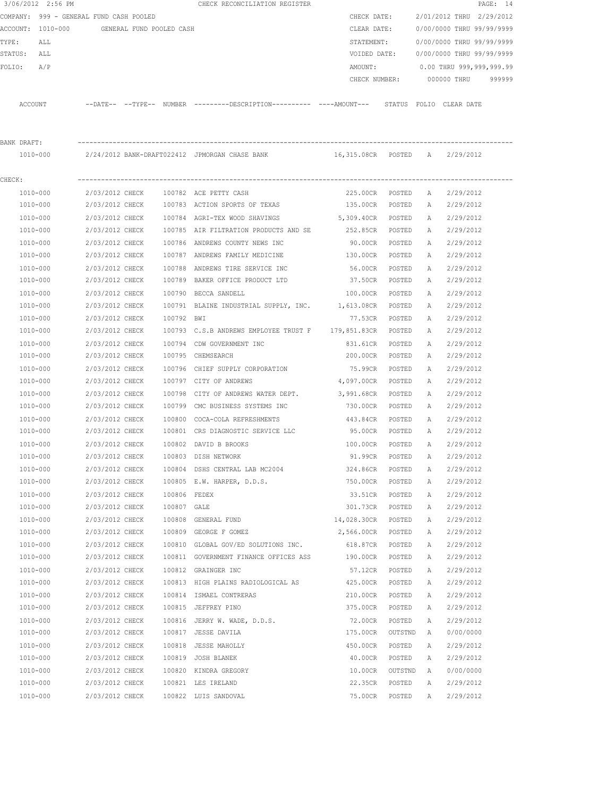|             | 3/06/2012 2:56 PM                          |                 |              | CHECK RECONCILIATION REGISTER                                                                       |                   |         |              |                           | PAGE: 14 |
|-------------|--------------------------------------------|-----------------|--------------|-----------------------------------------------------------------------------------------------------|-------------------|---------|--------------|---------------------------|----------|
|             | COMPANY: 999 - GENERAL FUND CASH POOLED    |                 |              |                                                                                                     | CHECK DATE:       |         |              | 2/01/2012 THRU 2/29/2012  |          |
|             | ACCOUNT: 1010-000 GENERAL FUND POOLED CASH |                 |              |                                                                                                     | CLEAR DATE:       |         |              | 0/00/0000 THRU 99/99/9999 |          |
| TYPE:       | ALL                                        |                 |              |                                                                                                     | STATEMENT:        |         |              | 0/00/0000 THRU 99/99/9999 |          |
| STATUS: ALL |                                            |                 |              |                                                                                                     | VOIDED DATE:      |         |              | 0/00/0000 THRU 99/99/9999 |          |
| FOLIO:      | A/P                                        |                 |              |                                                                                                     | AMOUNT:           |         |              | 0.00 THRU 999,999,999.99  |          |
|             |                                            |                 |              |                                                                                                     | CHECK NUMBER:     |         |              | 000000 THRU               | 999999   |
|             | ACCOUNT                                    |                 |              | --DATE-- --TYPE-- NUMBER ---------DESCRIPTION---------- ----AMOUNT--- STATUS FOLIO CLEARDATE        |                   |         |              |                           |          |
|             |                                            |                 |              |                                                                                                     |                   |         |              |                           |          |
| BANK DRAFT: |                                            |                 |              |                                                                                                     |                   |         |              |                           |          |
|             | 1010-000                                   |                 |              | 2/24/2012 BANK-DRAFT022412 JPMORGAN CHASE BANK                         16,315.08CR    POSTED      A |                   |         |              | 2/29/2012                 |          |
| CHECK:      |                                            |                 |              |                                                                                                     |                   |         |              |                           |          |
|             | 1010-000                                   | 2/03/2012 CHECK |              | 100782 ACE PETTY CASH                                                                               | 225.00CR POSTED   |         | A            | 2/29/2012                 |          |
|             | 1010-000                                   | 2/03/2012 CHECK |              | 100783 ACTION SPORTS OF TEXAS                                                                       | 135.00CR          | POSTED  | A            | 2/29/2012                 |          |
|             | 1010-000                                   | 2/03/2012 CHECK |              | 100784 AGRI-TEX WOOD SHAVINGS                                                                       | 5,309.40CR POSTED |         | A            | 2/29/2012                 |          |
|             | 1010-000                                   | 2/03/2012 CHECK |              | 100785 AIR FILTRATION PRODUCTS AND SE                                                               | 252.85CR POSTED   |         |              | A 2/29/2012               |          |
|             | 1010-000                                   | 2/03/2012 CHECK |              | 100786 ANDREWS COUNTY NEWS INC                                                                      | 90.00CR           | POSTED  |              | A 2/29/2012               |          |
|             | 1010-000                                   | 2/03/2012 CHECK |              | 100787 ANDREWS FAMILY MEDICINE                                                                      | 130.00CR          | POSTED  | А            | 2/29/2012                 |          |
|             | 1010-000                                   | 2/03/2012 CHECK |              | 100788 ANDREWS TIRE SERVICE INC                                                                     | 56.00CR           | POSTED  | A            | 2/29/2012                 |          |
|             | 1010-000                                   | 2/03/2012 CHECK |              | 100789 BAKER OFFICE PRODUCT LTD                                                                     | 37.50CR           | POSTED  | A            | 2/29/2012                 |          |
|             | 1010-000                                   | 2/03/2012 CHECK |              | 100790 BECCA SANDELL                                                                                | 100.00CR          | POSTED  | $\mathbb{A}$ | 2/29/2012                 |          |
|             | 1010-000                                   | 2/03/2012 CHECK |              | 100791 BLAINE INDUSTRIAL SUPPLY, INC. 1,613.08CR POSTED                                             |                   |         | $\mathbb{A}$ | 2/29/2012                 |          |
|             | 1010-000                                   | 2/03/2012 CHECK | 100792 BWI   |                                                                                                     | 77.53CR           | POSTED  | Α            | 2/29/2012                 |          |
|             | 1010-000                                   | 2/03/2012 CHECK |              | 100793 C.S.B ANDREWS EMPLOYEE TRUST F 179,851.83CR                                                  |                   | POSTED  | Α            | 2/29/2012                 |          |
|             | 1010-000                                   | 2/03/2012 CHECK |              | 100794 CDW GOVERNMENT INC                                                                           | 831.61CR          | POSTED  | A            | 2/29/2012                 |          |
|             | 1010-000                                   | 2/03/2012 CHECK |              | 100795 CHEMSEARCH                                                                                   | 200.00CR          | POSTED  | A            | 2/29/2012                 |          |
|             | 1010-000                                   | 2/03/2012 CHECK |              | 100796 CHIEF SUPPLY CORPORATION                                                                     | 75.99CR           | POSTED  | Α            | 2/29/2012                 |          |
|             | 1010-000                                   | 2/03/2012 CHECK |              | 100797 CITY OF ANDREWS                                                                              | 4,097.00CR        | POSTED  | A            | 2/29/2012                 |          |
|             | 1010-000                                   | 2/03/2012 CHECK | 100798       | CITY OF ANDREWS WATER DEPT.                                                                         | 3,991.68CR        | POSTED  | Α            | 2/29/2012                 |          |
|             | 1010-000                                   | 2/03/2012 CHECK | 100799       | CMC BUSINESS SYSTEMS INC                                                                            | 730.00CR          | POSTED  | A            | 2/29/2012                 |          |
|             | 1010-000                                   | 2/03/2012 CHECK |              | 100800 COCA-COLA REFRESHMENTS                                                                       | 443.84CR          | POSTED  | A            | 2/29/2012                 |          |
|             | 1010-000                                   | 2/03/2012 CHECK |              | 100801 CRS DIAGNOSTIC SERVICE LLC                                                                   | 95.00CR           | POSTED  | A            | 2/29/2012                 |          |
|             | 1010-000                                   | 2/03/2012 CHECK |              | 100802 DAVID B BROOKS                                                                               | 100.00CR          | POSTED  | A            | 2/29/2012                 |          |
|             | 1010-000                                   | 2/03/2012 CHECK |              | 100803 DISH NETWORK                                                                                 | 91.99CR           | POSTED  | А            | 2/29/2012                 |          |
|             | $1010 - 000$                               | 2/03/2012 CHECK |              | 100804 DSHS CENTRAL LAB MC2004                                                                      | 324.86CR          | POSTED  | Α            | 2/29/2012                 |          |
|             | 1010-000                                   | 2/03/2012 CHECK |              | 100805 E.W. HARPER, D.D.S.                                                                          | 750.00CR          | POSTED  | Α            | 2/29/2012                 |          |
|             | 1010-000                                   | 2/03/2012 CHECK | 100806 FEDEX |                                                                                                     | 33.51CR           | POSTED  | Α            | 2/29/2012                 |          |
|             | 1010-000                                   | 2/03/2012 CHECK | 100807 GALE  |                                                                                                     | 301.73CR          | POSTED  | Α            | 2/29/2012                 |          |
|             | 1010-000                                   | 2/03/2012 CHECK |              | 100808 GENERAL FUND                                                                                 | 14,028.30CR       | POSTED  | Α            | 2/29/2012                 |          |
|             | 1010-000                                   | 2/03/2012 CHECK |              | 100809 GEORGE F GOMEZ                                                                               | 2,566.00CR        | POSTED  | Α            | 2/29/2012                 |          |
|             | $1010 - 000$                               | 2/03/2012 CHECK |              | 100810 GLOBAL GOV/ED SOLUTIONS INC.                                                                 | 618.87CR          | POSTED  | Α            | 2/29/2012                 |          |
|             | 1010-000                                   | 2/03/2012 CHECK |              | 100811 GOVERNMENT FINANCE OFFICES ASS                                                               | 190.00CR          | POSTED  | Α            | 2/29/2012                 |          |
|             | 1010-000                                   | 2/03/2012 CHECK |              | 100812 GRAINGER INC                                                                                 | 57.12CR           | POSTED  | Α            | 2/29/2012                 |          |
|             | 1010-000                                   | 2/03/2012 CHECK |              | 100813 HIGH PLAINS RADIOLOGICAL AS                                                                  | 425.00CR          | POSTED  | Α            | 2/29/2012                 |          |
|             | 1010-000                                   | 2/03/2012 CHECK |              | 100814 ISMAEL CONTRERAS                                                                             | 210.00CR          | POSTED  | Α            | 2/29/2012                 |          |
|             | 1010-000                                   | 2/03/2012 CHECK |              | 100815 JEFFREY PINO                                                                                 | 375.00CR          | POSTED  | Α            | 2/29/2012                 |          |
|             | 1010-000                                   | 2/03/2012 CHECK |              | 100816 JERRY W. WADE, D.D.S.                                                                        | 72.00CR           | POSTED  | Α            | 2/29/2012                 |          |
|             | 1010-000                                   | 2/03/2012 CHECK |              | 100817 JESSE DAVILA                                                                                 | 175.00CR          | OUTSTND | Α            | 0/00/0000                 |          |
|             | 1010-000                                   | 2/03/2012 CHECK |              | 100818 JESSE MAHOLLY                                                                                | 450.00CR          | POSTED  | Α            | 2/29/2012                 |          |
|             | 1010-000                                   | 2/03/2012 CHECK |              | 100819 JOSH BLANEK                                                                                  | 40.00CR           | POSTED  | Α            | 2/29/2012                 |          |
|             | 1010-000                                   | 2/03/2012 CHECK |              | 100820 KINDRA GREGORY                                                                               | 10.00CR           | OUTSTND | $\mathbb{A}$ | 0/00/0000                 |          |
|             | 1010-000                                   | 2/03/2012 CHECK |              | 100821 LES IRELAND                                                                                  | 22.35CR           | POSTED  | Α            | 2/29/2012                 |          |
|             |                                            |                 |              |                                                                                                     |                   |         |              |                           |          |
|             | 1010-000                                   | 2/03/2012 CHECK |              | 100822 LUIS SANDOVAL                                                                                | 75.00CR           | POSTED  | Α            | 2/29/2012                 |          |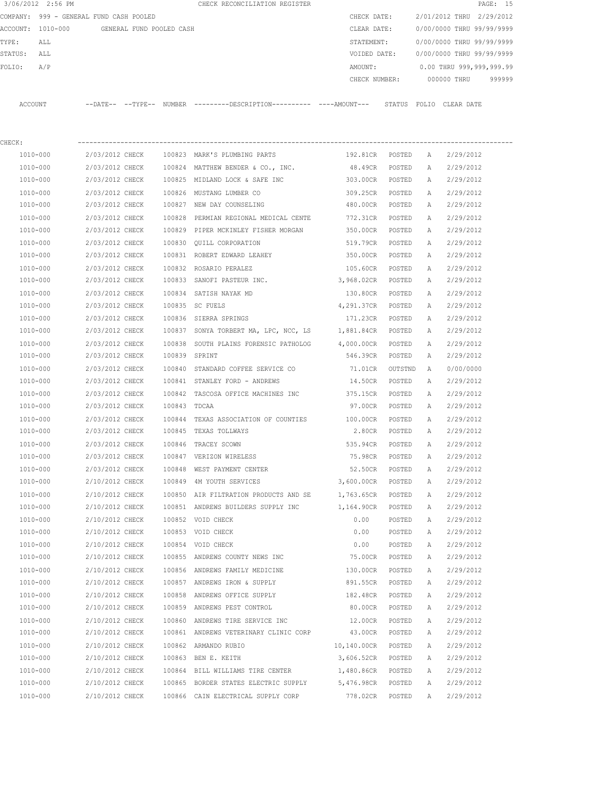|             | 3/06/2012 2:56 PM                          |                 |               | CHECK RECONCILIATION REGISTER                                                               |                   |         |          | PAGE: 15                         |
|-------------|--------------------------------------------|-----------------|---------------|---------------------------------------------------------------------------------------------|-------------------|---------|----------|----------------------------------|
|             | COMPANY: 999 - GENERAL FUND CASH POOLED    |                 |               |                                                                                             | CHECK DATE:       |         |          | 2/01/2012 THRU 2/29/2012         |
|             | ACCOUNT: 1010-000 GENERAL FUND POOLED CASH |                 |               |                                                                                             | CLEAR DATE:       |         |          | 0/00/0000 THRU 99/99/9999        |
| TYPE:       | ALL                                        |                 |               |                                                                                             | STATEMENT:        |         |          | 0/00/0000 THRU 99/99/9999        |
| STATUS: ALL |                                            |                 |               |                                                                                             | VOIDED DATE:      |         |          | 0/00/0000 THRU 99/99/9999        |
| FOLIO:      | A/P                                        |                 |               |                                                                                             | AMOUNT:           |         |          | 0.00 THRU 999,999,999.99         |
|             |                                            |                 |               |                                                                                             |                   |         |          | CHECK NUMBER: 000000 THRU 999999 |
|             | ACCOUNT                                    |                 |               | --DATE-- --TYPE-- NUMBER --------DESCRIPTION---------- ---AMOUNT--- STATUS FOLIO CLEAR-DATE |                   |         |          |                                  |
| CHECK:      |                                            |                 |               |                                                                                             |                   |         |          |                                  |
|             | 1010-000                                   | 2/03/2012 CHECK |               | 100823 MARK'S PLUMBING PARTS                                                                | 192.81CR POSTED A |         |          | 2/29/2012                        |
|             | 1010-000                                   | 2/03/2012 CHECK |               | 100824 MATTHEW BENDER & CO., INC.                                                           | 48.49CR POSTED    |         | A        | 2/29/2012                        |
|             | 1010-000                                   | 2/03/2012 CHECK |               | 100825 MIDLAND LOCK & SAFE INC                                                              | 303.00CR POSTED   |         | <b>A</b> | 2/29/2012                        |
|             | 1010-000                                   | 2/03/2012 CHECK |               | 100826 MUSTANG LUMBER CO                                                                    | 309.25CR POSTED   |         | A        | 2/29/2012                        |
|             | 1010-000                                   | 2/03/2012 CHECK |               | 100827 NEW DAY COUNSELING                                                                   | 480.00CR POSTED   |         | A        | 2/29/2012                        |
|             | 1010-000                                   | 2/03/2012 CHECK | 100828        | PERMIAN REGIONAL MEDICAL CENTE                                                              | 772.31CR POSTED   |         | A        | 2/29/2012                        |
|             | 1010-000                                   | 2/03/2012 CHECK |               | 100829 PIPER MCKINLEY FISHER MORGAN 650.00CR POSTED                                         |                   |         | A        | 2/29/2012                        |
|             | 1010-000                                   | 2/03/2012 CHECK |               | 100830 QUILL CORPORATION                                                                    | 519.79CR          | POSTED  | A        | 2/29/2012                        |
|             | 1010-000                                   | 2/03/2012 CHECK |               | 100831 ROBERT EDWARD LEAHEY                                                                 | 350.00CR POSTED   |         | A        | 2/29/2012                        |
|             | 1010-000                                   | 2/03/2012 CHECK |               | 100832 ROSARIO PERALEZ                                                                      | 105.60CR POSTED   |         | A        | 2/29/2012                        |
|             | 1010-000                                   | 2/03/2012 CHECK |               | 100833 SANOFI PASTEUR INC.                                                                  | 3,968.02CR POSTED |         | A        | 2/29/2012                        |
|             | 1010-000                                   | 2/03/2012 CHECK |               | 100834 SATISH NAYAK MD                                                                      | 130.80CR POSTED   |         | A        | 2/29/2012                        |
|             | 1010-000                                   | 2/03/2012 CHECK |               | 100835 SC FUELS                                                                             | 4,291.37CR POSTED |         | A        | 2/29/2012                        |
|             | 1010-000                                   | 2/03/2012 CHECK |               | 100836 SIERRA SPRINGS                                                                       | 171.23CR POSTED   |         | A        | 2/29/2012                        |
|             | 1010-000                                   | 2/03/2012 CHECK |               | 100837 SONYA TORBERT MA, LPC, NCC, LS                                                       | 1,881.84CR POSTED |         | A        | 2/29/2012                        |
|             | 1010-000                                   | 2/03/2012 CHECK |               | 100838 SOUTH PLAINS FORENSIC PATHOLOG                                                       | 4,000.00CR POSTED |         | A        | 2/29/2012                        |
|             | 1010-000                                   | 2/03/2012 CHECK | 100839 SPRINT |                                                                                             | 546.39CR POSTED   |         | A        | 2/29/2012                        |
|             | 1010-000                                   | 2/03/2012 CHECK |               | 100840 STANDARD COFFEE SERVICE CO                                                           | 71.01CR           | OUTSTND | A a      | 0/00/0000                        |
|             | 1010-000                                   | 2/03/2012 CHECK |               | 100841 STANLEY FORD - ANDREWS                                                               | 14.50CR           | POSTED  | A        | 2/29/2012                        |
|             | 1010-000                                   | 2/03/2012 CHECK |               | 100842 TASCOSA OFFICE MACHINES INC 375.15CR                                                 |                   | POSTED  | A        | 2/29/2012                        |
|             | 1010-000                                   | 2/03/2012 CHECK | 100843 TDCAA  |                                                                                             | 97.00CR           | POSTED  | A        | 2/29/2012                        |
|             | 1010-000                                   | 2/03/2012 CHECK |               | 100844 TEXAS ASSOCIATION OF COUNTIES 100.00CR                                               |                   | POSTED  | A        | 2/29/2012                        |
|             | 1010-000                                   |                 |               | 2/03/2012 CHECK 100845 TEXAS TOLLWAYS                                                       | 2.80CR            | POSTED  | A        | 2/29/2012                        |
|             | 1010-000                                   | 2/03/2012 CHECK |               | 100846 TRACEY SCOWN                                                                         | 535.94CR          | POSTED  | A        | 2/29/2012                        |
|             | 1010-000                                   | 2/03/2012 CHECK |               | 100847 VERIZON WIRELESS                                                                     | 75.98CR           | POSTED  | А        | 2/29/2012                        |
|             | 1010-000                                   | 2/03/2012 CHECK |               | 100848 WEST PAYMENT CENTER                                                                  | 52.50CR           | POSTED  | Α        | 2/29/2012                        |
|             | 1010-000                                   | 2/10/2012 CHECK |               | 100849 4M YOUTH SERVICES                                                                    | 3,600.00CR POSTED |         | Α        | 2/29/2012                        |
|             | $1010 - 000$                               | 2/10/2012 CHECK |               | 100850 AIR FILTRATION PRODUCTS AND SE                                                       | 1,763.65CR POSTED |         | Α        | 2/29/2012                        |
|             | 1010-000                                   | 2/10/2012 CHECK |               | 100851 ANDREWS BUILDERS SUPPLY INC                                                          | 1,164.90CR        | POSTED  | Α        | 2/29/2012                        |
|             | $1010 - 000$                               | 2/10/2012 CHECK |               | 100852 VOID CHECK                                                                           | 0.00              | POSTED  | Α        | 2/29/2012                        |
|             | 1010-000                                   | 2/10/2012 CHECK |               | 100853 VOID CHECK                                                                           | 0.00              | POSTED  | Α        | 2/29/2012                        |
|             | 1010-000                                   | 2/10/2012 CHECK |               | 100854 VOID CHECK                                                                           | 0.00              | POSTED  | Α        | 2/29/2012                        |
|             | 1010-000                                   | 2/10/2012 CHECK |               | 100855 ANDREWS COUNTY NEWS INC                                                              | 75.00CR           | POSTED  | Α        | 2/29/2012                        |
|             | $1010 - 000$                               | 2/10/2012 CHECK |               | 100856 ANDREWS FAMILY MEDICINE                                                              | 130.00CR          | POSTED  | Α        | 2/29/2012                        |
|             | 1010-000                                   | 2/10/2012 CHECK |               | 100857 ANDREWS IRON & SUPPLY                                                                | 891.55CR          | POSTED  | Α        | 2/29/2012                        |
|             | 1010-000                                   | 2/10/2012 CHECK |               | 100858 ANDREWS OFFICE SUPPLY                                                                | 182.48CR          | POSTED  | Α        | 2/29/2012                        |
|             | 1010-000                                   | 2/10/2012 CHECK |               | 100859 ANDREWS PEST CONTROL                                                                 | 80.00CR           | POSTED  | Α        | 2/29/2012                        |
|             | 1010-000                                   | 2/10/2012 CHECK |               | 100860 ANDREWS TIRE SERVICE INC                                                             | 12.00CR           | POSTED  | Α        | 2/29/2012                        |
|             | 1010-000                                   | 2/10/2012 CHECK |               | 100861 ANDREWS VETERINARY CLINIC CORP                                                       | 43.00CR           | POSTED  | Α        | 2/29/2012                        |
|             | 1010-000                                   | 2/10/2012 CHECK |               | 100862 ARMANDO RUBIO                                                                        | 10,140.00CR       | POSTED  | Α        | 2/29/2012                        |
|             | 1010-000                                   | 2/10/2012 CHECK |               | 100863 BEN E. KEITH                                                                         | 3,606.52CR POSTED |         | Α        | 2/29/2012                        |
|             | 1010-000                                   | 2/10/2012 CHECK |               | 100864 BILL WILLIAMS TIRE CENTER                                                            | 1,480.86CR        | POSTED  | Α        | 2/29/2012                        |
|             | 1010-000                                   | 2/10/2012 CHECK |               | 100865 BORDER STATES ELECTRIC SUPPLY                                                        | 5,476.98CR        | POSTED  | Α        | 2/29/2012                        |
|             | 1010-000                                   | 2/10/2012 CHECK |               | 100866 CAIN ELECTRICAL SUPPLY CORP                                                          | 778.02CR          | POSTED  | Α        | 2/29/2012                        |
|             |                                            |                 |               |                                                                                             |                   |         |          |                                  |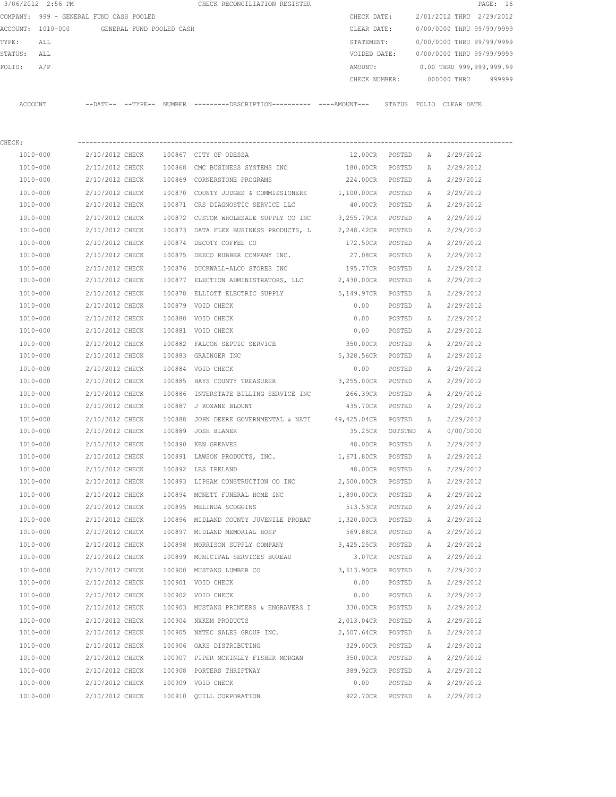|         | 3/06/2012 2:56 PM                       |          |          |                          |  | CHECK RECONCILIATION REGISTER |               |        |                           |             | PAGE: 16 |        |
|---------|-----------------------------------------|----------|----------|--------------------------|--|-------------------------------|---------------|--------|---------------------------|-------------|----------|--------|
|         | COMPANY: 999 - GENERAL FUND CASH POOLED |          |          |                          |  |                               | CHECK DATE:   |        | 2/01/2012 THRU 2/29/2012  |             |          |        |
|         | ACCOUNT: 1010-000                       |          |          | GENERAL FUND POOLED CASH |  |                               | CLEAR DATE:   |        | 0/00/0000 THRU 99/99/9999 |             |          |        |
| TYPE:   | ALL                                     |          |          |                          |  |                               | STATEMENT:    |        | 0/00/0000 THRU 99/99/9999 |             |          |        |
| STATUS: | ALL                                     |          |          |                          |  |                               | VOIDED DATE:  |        | 0/00/0000 THRU 99/99/9999 |             |          |        |
| FOLTO:  | A/P                                     |          |          |                          |  |                               | AMOUNT:       |        | 0.00 THRU 999,999,999.99  |             |          |        |
|         |                                         |          |          |                          |  |                               | CHECK NUMBER: |        |                           | 000000 THRU |          | 999999 |
|         |                                         |          |          |                          |  |                               |               |        |                           |             |          |        |
| ACCOUNT |                                         | --DATE-- | --TYPE-- | NUMBER                   |  |                               |               | STATUS | FOLTO                     | CLEAR DATE  |          |        |

| CHECK:   |                 |        |                                                       |                   |        |              |           |
|----------|-----------------|--------|-------------------------------------------------------|-------------------|--------|--------------|-----------|
| 1010-000 | 2/10/2012 CHECK |        | 100867 CITY OF ODESSA                                 | 12.00CR POSTED    |        | A            | 2/29/2012 |
| 1010-000 | 2/10/2012 CHECK |        | 100868 CMC BUSINESS SYSTEMS INC                       | 180.00CR          | POSTED | A            | 2/29/2012 |
| 1010-000 | 2/10/2012 CHECK |        | 100869 CORNERSTONE PROGRAMS                           | 224.00CR          | POSTED | A            | 2/29/2012 |
| 1010-000 | 2/10/2012 CHECK |        | 100870 COUNTY JUDGES & COMMISSIONERS                  | 1,100.00CR POSTED |        | A            | 2/29/2012 |
| 1010-000 | 2/10/2012 CHECK |        | 100871 CRS DIAGNOSTIC SERVICE LLC                     | 40.00CR POSTED    |        | Α            | 2/29/2012 |
| 1010-000 | 2/10/2012 CHECK |        | 100872 CUSTOM WHOLESALE SUPPLY CO INC                 | 3,255.79CR POSTED |        | A            | 2/29/2012 |
| 1010-000 | 2/10/2012 CHECK |        | 100873 DATA FLEX BUSINESS PRODUCTS, L                 | 2,248.42CR POSTED |        | A            | 2/29/2012 |
| 1010-000 | 2/10/2012 CHECK |        | 100874 DECOTY COFFEE CO                               | 172.50CR POSTED   |        | A            | 2/29/2012 |
| 1010-000 | 2/10/2012 CHECK |        | 100875 DEECO RUBBER COMPANY INC.                      | 27.08CR POSTED    |        | A            | 2/29/2012 |
| 1010-000 | 2/10/2012 CHECK |        | 100876 DUCKWALL-ALCO STORES INC                       | 195.77CR POSTED   |        | Α            | 2/29/2012 |
| 1010-000 | 2/10/2012 CHECK |        | 100877 ELECTION ADMINISTRATORS, LLC 2,430.00CR POSTED |                   |        | A            | 2/29/2012 |
| 1010-000 | 2/10/2012 CHECK |        | 100878 ELLIOTT ELECTRIC SUPPLY 5,149.97CR             |                   | POSTED | $\mathbb{A}$ | 2/29/2012 |
| 1010-000 | 2/10/2012 CHECK |        | 100879 VOID CHECK                                     | 0.00              | POSTED | Α            | 2/29/2012 |
| 1010-000 | 2/10/2012 CHECK |        | 100880 VOID CHECK                                     | 0.00              | POSTED | А            | 2/29/2012 |
| 1010-000 | 2/10/2012 CHECK |        | 100881 VOID CHECK                                     | 0.00              | POSTED | А            | 2/29/2012 |
| 1010-000 | 2/10/2012 CHECK |        | 100882 FALCON SEPTIC SERVICE                          | 350.00CR POSTED   |        | Α            | 2/29/2012 |
| 1010-000 | 2/10/2012 CHECK |        | 100883 GRAINGER INC                                   | 5,328.56CR POSTED |        | Α            | 2/29/2012 |
| 1010-000 | 2/10/2012 CHECK |        | 100884 VOID CHECK                                     | 0.00              | POSTED | Α            | 2/29/2012 |
| 1010-000 | 2/10/2012 CHECK |        | 100885 HAYS COUNTY TREASURER                          | 3,255.00CR POSTED |        | A            | 2/29/2012 |
| 1010-000 | 2/10/2012 CHECK |        | 100886 INTERSTATE BILLING SERVICE INC                 | 266.39CR POSTED   |        | А            | 2/29/2012 |
| 1010-000 | 2/10/2012 CHECK |        | 100887 J ROXANE BLOUNT                                | 435.70CR POSTED   |        | А            | 2/29/2012 |
| 1010-000 | 2/10/2012 CHECK | 100888 | JOHN DEERE GOVERNMENTAL & NATI 49,425.04CR POSTED     |                   |        | A            | 2/29/2012 |
| 1010-000 | 2/10/2012 CHECK |        | 100889 JOSH BLANEK                                    | 35.25CR OUTSTND   |        | A            | 0/00/0000 |
| 1010-000 | 2/10/2012 CHECK |        | 100890 KEN GREAVES                                    | 48.00CR POSTED    |        | A            | 2/29/2012 |
| 1010-000 | 2/10/2012 CHECK |        | 100891 LAWSON PRODUCTS, INC. 1,671.80CR               |                   | POSTED | A            | 2/29/2012 |
| 1010-000 | 2/10/2012 CHECK |        | 100892 LES IRELAND                                    | 48.00CR           | POSTED | A            | 2/29/2012 |
| 1010-000 | 2/10/2012 CHECK |        | 100893 LIPHAM CONSTRUCTION CO INC 2,500.00CR POSTED   |                   |        | A            | 2/29/2012 |
| 1010-000 | 2/10/2012 CHECK |        | 100894 MCNETT FUNERAL HOME INC                        | 1,890.00CR POSTED |        | A            | 2/29/2012 |
| 1010-000 | 2/10/2012 CHECK |        | 100895 MELINDA SCOGGINS                               | 513.53CR POSTED   |        | A            | 2/29/2012 |
| 1010-000 | 2/10/2012 CHECK |        | 100896 MIDLAND COUNTY JUVENILE PROBAT                 | 1,320.00CR POSTED |        | A            | 2/29/2012 |
| 1010-000 | 2/10/2012 CHECK |        | 100897 MIDLAND MEMORIAL HOSP                          | 569.88CR POSTED   |        | A            | 2/29/2012 |
| 1010-000 | 2/10/2012 CHECK |        | 100898 MORRISON SUPPLY COMPANY                        | 3,425.25CR POSTED |        | A            | 2/29/2012 |
| 1010-000 | 2/10/2012 CHECK |        | 100899 MUNICIPAL SERVICES BUREAU                      | 3.07CR POSTED     |        | A            | 2/29/2012 |
| 1010-000 | 2/10/2012 CHECK |        | 100900 MUSTANG LUMBER CO                              | 3,613.90CR        | POSTED | A            | 2/29/2012 |
| 1010-000 | 2/10/2012 CHECK |        | 100901 VOID CHECK                                     | 0.00              | POSTED | $\mathbb{A}$ | 2/29/2012 |
| 1010-000 | 2/10/2012 CHECK |        | 100902 VOID CHECK                                     | 0.00              | POSTED | Α            | 2/29/2012 |
| 1010-000 | 2/10/2012 CHECK |        | 100903 MUSTANG PRINTERS & ENGRAVERS I 330.00CR        |                   | POSTED | Α            | 2/29/2012 |
| 1010-000 | 2/10/2012 CHECK |        | 100904 NXKEM PRODUCTS                                 | 2,013.04CR        | POSTED | Α            | 2/29/2012 |
| 1010-000 | 2/10/2012 CHECK |        | 100905 NXTEC SALES GROUP INC.                         | 2,507.64CR        | POSTED | А            | 2/29/2012 |
| 1010-000 | 2/10/2012 CHECK |        | 100906 OAKS DISTRIBUTING                              | 329.00CR          | POSTED | Α            | 2/29/2012 |
| 1010-000 | 2/10/2012 CHECK |        | 100907 PIPER MCKINLEY FISHER MORGAN                   | 350.00CR          | POSTED | Α            | 2/29/2012 |
| 1010-000 | 2/10/2012 CHECK |        | 100908 PORTERS THRIFTWAY                              | 389.92CR          | POSTED | Α            | 2/29/2012 |
| 1010-000 | 2/10/2012 CHECK |        | 100909 VOID CHECK                                     | 0.00              | POSTED | Α            | 2/29/2012 |
| 1010-000 | 2/10/2012 CHECK |        | 100910 QUILL CORPORATION                              | 922.70CR          | POSTED | A            | 2/29/2012 |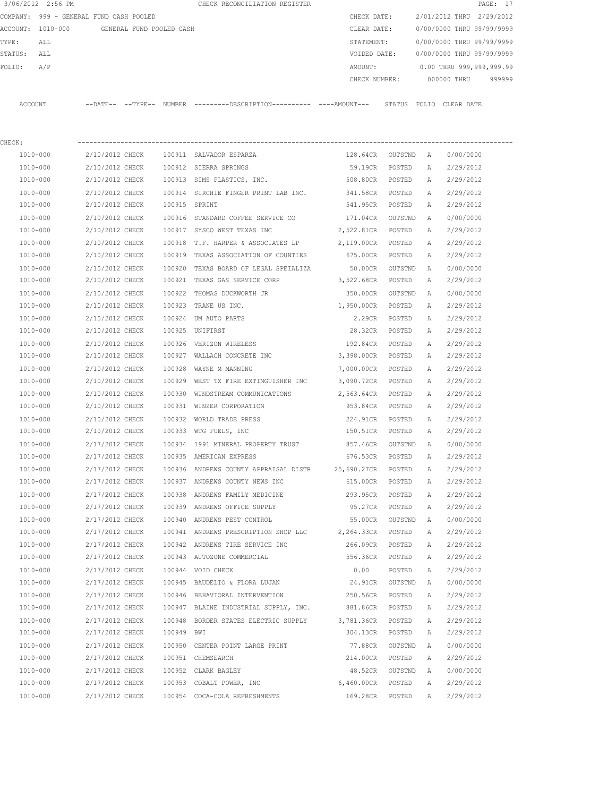|         | 3/06/2012 2:56 PM                       |                |                          |               | CHECK RECONCILIATION REGISTER                |               |        |                           |             | PAGE: 17 |
|---------|-----------------------------------------|----------------|--------------------------|---------------|----------------------------------------------|---------------|--------|---------------------------|-------------|----------|
|         | COMPANY: 999 - GENERAL FUND CASH POOLED |                |                          |               |                                              | CHECK DATE:   |        | 2/01/2012 THRU 2/29/2012  |             |          |
|         | ACCOUNT: 1010-000                       |                | GENERAL FUND POOLED CASH |               |                                              | CLEAR DATE:   |        | 0/00/0000 THRU 99/99/9999 |             |          |
| TYPE:   | ALL                                     |                |                          |               |                                              | STATEMENT:    |        | 0/00/0000 THRU 99/99/9999 |             |          |
| STATUS: | ALL                                     |                |                          |               |                                              | VOIDED DATE:  |        | 0/00/0000 THRU 99/99/9999 |             |          |
| FOLIO:  | A/P                                     |                |                          |               |                                              | AMOUNT:       |        | 0.00 THRU 999,999,999.99  |             |          |
|         |                                         |                |                          |               |                                              | CHECK NUMBER: |        |                           | 000000 THRU | 999999   |
|         |                                         |                |                          |               |                                              |               |        |                           |             |          |
| ACCOUNT |                                         | $--$ DATE $--$ | $--$ TYPE $--$           | <b>NUMBER</b> | ---------DESCRIPTION---------- ----AMOUNT--- |               | STATUS | FOLIO                     | CLEAR DATE  |          |

| CHECK:   |                 |               |                                                                 |                    |         |   |           |
|----------|-----------------|---------------|-----------------------------------------------------------------|--------------------|---------|---|-----------|
| 1010-000 | 2/10/2012 CHECK |               | 100911 SALVADOR ESPARZA                                         | 128.64CR OUTSTND A |         |   | 0/00/0000 |
| 1010-000 | 2/10/2012 CHECK |               | 100912 SIERRA SPRINGS                                           | 59.19CR            | POSTED  | A | 2/29/2012 |
| 1010-000 | 2/10/2012 CHECK |               | 100913 SIMS PLASTICS, INC.                                      | 508.80CR POSTED    |         | A | 2/29/2012 |
| 1010-000 | 2/10/2012 CHECK |               | 100914 SIRCHIE FINGER PRINT LAB INC.                            | 341.58CR POSTED    |         | A | 2/29/2012 |
| 1010-000 | 2/10/2012 CHECK | 100915 SPRINT |                                                                 | 541.95CR POSTED    |         | A | 2/29/2012 |
| 1010-000 | 2/10/2012 CHECK |               | 100916 STANDARD COFFEE SERVICE CO                               | 171.04CR OUTSTND   |         | A | 0/00/0000 |
| 1010-000 | 2/10/2012 CHECK |               | 100917 SYSCO WEST TEXAS INC                                     | 2,522.81CR POSTED  |         | A | 2/29/2012 |
| 1010-000 | 2/10/2012 CHECK |               | 100918 T.F. HARPER & ASSOCIATES LP 2,119.00CR POSTED            |                    |         | A | 2/29/2012 |
| 1010-000 |                 |               | 2/10/2012 CHECK 100919 TEXAS ASSOCIATION OF COUNTIES            | 675.00CR POSTED    |         | Α | 2/29/2012 |
| 1010-000 | 2/10/2012 CHECK |               | 100920 TEXAS BOARD OF LEGAL SPEIALIZA                           | 50.00CR            | OUTSTND | A | 0/00/0000 |
| 1010-000 |                 |               | 2/10/2012 CHECK 100921 TEXAS GAS SERVICE CORP 3,522.68CR POSTED |                    |         | Α | 2/29/2012 |
| 1010-000 | 2/10/2012 CHECK |               | 100922 THOMAS DUCKWORTH JR                                      | 350.00CR OUTSTND   |         | A | 0/00/0000 |
| 1010-000 | 2/10/2012 CHECK |               | 100923 TRANE US INC.                                            | 1,950.00CR POSTED  |         | А | 2/29/2012 |
| 1010-000 | 2/10/2012 CHECK |               | 100924 UM AUTO PARTS                                            | 2.29CR POSTED      |         | Α | 2/29/2012 |
| 1010-000 | 2/10/2012 CHECK |               | 100925 UNIFIRST                                                 | 28.32CR POSTED     |         | Α | 2/29/2012 |
| 1010-000 | 2/10/2012 CHECK |               | 100926 VERIZON WIRELESS                                         | 192.84CR POSTED    |         | A | 2/29/2012 |
| 1010-000 | 2/10/2012 CHECK |               | 100927 WALLACH CONCRETE INC                                     | 3,398.00CR POSTED  |         | A | 2/29/2012 |
| 1010-000 | 2/10/2012 CHECK |               | 100928 WAYNE M MANNING                                          | 7,000.00CR POSTED  |         | A | 2/29/2012 |
| 1010-000 | 2/10/2012 CHECK |               | 100929 WEST TX FIRE EXTINGUISHER INC                            | 3,090.72CR POSTED  |         | A | 2/29/2012 |
| 1010-000 | 2/10/2012 CHECK |               | 100930 WINDSTREAM COMMUNICATIONS                                | 2,563.64CR POSTED  |         | A | 2/29/2012 |
| 1010-000 | 2/10/2012 CHECK |               | 100931 WINZER CORPORATION                                       | 953.84CR POSTED    |         | A | 2/29/2012 |
| 1010-000 | 2/10/2012 CHECK | 100932        | WORLD TRADE PRESS                                               | 224.91CR           | POSTED  | A | 2/29/2012 |
| 1010-000 | 2/10/2012 CHECK |               | 100933 WTG FUELS, INC                                           | 150.51CR           | POSTED  | Α | 2/29/2012 |
| 1010-000 | 2/17/2012 CHECK |               | 100934 1991 MINERAL PROPERTY TRUST                              | 857.46CR           | OUTSTND | A | 0/00/0000 |
| 1010-000 | 2/17/2012 CHECK |               | 100935 AMERICAN EXPRESS                                         | 676.53CR POSTED    |         | А | 2/29/2012 |
| 1010-000 | 2/17/2012 CHECK |               | 100936 ANDREWS COUNTY APPRAISAL DISTR 25,690.27CR POSTED        |                    |         | A | 2/29/2012 |
| 1010-000 | 2/17/2012 CHECK |               | 100937 ANDREWS COUNTY NEWS INC                                  | 615.00CR POSTED    |         | A | 2/29/2012 |
| 1010-000 | 2/17/2012 CHECK |               | 100938 ANDREWS FAMILY MEDICINE                                  | 293.95CR POSTED    |         | A | 2/29/2012 |
| 1010-000 | 2/17/2012 CHECK |               | 100939 ANDREWS OFFICE SUPPLY                                    | 95.27CR POSTED     |         | A | 2/29/2012 |
| 1010-000 | 2/17/2012 CHECK |               | 100940 ANDREWS PEST CONTROL                                     | 55.00CR OUTSTND    |         | A | 0/00/0000 |
| 1010-000 | 2/17/2012 CHECK |               | 100941 ANDREWS PRESCRIPTION SHOP LLC                            | 2,264.33CR POSTED  |         | А | 2/29/2012 |
| 1010-000 | 2/17/2012 CHECK |               | 100942 ANDREWS TIRE SERVICE INC                                 | 266.09CR POSTED    |         | A | 2/29/2012 |
| 1010-000 | 2/17/2012 CHECK |               | 100943 AUTOZONE COMMERCIAL                                      | 556.36CR POSTED    |         | A | 2/29/2012 |
| 1010-000 | 2/17/2012 CHECK |               | 100944 VOID CHECK                                               | 0.00               | POSTED  | A | 2/29/2012 |
| 1010-000 | 2/17/2012 CHECK |               | 100945 BAUDELIO & FLORA LUJAN                                   | 24.91CR            | OUTSTND | Α | 0/00/0000 |
| 1010-000 | 2/17/2012 CHECK |               | 100946 BEHAVIORAL INTERVENTION                                  | 250.56CR           | POSTED  | А | 2/29/2012 |
| 1010-000 | 2/17/2012 CHECK |               | 100947 BLAINE INDUSTRIAL SUPPLY, INC.                           | 881.86CR           | POSTED  | А | 2/29/2012 |
| 1010-000 | 2/17/2012 CHECK |               | 100948 BORDER STATES ELECTRIC SUPPLY                            | 3,781.36CR         | POSTED  | Α | 2/29/2012 |
| 1010-000 | 2/17/2012 CHECK | 100949 BWI    |                                                                 | 304.13CR           | POSTED  | Α | 2/29/2012 |
| 1010-000 | 2/17/2012 CHECK |               | 100950 CENTER POINT LARGE PRINT                                 | 77.88CR            | OUTSTND | Α | 0/00/0000 |
| 1010-000 | 2/17/2012 CHECK |               | 100951 CHEMSEARCH                                               | 214.00CR           | POSTED  | Α | 2/29/2012 |
| 1010-000 | 2/17/2012 CHECK |               | 100952 CLARK BAGLEY                                             | 48.52CR            | OUTSTND | Α | 0/00/0000 |
| 1010-000 | 2/17/2012 CHECK |               | 100953 COBALT POWER, INC                                        | 6,460.00CR         | POSTED  | Α | 2/29/2012 |
| 1010-000 | 2/17/2012 CHECK |               | 100954 COCA-COLA REFRESHMENTS                                   | 169.28CR           | POSTED  | Α | 2/29/2012 |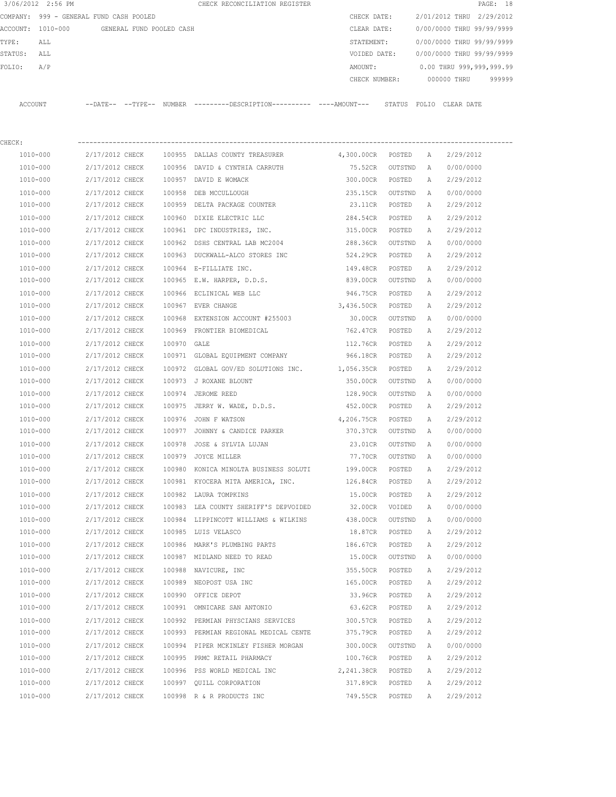| 3/06/2012 2:56 PM |  |                                                                                                                                                                                        | CHECK RECONCILIATION REGISTER |                                                                                                                                              |                         |                                                                           |                               | PAGE: 18                                                                                                                                                                                                                                                    |
|-------------------|--|----------------------------------------------------------------------------------------------------------------------------------------------------------------------------------------|-------------------------------|----------------------------------------------------------------------------------------------------------------------------------------------|-------------------------|---------------------------------------------------------------------------|-------------------------------|-------------------------------------------------------------------------------------------------------------------------------------------------------------------------------------------------------------------------------------------------------------|
| COMPANY:          |  |                                                                                                                                                                                        |                               |                                                                                                                                              |                         |                                                                           |                               |                                                                                                                                                                                                                                                             |
| $1010 - 000$      |  |                                                                                                                                                                                        |                               |                                                                                                                                              |                         |                                                                           |                               |                                                                                                                                                                                                                                                             |
| ALL               |  |                                                                                                                                                                                        |                               |                                                                                                                                              |                         |                                                                           |                               |                                                                                                                                                                                                                                                             |
| ALL               |  |                                                                                                                                                                                        |                               |                                                                                                                                              |                         |                                                                           |                               |                                                                                                                                                                                                                                                             |
| A/P               |  |                                                                                                                                                                                        |                               | AMOUNT:                                                                                                                                      |                         |                                                                           |                               |                                                                                                                                                                                                                                                             |
|                   |  |                                                                                                                                                                                        |                               |                                                                                                                                              |                         |                                                                           |                               | 999999                                                                                                                                                                                                                                                      |
| <b>ACCOUNT</b>    |  |                                                                                                                                                                                        |                               |                                                                                                                                              |                         |                                                                           |                               |                                                                                                                                                                                                                                                             |
|                   |  |                                                                                                                                                                                        |                               |                                                                                                                                              |                         |                                                                           |                               |                                                                                                                                                                                                                                                             |
| 1010-000          |  | 100955                                                                                                                                                                                 |                               | 4,300.00CR                                                                                                                                   | POSTED                  | $\overline{A}$                                                            | 2/29/2012                     |                                                                                                                                                                                                                                                             |
| 1010-000          |  | 100956                                                                                                                                                                                 |                               | 75.52CR                                                                                                                                      |                         | $\mathbb{A}$                                                              | 0/00/0000                     |                                                                                                                                                                                                                                                             |
| 1010-000          |  | 100957                                                                                                                                                                                 |                               | 300.00CR                                                                                                                                     | POSTED                  | Α                                                                         | 2/29/2012                     |                                                                                                                                                                                                                                                             |
| 1010-000          |  | 100958                                                                                                                                                                                 |                               | 235.15CR                                                                                                                                     |                         | $\mathbb{A}$                                                              | 0/00/0000                     |                                                                                                                                                                                                                                                             |
| 1010-000          |  | 100959                                                                                                                                                                                 | DELTA PACKAGE COUNTER         | 23.11CR                                                                                                                                      | POSTED                  | Α                                                                         | 2/29/2012                     |                                                                                                                                                                                                                                                             |
| 1010-000          |  | 100960                                                                                                                                                                                 |                               | 284.54CR                                                                                                                                     | POSTED                  | $\mathbb{A}$                                                              | 2/29/2012                     |                                                                                                                                                                                                                                                             |
| 1010-000          |  |                                                                                                                                                                                        |                               | 315.00CR                                                                                                                                     | POSTED                  | $\mathbb{A}$                                                              | 2/29/2012                     |                                                                                                                                                                                                                                                             |
| 1010-000          |  | 100962                                                                                                                                                                                 | DSHS CENTRAL LAB MC2004       | 288.36CR                                                                                                                                     |                         | Α                                                                         | 0/00/0000                     |                                                                                                                                                                                                                                                             |
|                   |  | 999 - GENERAL FUND CASH POOLED<br>2/17/2012 CHECK<br>2/17/2012 CHECK<br>2/17/2012 CHECK<br>2/17/2012 CHECK<br>2/17/2012 CHECK<br>2/17/2012 CHECK<br>2/17/2012 CHECK<br>2/17/2012 CHECK |                               | GENERAL FUND POOLED CASH<br>DAVID & CYNTHIA CARRUTH<br>DAVID E WOMACK<br>DEB MCCULLOUGH<br>DIXIE ELECTRIC LLC<br>100961 DPC INDUSTRIES, INC. | DALLAS COUNTY TREASURER | CHECK DATE:<br>CLEAR DATE:<br>STATEMENT:<br>VOIDED DATE:<br>CHECK NUMBER: | OUTSTND<br>OUTSTND<br>OUTSTND | 2/01/2012 THRU 2/29/2012<br>0/00/0000 THRU 99/99/9999<br>0/00/0000 THRU 99/99/9999<br>0/00/0000 THRU 99/99/9999<br>0.00 THRU 999,999,999.99<br>000000 THRU<br>--DATE-- --TYPE-- NUMBER ---------DESCRIPTION---------- ----AMOUNT--- STATUS FOLIO CLEAR DATE |

| 1010-000 | 2/17/2012 CHECK                           |             | 100959 DELTA PACKAGE COUNTER                          | 23.11CR           | POSTED  | Α            | 2/29/2012 |
|----------|-------------------------------------------|-------------|-------------------------------------------------------|-------------------|---------|--------------|-----------|
| 1010-000 | 2/17/2012 CHECK                           |             | 100960 DIXIE ELECTRIC LLC                             | 284.54CR          | POSTED  | Α            | 2/29/2012 |
| 1010-000 | 2/17/2012 CHECK                           |             | 100961 DPC INDUSTRIES, INC.                           | 315.00CR          | POSTED  | Α            | 2/29/2012 |
| 1010-000 | 2/17/2012 CHECK                           |             | 100962 DSHS CENTRAL LAB MC2004                        | 288.36CR          | OUTSTND | $\mathbb{A}$ | 0/00/0000 |
| 1010-000 | 2/17/2012 CHECK                           |             | 100963 DUCKWALL-ALCO STORES INC                       | 524.29CR POSTED   |         | Α            | 2/29/2012 |
| 1010-000 | 2/17/2012 CHECK                           |             | 100964 E-FILLIATE INC.                                | 149.48CR          | POSTED  | $\mathbb{A}$ | 2/29/2012 |
| 1010-000 | 2/17/2012 CHECK                           |             | 100965 E.W. HARPER, D.D.S.                            | 839.00CR OUTSTND  |         | A            | 0/00/0000 |
| 1010-000 | 2/17/2012 CHECK                           |             | 100966 ECLINICAL WEB LLC                              | 946.75CR POSTED   |         | $\mathbb{A}$ | 2/29/2012 |
| 1010-000 | 2/17/2012 CHECK                           |             | 100967 EVER CHANGE                                    | 3,436.50CR POSTED |         | Α            | 2/29/2012 |
| 1010-000 | 2/17/2012 CHECK                           |             | 100968 EXTENSION ACCOUNT #255003                      | 30.00CR           | OUTSTND | A            | 0/00/0000 |
| 1010-000 | 2/17/2012 CHECK                           |             | 100969 FRONTIER BIOMEDICAL                            | 762.47CR POSTED   |         | $\Delta$     | 2/29/2012 |
| 1010-000 | 2/17/2012 CHECK                           | 100970 GALE |                                                       | 112.76CR POSTED   |         | $\mathbb{A}$ | 2/29/2012 |
| 1010-000 | 2/17/2012 CHECK                           |             | 100971 GLOBAL EQUIPMENT COMPANY                       | 966.18CR          | POSTED  | $\Delta$     | 2/29/2012 |
| 1010-000 | 2/17/2012 CHECK                           |             | 100972 GLOBAL GOV/ED SOLUTIONS INC. 1,056.35CR POSTED |                   |         | $\mathbb{A}$ | 2/29/2012 |
| 1010-000 | 2/17/2012 CHECK                           |             | 100973 J ROXANE BLOUNT                                | 350.00CR OUTSTND  |         | $\mathbb{A}$ | 0/00/0000 |
| 1010-000 | 2/17/2012 CHECK                           |             | 100974 JEROME REED                                    | 128.90CR OUTSTND  |         | $\mathbb{A}$ | 0/00/0000 |
| 1010-000 | 2/17/2012 CHECK                           |             | 100975 JERRY W. WADE, D.D.S.                          | 452.00CR          | POSTED  | Α            | 2/29/2012 |
| 1010-000 | 2/17/2012 CHECK                           |             | 100976 JOHN F WATSON                                  | 4,206.75CR        | POSTED  | $\mathbb{A}$ | 2/29/2012 |
| 1010-000 | 2/17/2012 CHECK                           |             | 100977 JOHNNY & CANDICE PARKER                        | 370.37CR          | OUTSTND | A            | 0/00/0000 |
| 1010-000 | 2/17/2012 CHECK                           |             | 100978 JOSE & SYLVIA LUJAN                            | 23.01CR           | OUTSTND | $\mathbb{A}$ | 0/00/0000 |
| 1010-000 | 2/17/2012 CHECK                           |             | 100979 JOYCE MILLER                                   | 77.70CR           | OUTSTND | A            | 0/00/0000 |
| 1010-000 | 2/17/2012 CHECK                           |             | 100980 KONICA MINOLTA BUSINESS SOLUTI                 | 199.00CR          | POSTED  | $\mathbb{A}$ | 2/29/2012 |
| 1010-000 | 2/17/2012 CHECK                           |             | 100981 KYOCERA MITA AMERICA, INC.                     | 126.84CR          | POSTED  | $\mathbb{A}$ | 2/29/2012 |
| 1010-000 | 2/17/2012 CHECK                           |             | 100982 LAURA TOMPKINS                                 | 15.00CR           | POSTED  | Α            | 2/29/2012 |
| 1010-000 | 2/17/2012 CHECK                           |             | 100983 LEA COUNTY SHERIFF'S DEPVOIDED                 | 32.00CR           | VOIDED  | $\mathbb A$  | 0/00/0000 |
| 1010-000 | 2/17/2012 CHECK                           |             | 100984 LIPPINCOTT WILLIAMS & WILKINS                  | 438.00CR          | OUTSTND | A            | 0/00/0000 |
| 1010-000 | 2/17/2012 CHECK                           |             | 100985 LUIS VELASCO                                   | 18.87CR           | POSTED  | $\mathbb A$  | 2/29/2012 |
| 1010-000 | 2/17/2012 CHECK                           |             | 100986 MARK'S PLUMBING PARTS                          | 186.67CR          | POSTED  | A            | 2/29/2012 |
| 1010-000 | 2/17/2012 CHECK                           |             | 100987 MIDLAND NEED TO READ                           | 15.00CR OUTSTND   |         | A            | 0/00/0000 |
| 1010-000 | 2/17/2012 CHECK                           |             | 100988 NAVICURE, INC                                  | 355.50CR POSTED   |         | $\mathbb{A}$ | 2/29/2012 |
| 1010-000 | 2/17/2012 CHECK                           |             | 100989 NEOPOST USA INC                                | 165.00CR POSTED   |         | $\mathbb{A}$ | 2/29/2012 |
| 1010-000 | 2/17/2012 CHECK                           |             | 100990 OFFICE DEPOT                                   | 33.96CR           | POSTED  | Α            | 2/29/2012 |
| 1010-000 | 2/17/2012 CHECK                           |             | 100991 OMNICARE SAN ANTONIO                           | 63.62CR           | POSTED  | $\mathbb{A}$ | 2/29/2012 |
| 1010-000 | 2/17/2012 CHECK                           |             | 100992 PERMIAN PHYSCIANS SERVICES                     | 300.57CR          | POSTED  | A            | 2/29/2012 |
| 1010-000 | 2/17/2012 CHECK                           |             | 100993 PERMIAN REGIONAL MEDICAL CENTE                 | 375.79CR          | POSTED  | $\mathbb{A}$ | 2/29/2012 |
| 1010-000 | 2/17/2012 CHECK                           |             | 100994 PIPER MCKINLEY FISHER MORGAN                   | 300.00CR          | OUTSTND | A            | 0/00/0000 |
| 1010-000 | 2/17/2012 CHECK                           |             | 100995 PRMC RETAIL PHARMACY                           | 100.76CR POSTED   |         | $\mathbb{A}$ | 2/29/2012 |
| 1010-000 | 2/17/2012 CHECK                           |             | 100996 PSS WORLD MEDICAL INC                          | 2,241.38CR POSTED |         | A            | 2/29/2012 |
| 1010-000 | 2/17/2012 CHECK                           |             | 100997 OUILL CORPORATION                              | 317.89CR POSTED   |         | Α            | 2/29/2012 |
| 1010-000 | 2/17/2012 CHECK 100998 R & R PRODUCTS INC |             |                                                       | 749.55CR          | POSTED  | $\mathbb{A}$ | 2/29/2012 |
|          |                                           |             |                                                       |                   |         |              |           |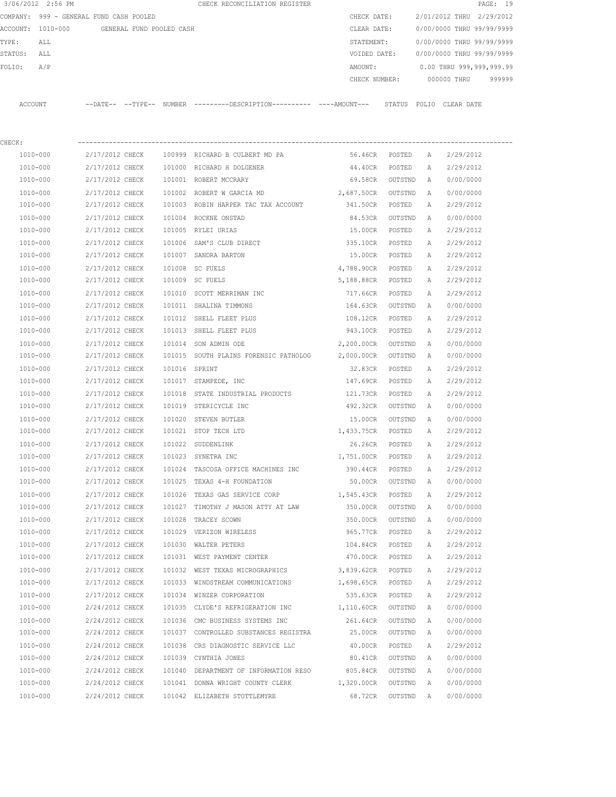| 3/06/2012 2:56 PM                          |                 |  |               | CHECK RECONCILIATION REGISTER                                                                |                    |                           |              |                                  | PAGE: 19 |
|--------------------------------------------|-----------------|--|---------------|----------------------------------------------------------------------------------------------|--------------------|---------------------------|--------------|----------------------------------|----------|
| COMPANY: 999 - GENERAL FUND CASH POOLED    |                 |  |               |                                                                                              | CHECK DATE:        |                           |              | 2/01/2012 THRU 2/29/2012         |          |
| ACCOUNT: 1010-000 GENERAL FUND POOLED CASH |                 |  | CLEAR DATE:   |                                                                                              |                    | 0/00/0000 THRU 99/99/9999 |              |                                  |          |
| TYPE:<br>ALL                               |                 |  |               |                                                                                              | STATEMENT:         |                           |              | 0/00/0000 THRU 99/99/9999        |          |
| STATUS: ALL                                |                 |  |               |                                                                                              | VOIDED DATE:       |                           |              | 0/00/0000 THRU 99/99/9999        |          |
| FOLIO:<br>A/P                              |                 |  |               |                                                                                              | AMOUNT:            |                           |              | 0.00 THRU 999,999,999.99         |          |
|                                            |                 |  |               |                                                                                              |                    |                           |              | CHECK NUMBER: 000000 THRU 999999 |          |
| ACCOUNT                                    |                 |  |               | --DATE-- --TYPE-- NUMBER --------DESCRIPTION---------- ----AMOUNT--- STATUS FOLIO CLEAR-DATE |                    |                           |              |                                  |          |
| CHECK:                                     |                 |  |               |                                                                                              |                    |                           |              |                                  |          |
| 1010-000                                   | 2/17/2012 CHECK |  |               | 100999 RICHARD B CULBERT MD PA                                                               | 56.46CR POSTED A   |                           |              | 2/29/2012                        |          |
| 1010-000                                   | 2/17/2012 CHECK |  |               | 101000 RICHARD H DOLGENER                                                                    | 44.40CR POSTED     |                           | A            | 2/29/2012                        |          |
| 1010-000                                   | 2/17/2012 CHECK |  |               | 101001 ROBERT MCCRARY                                                                        | 69.58CR OUTSTND    |                           | A a          | 0/00/0000                        |          |
| 1010-000                                   | 2/17/2012 CHECK |  |               | 101002 ROBERT W GARCIA MD                                                                    | 2,687.50CR OUTSTND |                           | A            | 0/00/0000                        |          |
| 1010-000                                   | 2/17/2012 CHECK |  |               | 101003 ROBIN HARPER TAC TAX ACCOUNT                                                          | 341.50CR POSTED    |                           | A            | 2/29/2012                        |          |
| 1010-000                                   | 2/17/2012 CHECK |  |               | 101004 ROCKNE ONSTAD                                                                         | 84.53CR            | OUTSTND                   | <b>A</b>     | 0/00/0000                        |          |
| 1010-000                                   | 2/17/2012 CHECK |  |               | 101005 RYLEI URIAS                                                                           | 15.00CR            | POSTED                    | A            | 2/29/2012                        |          |
| 1010-000                                   | 2/17/2012 CHECK |  |               | 101006 SAM'S CLUB DIRECT                                                                     | 335.10CR           | POSTED                    | A            | 2/29/2012                        |          |
| 1010-000                                   | 2/17/2012 CHECK |  |               | 101007 SANDRA BARTON                                                                         | 15.00CR POSTED     |                           | A            | 2/29/2012                        |          |
| 1010-000                                   | 2/17/2012 CHECK |  |               | 101008 SC FUELS                                                                              | 4,788.90CR POSTED  |                           | A            | 2/29/2012                        |          |
| 1010-000                                   | 2/17/2012 CHECK |  |               | 101009 SC FUELS                                                                              | 5,188.88CR POSTED  |                           | A            | 2/29/2012                        |          |
| 1010-000                                   | 2/17/2012 CHECK |  |               | 101010 SCOTT MERRIMAN INC                                                                    | 717.66CR POSTED    |                           | A            | 2/29/2012                        |          |
| 1010-000                                   | 2/17/2012 CHECK |  |               | 101011 SHALINA TIMMONS                                                                       | 164.63CR           | OUTSTND                   | A            | 0/00/0000                        |          |
| 1010-000                                   | 2/17/2012 CHECK |  |               | 101012 SHELL FLEET PLUS                                                                      | 108.12CR POSTED    |                           | $\mathbb{A}$ | 2/29/2012                        |          |
| 1010-000                                   | 2/17/2012 CHECK |  |               | 101013 SHELL FLEET PLUS                                                                      | 943.10CR POSTED    |                           | A            | 2/29/2012                        |          |
| 1010-000                                   | 2/17/2012 CHECK |  |               | 101014 SON ADMIN ODE                                                                         | 2,200.00CR OUTSTND |                           | A            | 0/00/0000                        |          |
| 1010-000                                   | 2/17/2012 CHECK |  |               | 101015 SOUTH PLAINS FORENSIC PATHOLOG                                                        | 2,000.00CR         | OUTSTND                   | A            | 0/00/0000                        |          |
| 1010-000                                   | 2/17/2012 CHECK |  | 101016 SPRINT |                                                                                              | 32.83CR            | POSTED                    | A            | 2/29/2012                        |          |
| 1010-000                                   | 2/17/2012 CHECK |  |               | 101017 STAMPEDE, INC                                                                         | 147.69CR           | POSTED                    | A            | 2/29/2012                        |          |
| 1010-000                                   | 2/17/2012 CHECK |  | 101018        | STATE INDUSTRIAL PRODUCTS                                                                    | 121.73CR           | POSTED                    | A            | 2/29/2012                        |          |
| 1010-000                                   | 2/17/2012 CHECK |  |               | 101019 STERICYCLE INC                                                                        | 492.32CR           | OUTSTND                   | A            | 0/00/0000                        |          |
| 1010-000                                   | 2/17/2012 CHECK |  |               | 101020 STEVEN BUTLER                                                                         | 15.00CR            | OUTSTND                   | A            | 0/00/0000                        |          |
| 1010-000                                   | 2/17/2012 CHECK |  |               | 101021 STOP TECH LTD                                                                         | 1,433.75CR         | POSTED                    | A            | 2/29/2012                        |          |
| 1010-000                                   | 2/17/2012 CHECK |  |               | 101022 SUDDENLINK                                                                            | 26.26CR            | POSTED                    | A            | 2/29/2012                        |          |
| 1010-000                                   | 2/17/2012 CHECK |  |               | 101023 SYNETRA INC                                                                           | 1,751.00CR         | POSTED                    | А            | 2/29/2012                        |          |
| 1010-000                                   | 2/17/2012 CHECK |  |               | 101024 TASCOSA OFFICE MACHINES INC                                                           | 390.44CR           | POSTED                    | Α            | 2/29/2012                        |          |
| 1010-000                                   | 2/17/2012 CHECK |  |               | 101025 TEXAS 4-H FOUNDATION                                                                  | 50.00CR            | OUTSTND                   | Α            | 0/00/0000                        |          |
| 1010-000                                   | 2/17/2012 CHECK |  |               | 101026 TEXAS GAS SERVICE CORP                                                                | 1,545.43CR         | POSTED                    | Α            | 2/29/2012                        |          |
| 1010-000                                   | 2/17/2012 CHECK |  |               | 101027 TIMOTHY J MASON ATTY AT LAW                                                           | 350.00CR           | OUTSTND                   | Α            | 0/00/0000                        |          |
| 1010-000                                   | 2/17/2012 CHECK |  | 101028        | TRACEY SCOWN                                                                                 | 350.00CR           | OUTSTND                   | Α            | 0/00/0000                        |          |
| 1010-000                                   | 2/17/2012 CHECK |  |               | 101029 VERIZON WIRELESS                                                                      | 965.77CR           | POSTED                    | Α            | 2/29/2012                        |          |
| $1010 - 000$                               | 2/17/2012 CHECK |  |               | 101030 WALTER PETERS                                                                         | 104.84CR           | POSTED                    | Α            | 2/29/2012                        |          |
| 1010-000                                   | 2/17/2012 CHECK |  |               | 101031 WEST PAYMENT CENTER                                                                   | 470.00CR           | POSTED                    | Α            | 2/29/2012                        |          |
| 1010-000                                   | 2/17/2012 CHECK |  |               | 101032 WEST TEXAS MICROGRAPHICS                                                              | 3,839.62CR         | POSTED                    | Α            | 2/29/2012                        |          |
| 1010-000                                   | 2/17/2012 CHECK |  |               | 101033 WINDSTREAM COMMUNICATIONS                                                             | 1,698.65CR         | POSTED                    | Α            | 2/29/2012                        |          |
| 1010-000                                   | 2/17/2012 CHECK |  |               | 101034 WINZER CORPORATION                                                                    | 535.63CR           | POSTED                    | Α            | 2/29/2012                        |          |
| 1010-000                                   | 2/24/2012 CHECK |  |               | 101035 CLYDE'S REFRIGERATION INC                                                             | 1,110.60CR         | OUTSTND                   | Α            | 0/00/0000                        |          |
| 1010-000                                   | 2/24/2012 CHECK |  |               | 101036 CMC BUSINESS SYSTEMS INC                                                              | 261.64CR           | OUTSTND                   | Α            | 0/00/0000                        |          |
| 1010-000                                   | 2/24/2012 CHECK |  |               | 101037 CONTROLLED SUBSTANCES REGISTRA                                                        | 25.00CR            | OUTSTND                   | Α            | 0/00/0000                        |          |
| 1010-000                                   | 2/24/2012 CHECK |  |               | 101038 CRS DIAGNOSTIC SERVICE LLC                                                            | 40.00CR            | POSTED                    | Α            | 2/29/2012                        |          |
| 1010-000                                   | 2/24/2012 CHECK |  |               | 101039 CYNTHIA JONES                                                                         | 80.41CR            | OUTSTND                   | Α            | 0/00/0000                        |          |
| 1010-000                                   | 2/24/2012 CHECK |  |               | 101040 DEPARTMENT OF INFORMATION RESO                                                        | 805.84CR           | OUTSTND                   | Α            | 0/00/0000                        |          |
| 1010-000                                   | 2/24/2012 CHECK |  |               | 101041 DONNA WRIGHT COUNTY CLERK                                                             | 1,320.00CR         | OUTSTND                   | $\mathbb{A}$ | 0/00/0000                        |          |
| 1010-000                                   | 2/24/2012 CHECK |  |               | 101042 ELIZABETH STOTTLEMYRE                                                                 | 68.72CR            | OUTSTND A                 |              | 0/00/0000                        |          |
|                                            |                 |  |               |                                                                                              |                    |                           |              |                                  |          |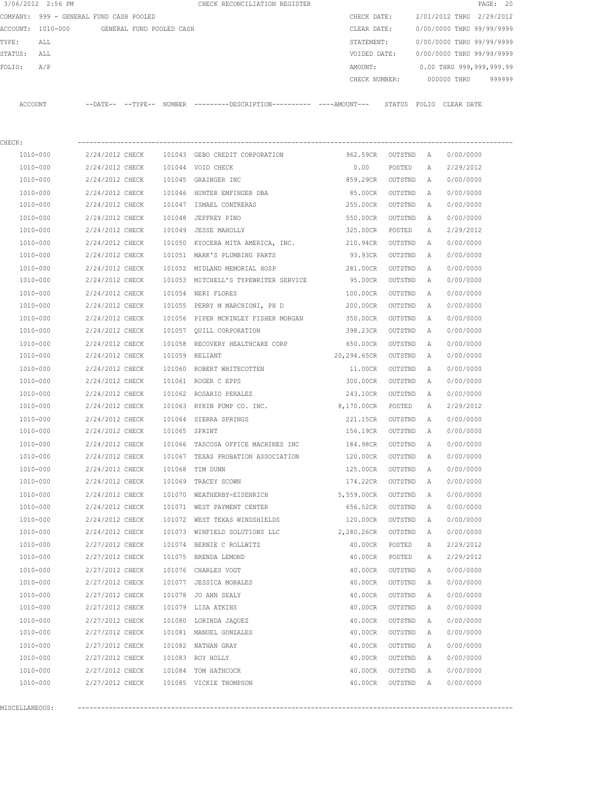| COMPANY: 999 - GENERAL FUND CASH POOLED<br>ACCOUNT: 1010-000<br>TYPE:<br>ALL<br>STATUS:<br>ALL<br>A/P<br>FOLIO:<br>ACCOUNT<br>CHECK:<br>1010-000<br>2/24/2012 CHECK<br>1010-000<br>2/24/2012 CHECK<br>1010-000<br>2/24/2012 CHECK<br>1010-000<br>2/24/2012 CHECK<br>1010-000<br>2/24/2012 CHECK<br>1010-000<br>2/24/2012 CHECK<br>1010-000<br>2/24/2012 CHECK<br>1010-000<br>2/24/2012 CHECK<br>1010-000<br>2/24/2012 CHECK<br>2/24/2012 CHECK<br>1010-000<br>1010-000<br>2/24/2012 CHECK<br>2/24/2012 CHECK<br>1010-000<br>1010-000<br>2/24/2012 CHECK<br>1010-000<br>2/24/2012 CHECK<br>1010-000<br>2/24/2012 CHECK | GENERAL FUND POOLED CASH |               | --DATE-- --TYPE-- NUMBER ---------DESCRIPTION---------- ----AMOUNT--- STATUS FOLIO CLEARDATE | CHECK DATE:<br>CLEAR DATE:<br>STATEMENT:<br>VOIDED DATE:<br>AMOUNT:<br>CHECK NUMBER: |         |   | 2/01/2012 THRU 2/29/2012<br>0/00/0000 THRU 99/99/9999<br>0/00/0000 THRU 99/99/9999<br>0/00/0000 THRU 99/99/9999<br>0.00 THRU 999,999,999.99<br>000000 THRU<br>999999 |
|-----------------------------------------------------------------------------------------------------------------------------------------------------------------------------------------------------------------------------------------------------------------------------------------------------------------------------------------------------------------------------------------------------------------------------------------------------------------------------------------------------------------------------------------------------------------------------------------------------------------------|--------------------------|---------------|----------------------------------------------------------------------------------------------|--------------------------------------------------------------------------------------|---------|---|----------------------------------------------------------------------------------------------------------------------------------------------------------------------|
|                                                                                                                                                                                                                                                                                                                                                                                                                                                                                                                                                                                                                       |                          |               |                                                                                              |                                                                                      |         |   |                                                                                                                                                                      |
|                                                                                                                                                                                                                                                                                                                                                                                                                                                                                                                                                                                                                       |                          |               |                                                                                              |                                                                                      |         |   |                                                                                                                                                                      |
|                                                                                                                                                                                                                                                                                                                                                                                                                                                                                                                                                                                                                       |                          |               |                                                                                              |                                                                                      |         |   |                                                                                                                                                                      |
|                                                                                                                                                                                                                                                                                                                                                                                                                                                                                                                                                                                                                       |                          |               |                                                                                              |                                                                                      |         |   |                                                                                                                                                                      |
|                                                                                                                                                                                                                                                                                                                                                                                                                                                                                                                                                                                                                       |                          |               |                                                                                              |                                                                                      |         |   |                                                                                                                                                                      |
|                                                                                                                                                                                                                                                                                                                                                                                                                                                                                                                                                                                                                       |                          |               |                                                                                              |                                                                                      |         |   |                                                                                                                                                                      |
|                                                                                                                                                                                                                                                                                                                                                                                                                                                                                                                                                                                                                       |                          |               |                                                                                              |                                                                                      |         |   |                                                                                                                                                                      |
|                                                                                                                                                                                                                                                                                                                                                                                                                                                                                                                                                                                                                       |                          |               |                                                                                              |                                                                                      |         |   |                                                                                                                                                                      |
|                                                                                                                                                                                                                                                                                                                                                                                                                                                                                                                                                                                                                       |                          |               | 101043 GEBO CREDIT CORPORATION                                                               | 962.59CR                                                                             | OUTSTND | A | 0/00/0000                                                                                                                                                            |
|                                                                                                                                                                                                                                                                                                                                                                                                                                                                                                                                                                                                                       |                          |               | 101044 VOID CHECK                                                                            | 0.00                                                                                 | POSTED  | A | 2/29/2012                                                                                                                                                            |
|                                                                                                                                                                                                                                                                                                                                                                                                                                                                                                                                                                                                                       |                          |               | 101045 GRAINGER INC                                                                          | 859.29CR                                                                             | OUTSTND | A | 0/00/0000                                                                                                                                                            |
|                                                                                                                                                                                                                                                                                                                                                                                                                                                                                                                                                                                                                       |                          |               | 101046 HUNTER EMFINGER DBA                                                                   | 85.00CR                                                                              | OUTSTND | A | 0/00/0000                                                                                                                                                            |
|                                                                                                                                                                                                                                                                                                                                                                                                                                                                                                                                                                                                                       |                          |               | 101047 ISMAEL CONTRERAS                                                                      | 255.00CR                                                                             | OUTSTND | A | 0/00/0000                                                                                                                                                            |
|                                                                                                                                                                                                                                                                                                                                                                                                                                                                                                                                                                                                                       |                          | 101048        | JEFFREY PINO                                                                                 | 550.00CR                                                                             | OUTSTND | A | 0/00/0000                                                                                                                                                            |
|                                                                                                                                                                                                                                                                                                                                                                                                                                                                                                                                                                                                                       |                          |               | 101049 JESSE MAHOLLY                                                                         | 325.00CR                                                                             | POSTED  | Α | 2/29/2012                                                                                                                                                            |
|                                                                                                                                                                                                                                                                                                                                                                                                                                                                                                                                                                                                                       |                          |               | 101050 KYOCERA MITA AMERICA, INC. 210.94CR                                                   |                                                                                      | OUTSTND | A | 0/00/0000                                                                                                                                                            |
|                                                                                                                                                                                                                                                                                                                                                                                                                                                                                                                                                                                                                       |                          |               | 101051 MARK'S PLUMBING PARTS                                                                 | 93.93CR                                                                              | OUTSTND | A | 0/00/0000                                                                                                                                                            |
|                                                                                                                                                                                                                                                                                                                                                                                                                                                                                                                                                                                                                       |                          |               | 101052 MIDLAND MEMORIAL HOSP                                                                 | 281.00CR                                                                             | OUTSTND | Α | 0/00/0000                                                                                                                                                            |
|                                                                                                                                                                                                                                                                                                                                                                                                                                                                                                                                                                                                                       |                          |               | 101053 MITCHELL'S TYPEWRITER SERVICE                                                         | 95.00CR                                                                              | OUTSTND | Α | 0/00/0000                                                                                                                                                            |
|                                                                                                                                                                                                                                                                                                                                                                                                                                                                                                                                                                                                                       |                          |               | 101054 NERI FLORES                                                                           | 100.00CR                                                                             | OUTSTND | A | 0/00/0000                                                                                                                                                            |
|                                                                                                                                                                                                                                                                                                                                                                                                                                                                                                                                                                                                                       |                          |               | 101055 PERRY M MARCHIONI, PH D                                                               | 200.00CR                                                                             | OUTSTND | A | 0/00/0000                                                                                                                                                            |
|                                                                                                                                                                                                                                                                                                                                                                                                                                                                                                                                                                                                                       |                          |               |                                                                                              |                                                                                      |         |   |                                                                                                                                                                      |
|                                                                                                                                                                                                                                                                                                                                                                                                                                                                                                                                                                                                                       |                          |               | 101056 PIPER MCKINLEY FISHER MORGAN                                                          | 350.00CR                                                                             | OUTSTND | Α | 0/00/0000                                                                                                                                                            |
|                                                                                                                                                                                                                                                                                                                                                                                                                                                                                                                                                                                                                       |                          |               | 101057 QUILL CORPORATION                                                                     | 398.23CR                                                                             | OUTSTND | A | 0/00/0000                                                                                                                                                            |
| 1010-000<br>2/24/2012 CHECK                                                                                                                                                                                                                                                                                                                                                                                                                                                                                                                                                                                           |                          | 101058        | RECOVERY HEALTHCARE CORP                                                                     | 650.00CR                                                                             | OUTSTND | Α | 0/00/0000                                                                                                                                                            |
| 1010-000<br>2/24/2012 CHECK                                                                                                                                                                                                                                                                                                                                                                                                                                                                                                                                                                                           |                          |               | 101059 RELIANT                                                                               | 20,294.65CR                                                                          | OUTSTND | A | 0/00/0000                                                                                                                                                            |
| 1010-000<br>2/24/2012 CHECK                                                                                                                                                                                                                                                                                                                                                                                                                                                                                                                                                                                           |                          | 101060        | ROBERT WHITECOTTEN                                                                           | 11.00CR                                                                              | OUTSTND | Α | 0/00/0000                                                                                                                                                            |
| 1010-000<br>2/24/2012 CHECK                                                                                                                                                                                                                                                                                                                                                                                                                                                                                                                                                                                           |                          |               | 101061 ROGER C EPPS                                                                          | 300.00CR                                                                             | OUTSTND | Α | 0/00/0000                                                                                                                                                            |
| 1010-000<br>2/24/2012 CHECK                                                                                                                                                                                                                                                                                                                                                                                                                                                                                                                                                                                           |                          |               | 101062 ROSARIO PERALEZ                                                                       | 243.10CR                                                                             | OUTSTND | A | 0/00/0000                                                                                                                                                            |
| 1010-000<br>2/24/2012 CHECK                                                                                                                                                                                                                                                                                                                                                                                                                                                                                                                                                                                           |                          |               | 101063 RYKIN PUMP CO. INC.                                                                   | 8,170.00CR                                                                           | POSTED  | A | 2/29/2012                                                                                                                                                            |
| 1010-000<br>2/24/2012 CHECK                                                                                                                                                                                                                                                                                                                                                                                                                                                                                                                                                                                           |                          |               | 101064 SIERRA SPRINGS                                                                        | 221.15CR                                                                             | OUTSTND | A | 0/00/0000                                                                                                                                                            |
| 1010-000<br>2/24/2012 CHECK                                                                                                                                                                                                                                                                                                                                                                                                                                                                                                                                                                                           |                          | 101065 SPRINT |                                                                                              | 156.19CR                                                                             | OUTSTND | Α | 0/00/0000                                                                                                                                                            |
| 1010-000<br>2/24/2012 CHECK                                                                                                                                                                                                                                                                                                                                                                                                                                                                                                                                                                                           |                          |               | 101066 TASCOSA OFFICE MACHINES INC                                                           | 184.98CR                                                                             | OUTSTND | A | 0/00/0000                                                                                                                                                            |
| 1010-000<br>2/24/2012 CHECK                                                                                                                                                                                                                                                                                                                                                                                                                                                                                                                                                                                           |                          |               | 101067 TEXAS PROBATION ASSOCIATION                                                           | 120.00CR                                                                             | OUTSTND | Α | 0/00/0000                                                                                                                                                            |
| 1010-000<br>2/24/2012 CHECK                                                                                                                                                                                                                                                                                                                                                                                                                                                                                                                                                                                           |                          |               | 101068 TIM DUNN                                                                              | 125.00CR                                                                             | OUTSTND | Α | 0/00/0000                                                                                                                                                            |
| 1010-000<br>2/24/2012 CHECK                                                                                                                                                                                                                                                                                                                                                                                                                                                                                                                                                                                           |                          |               | 101069 TRACEY SCOWN                                                                          | 174.22CR                                                                             | OUTSTND | Α | 0/00/0000                                                                                                                                                            |
| 1010-000<br>2/24/2012 CHECK                                                                                                                                                                                                                                                                                                                                                                                                                                                                                                                                                                                           |                          |               | 101070 WEATHERBY-EISENRICH                                                                   | 5,559.00CR                                                                           | OUTSTND | A | 0/00/0000                                                                                                                                                            |
| 1010-000<br>2/24/2012 CHECK                                                                                                                                                                                                                                                                                                                                                                                                                                                                                                                                                                                           |                          |               | 101071 WEST PAYMENT CENTER                                                                   | 656.52CR                                                                             | OUTSTND | Α | 0/00/0000                                                                                                                                                            |
| 1010-000<br>2/24/2012 CHECK                                                                                                                                                                                                                                                                                                                                                                                                                                                                                                                                                                                           |                          |               | 101072 WEST TEXAS WINDSHIELDS                                                                | 120.00CR                                                                             | OUTSTND | Α | 0/00/0000                                                                                                                                                            |
| 1010-000<br>2/24/2012 CHECK                                                                                                                                                                                                                                                                                                                                                                                                                                                                                                                                                                                           |                          |               | 101073 WINFIELD SOLUTIONS LLC                                                                | 2,280.26CR                                                                           | OUTSTND | Α | 0/00/0000                                                                                                                                                            |
| 1010-000<br>2/27/2012 CHECK                                                                                                                                                                                                                                                                                                                                                                                                                                                                                                                                                                                           |                          |               | 101074 BERNIE C ROLLWITZ                                                                     | 40.00CR                                                                              | POSTED  | Α | 2/29/2012                                                                                                                                                            |
| 1010-000<br>2/27/2012 CHECK                                                                                                                                                                                                                                                                                                                                                                                                                                                                                                                                                                                           |                          |               | 101075 BRENDA LEMOND                                                                         | 40.00CR                                                                              | POSTED  | Α | 2/29/2012                                                                                                                                                            |
| 1010-000<br>2/27/2012 CHECK                                                                                                                                                                                                                                                                                                                                                                                                                                                                                                                                                                                           |                          |               | 101076 CHARLES VOGT                                                                          | 40.00CR                                                                              | OUTSTND | Α | 0/00/0000                                                                                                                                                            |
| 1010-000<br>2/27/2012 CHECK                                                                                                                                                                                                                                                                                                                                                                                                                                                                                                                                                                                           |                          |               | 101077 JESSICA MORALES                                                                       | 40.00CR                                                                              | OUTSTND | Α | 0/00/0000                                                                                                                                                            |
| 1010-000<br>2/27/2012 CHECK                                                                                                                                                                                                                                                                                                                                                                                                                                                                                                                                                                                           |                          | 101078        | JO ANN SEALY                                                                                 | 40.00CR                                                                              | OUTSTND | Α | 0/00/0000                                                                                                                                                            |
| 1010-000<br>2/27/2012 CHECK                                                                                                                                                                                                                                                                                                                                                                                                                                                                                                                                                                                           |                          |               | 101079 LISA ATKINS                                                                           | 40.00CR                                                                              | OUTSTND | Α | 0/00/0000                                                                                                                                                            |
| 1010-000<br>2/27/2012 CHECK                                                                                                                                                                                                                                                                                                                                                                                                                                                                                                                                                                                           |                          |               | 101080 LORINDA JAQUEZ                                                                        | 40.00CR                                                                              | OUTSTND | Α | 0/00/0000                                                                                                                                                            |
| 1010-000<br>2/27/2012 CHECK                                                                                                                                                                                                                                                                                                                                                                                                                                                                                                                                                                                           |                          |               | 101081 MANUEL GONZALES                                                                       | 40.00CR                                                                              | OUTSTND | Α | 0/00/0000                                                                                                                                                            |
| 1010-000<br>2/27/2012 CHECK                                                                                                                                                                                                                                                                                                                                                                                                                                                                                                                                                                                           |                          |               |                                                                                              |                                                                                      |         |   |                                                                                                                                                                      |
| 1010-000<br>2/27/2012 CHECK                                                                                                                                                                                                                                                                                                                                                                                                                                                                                                                                                                                           |                          |               | 101082 NATHAN GRAY                                                                           | 40.00CR                                                                              | OUTSTND | Α | 0/00/0000                                                                                                                                                            |
| 1010-000<br>2/27/2012 CHECK                                                                                                                                                                                                                                                                                                                                                                                                                                                                                                                                                                                           |                          |               | 101083 ROY HOLLY                                                                             | 40.00CR                                                                              | OUTSTND | Α | 0/00/0000                                                                                                                                                            |
| 1010-000<br>2/27/2012 CHECK                                                                                                                                                                                                                                                                                                                                                                                                                                                                                                                                                                                           |                          |               | 101084 TOM HATHCOCK                                                                          | 40.00CR                                                                              | OUTSTND | Α | 0/00/0000                                                                                                                                                            |

MISCELLANEOUS: ----------------------------------------------------------------------------------------------------------------